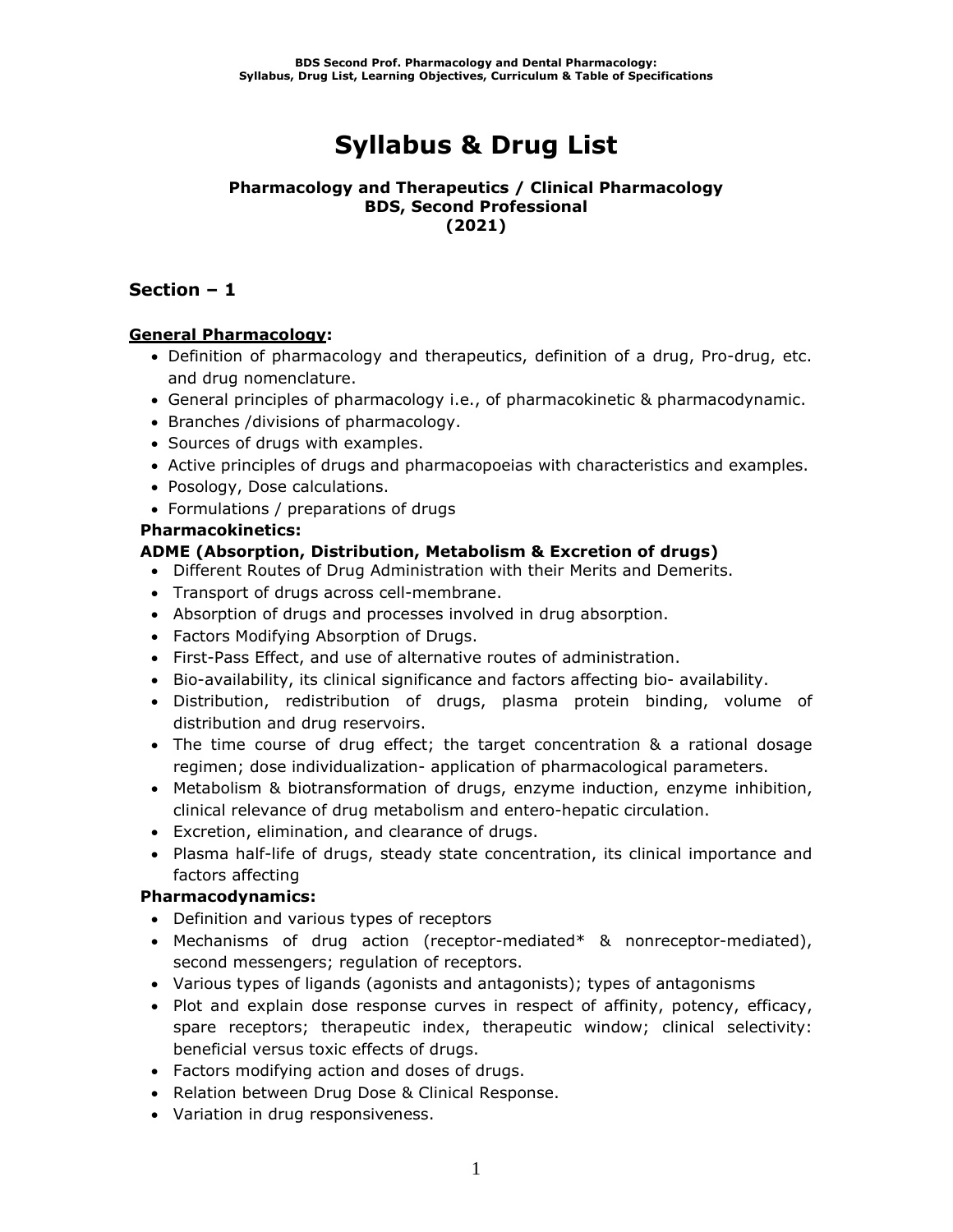# **Syllabus & Drug List**

#### **Pharmacology and Therapeutics / Clinical Pharmacology BDS, Second Professional (2021)**

### **Section – 1**

### **General Pharmacology:**

- Definition of pharmacology and therapeutics, definition of a drug, Pro-drug, etc. and drug nomenclature.
- General principles of pharmacology i.e., of pharmacokinetic & pharmacodynamic.
- Branches /divisions of pharmacology.
- Sources of drugs with examples.
- Active principles of drugs and pharmacopoeias with characteristics and examples.
- Posology, Dose calculations.
- Formulations / preparations of drugs

### **Pharmacokinetics:**

### **ADME (Absorption, Distribution, Metabolism & Excretion of drugs)**

- Different Routes of Drug Administration with their Merits and Demerits.
- Transport of drugs across cell-membrane.
- Absorption of drugs and processes involved in drug absorption.
- Factors Modifying Absorption of Drugs.
- First-Pass Effect, and use of alternative routes of administration.
- Bio-availability, its clinical significance and factors affecting bio- availability.
- Distribution, redistribution of drugs, plasma protein binding, volume of distribution and drug reservoirs.
- The time course of drug effect; the target concentration & a rational dosage regimen; dose individualization- application of pharmacological parameters.
- Metabolism & biotransformation of drugs, enzyme induction, enzyme inhibition, clinical relevance of drug metabolism and entero-hepatic circulation.
- Excretion, elimination, and clearance of drugs.
- Plasma half-life of drugs, steady state concentration, its clinical importance and factors affecting

### **Pharmacodynamics:**

- Definition and various types of receptors
- Mechanisms of drug action (receptor-mediated\* & nonreceptor-mediated), second messengers; regulation of receptors.
- Various types of ligands (agonists and antagonists); types of antagonisms
- Plot and explain dose response curves in respect of affinity, potency, efficacy, spare receptors; therapeutic index, therapeutic window; clinical selectivity: beneficial versus toxic effects of drugs.
- Factors modifying action and doses of drugs.
- Relation between Drug Dose & Clinical Response.
- Variation in drug responsiveness.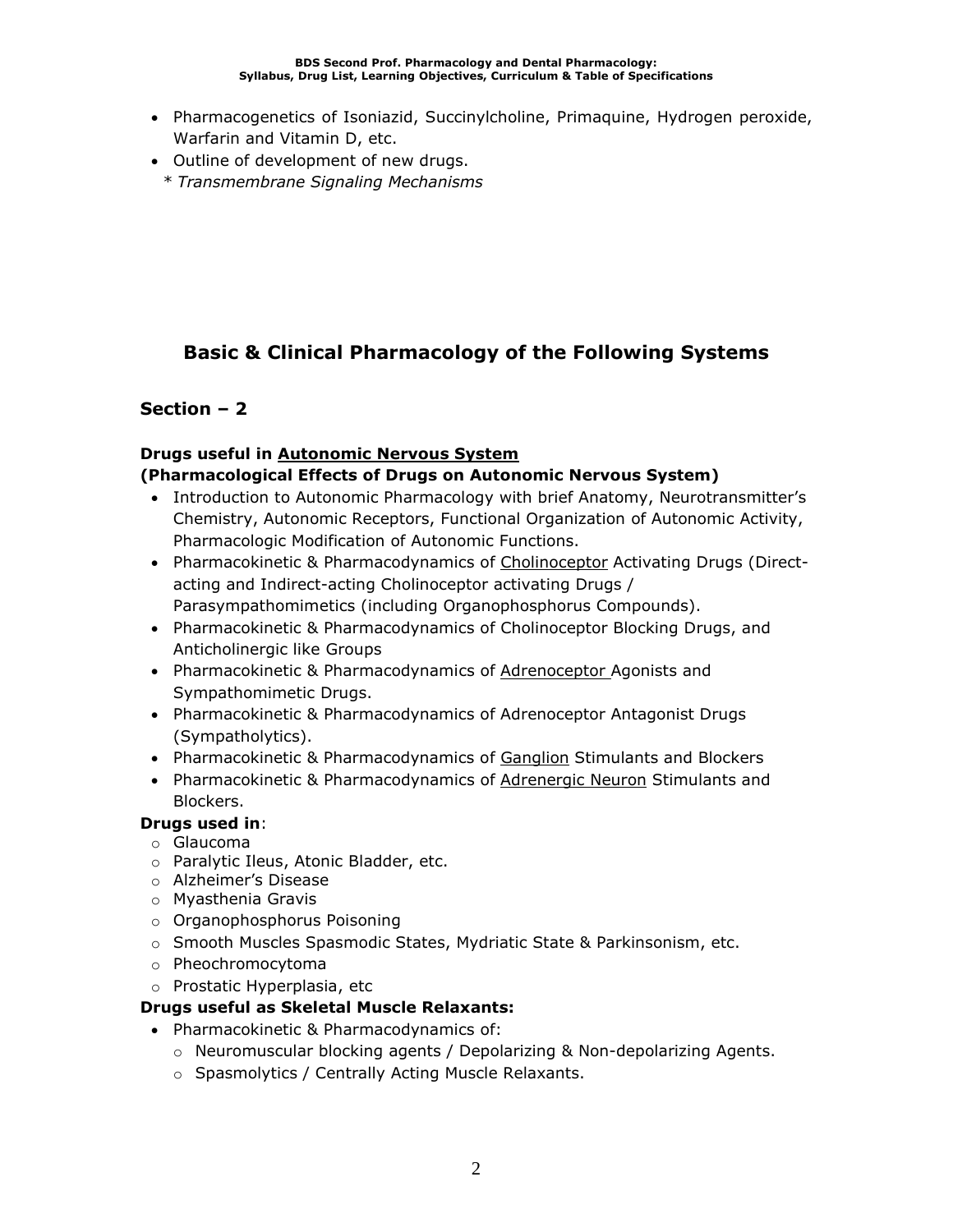- Pharmacogenetics of Isoniazid, Succinylcholine, Primaquine, Hydrogen peroxide, Warfarin and Vitamin D, etc.
- Outline of development of new drugs.
	- *\* Transmembrane Signaling Mechanisms*

### **Basic & Clinical Pharmacology of the Following Systems**

### **Section – 2**

# **Drugs useful in Autonomic Nervous System**

### **(Pharmacological Effects of Drugs on Autonomic Nervous System)**

- Introduction to Autonomic Pharmacology with brief Anatomy, Neurotransmitter's Chemistry, Autonomic Receptors, Functional Organization of Autonomic Activity, Pharmacologic Modification of Autonomic Functions.
- Pharmacokinetic & Pharmacodynamics of Cholinoceptor Activating Drugs (Directacting and Indirect-acting Cholinoceptor activating Drugs / Parasympathomimetics (including Organophosphorus Compounds).
- Pharmacokinetic & Pharmacodynamics of Cholinoceptor Blocking Drugs, and Anticholinergic like Groups
- Pharmacokinetic & Pharmacodynamics of **Adrenoceptor** Agonists and Sympathomimetic Drugs.
- Pharmacokinetic & Pharmacodynamics of Adrenoceptor Antagonist Drugs (Sympatholytics).
- Pharmacokinetic & Pharmacodynamics of Ganglion Stimulants and Blockers
- Pharmacokinetic & Pharmacodynamics of Adrenergic Neuron Stimulants and Blockers.

### **Drugs used in**:

- o Glaucoma
- o Paralytic Ileus, Atonic Bladder, etc.
- o Alzheimer's Disease
- o Myasthenia Gravis
- o Organophosphorus Poisoning
- o Smooth Muscles Spasmodic States, Mydriatic State & Parkinsonism, etc.
- o Pheochromocytoma
- o Prostatic Hyperplasia, etc

### **Drugs useful as Skeletal Muscle Relaxants:**

- Pharmacokinetic & Pharmacodynamics of:
	- o Neuromuscular blocking agents / Depolarizing & Non-depolarizing Agents.
	- o Spasmolytics / Centrally Acting Muscle Relaxants.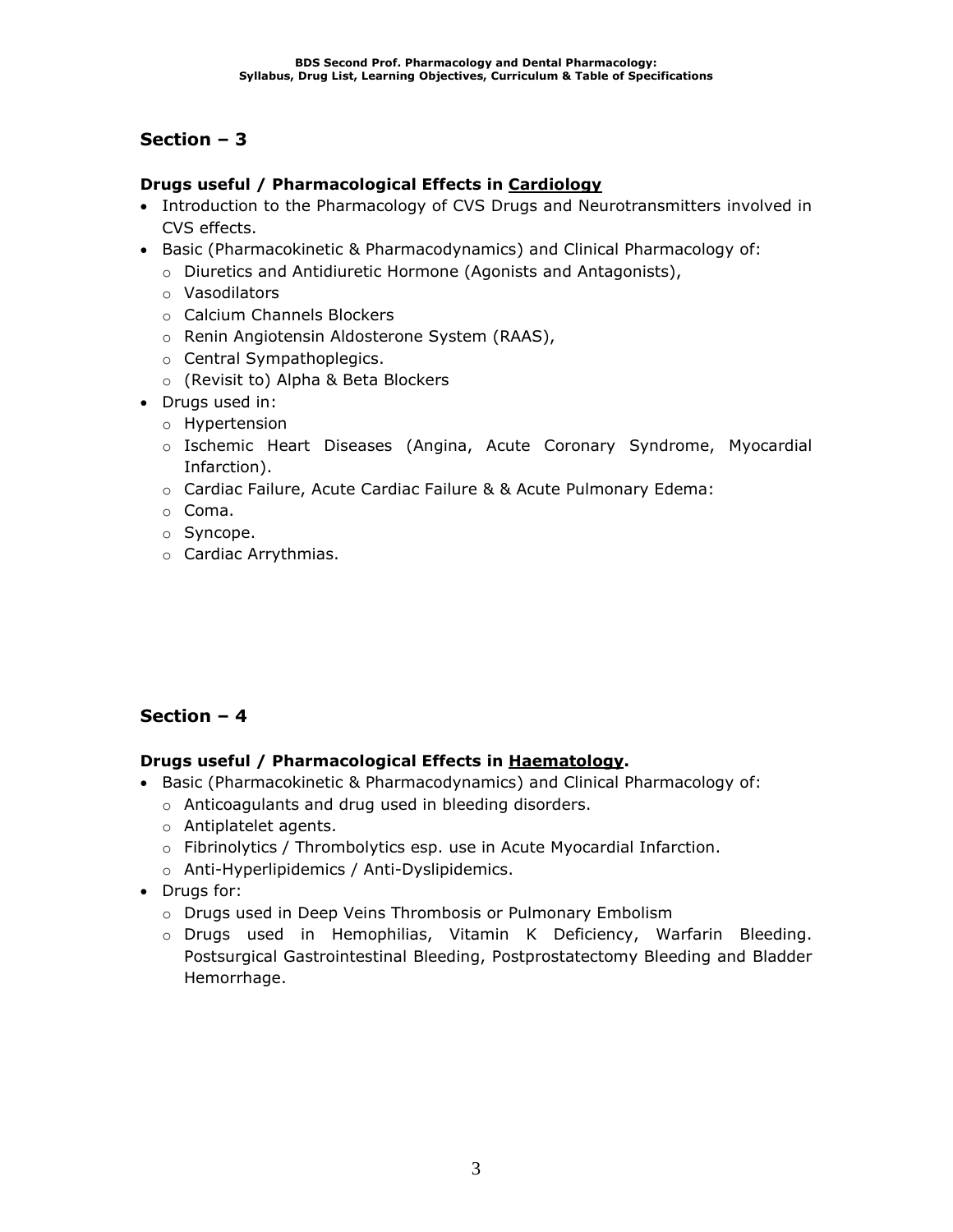### **Drugs useful / Pharmacological Effects in Cardiology**

- Introduction to the Pharmacology of CVS Drugs and Neurotransmitters involved in CVS effects.
- Basic (Pharmacokinetic & Pharmacodynamics) and Clinical Pharmacology of:
	- o Diuretics and Antidiuretic Hormone (Agonists and Antagonists),
	- o Vasodilators
	- o Calcium Channels Blockers
	- o Renin Angiotensin Aldosterone System (RAAS),
	- o Central Sympathoplegics.
	- o (Revisit to) Alpha & Beta Blockers
- Drugs used in:
	- o Hypertension
	- o Ischemic Heart Diseases (Angina, Acute Coronary Syndrome, Myocardial Infarction).
	- o Cardiac Failure, Acute Cardiac Failure & & Acute Pulmonary Edema:
	- o Coma.
	- o Syncope.
	- o Cardiac Arrythmias.

### **Section – 4**

### **Drugs useful / Pharmacological Effects in Haematology.**

- Basic (Pharmacokinetic & Pharmacodynamics) and Clinical Pharmacology of:
	- o Anticoagulants and drug used in bleeding disorders.
	- o Antiplatelet agents.
	- o Fibrinolytics / Thrombolytics esp. use in Acute Myocardial Infarction.
	- o Anti-Hyperlipidemics / Anti-Dyslipidemics.
- Drugs for:
	- o Drugs used in Deep Veins Thrombosis or Pulmonary Embolism
	- o Drugs used in Hemophilias, Vitamin K Deficiency, Warfarin Bleeding. Postsurgical Gastrointestinal Bleeding, Postprostatectomy Bleeding and Bladder Hemorrhage.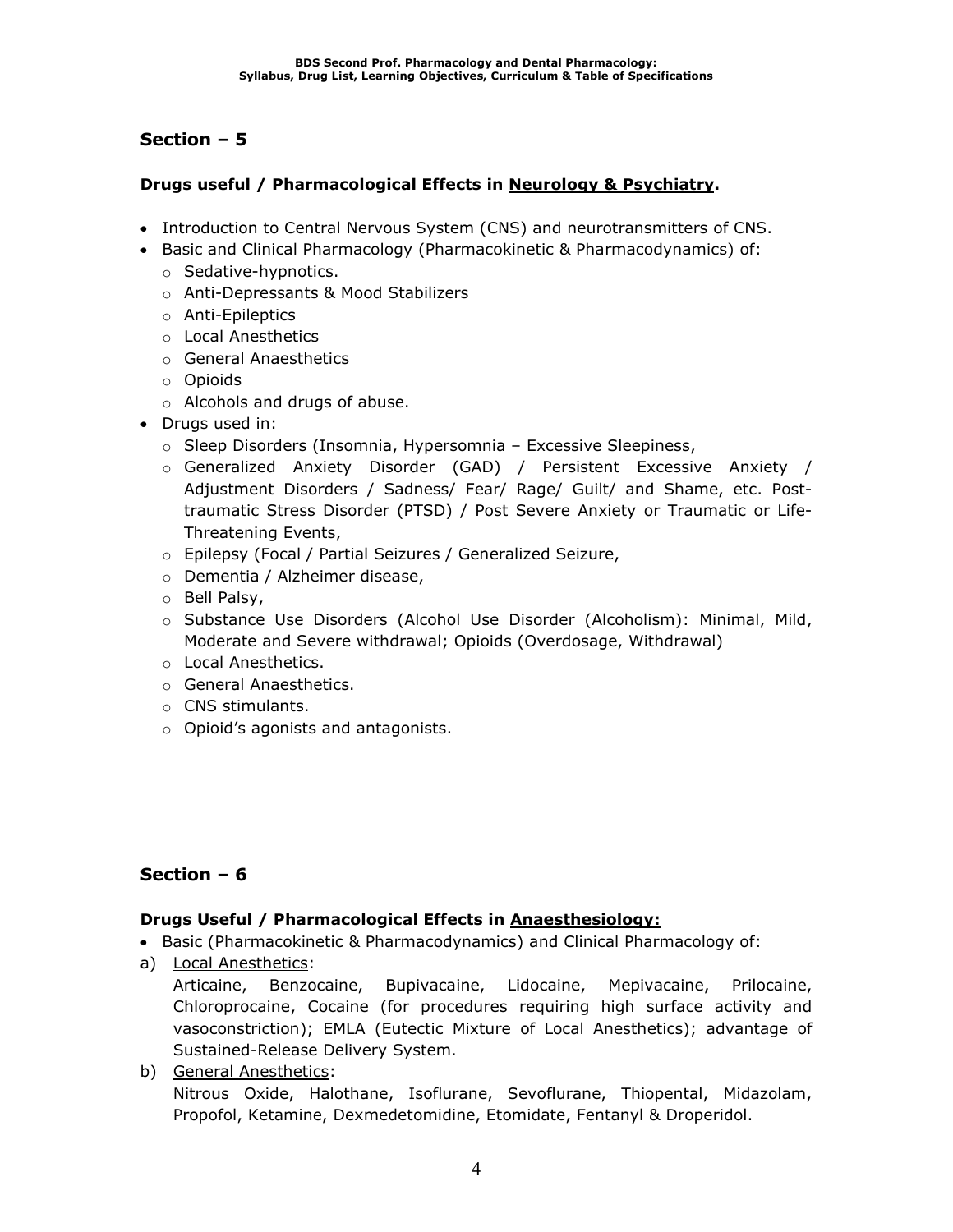### **Drugs useful / Pharmacological Effects in Neurology & Psychiatry.**

- Introduction to Central Nervous System (CNS) and neurotransmitters of CNS.
- Basic and Clinical Pharmacology (Pharmacokinetic & Pharmacodynamics) of:
	- o Sedative-hypnotics.
	- o Anti-Depressants & Mood Stabilizers
	- o Anti-Epileptics
	- o Local Anesthetics
	- o General Anaesthetics
	- o Opioids
	- o Alcohols and drugs of abuse.
- Drugs used in:
	- o Sleep Disorders (Insomnia, Hypersomnia Excessive Sleepiness,
	- o Generalized Anxiety Disorder (GAD) / Persistent Excessive Anxiety / Adjustment Disorders / Sadness/ Fear/ Rage/ Guilt/ and Shame, etc. Posttraumatic Stress Disorder (PTSD) / Post Severe Anxiety or Traumatic or Life-Threatening Events,
	- o Epilepsy (Focal / Partial Seizures / Generalized Seizure,
	- o Dementia / Alzheimer disease,
	- o Bell Palsy,
	- o Substance Use Disorders (Alcohol Use Disorder (Alcoholism): Minimal, Mild, Moderate and Severe withdrawal; Opioids (Overdosage, Withdrawal)
	- o Local Anesthetics.
	- o General Anaesthetics.
	- o CNS stimulants.
	- o Opioid's agonists and antagonists.

### **Section – 6**

### **Drugs Useful / Pharmacological Effects in Anaesthesiology:**

- Basic (Pharmacokinetic & Pharmacodynamics) and Clinical Pharmacology of:
- a) Local Anesthetics:

Articaine, Benzocaine, Bupivacaine, Lidocaine, Mepivacaine, Prilocaine, Chloroprocaine, Cocaine (for procedures requiring high surface activity and vasoconstriction); EMLA (Eutectic Mixture of Local Anesthetics); advantage of Sustained-Release Delivery System.

b) General Anesthetics: Nitrous Oxide, Halothane, Isoflurane, Sevoflurane, Thiopental, Midazolam, Propofol, Ketamine, Dexmedetomidine, Etomidate, Fentanyl & Droperidol.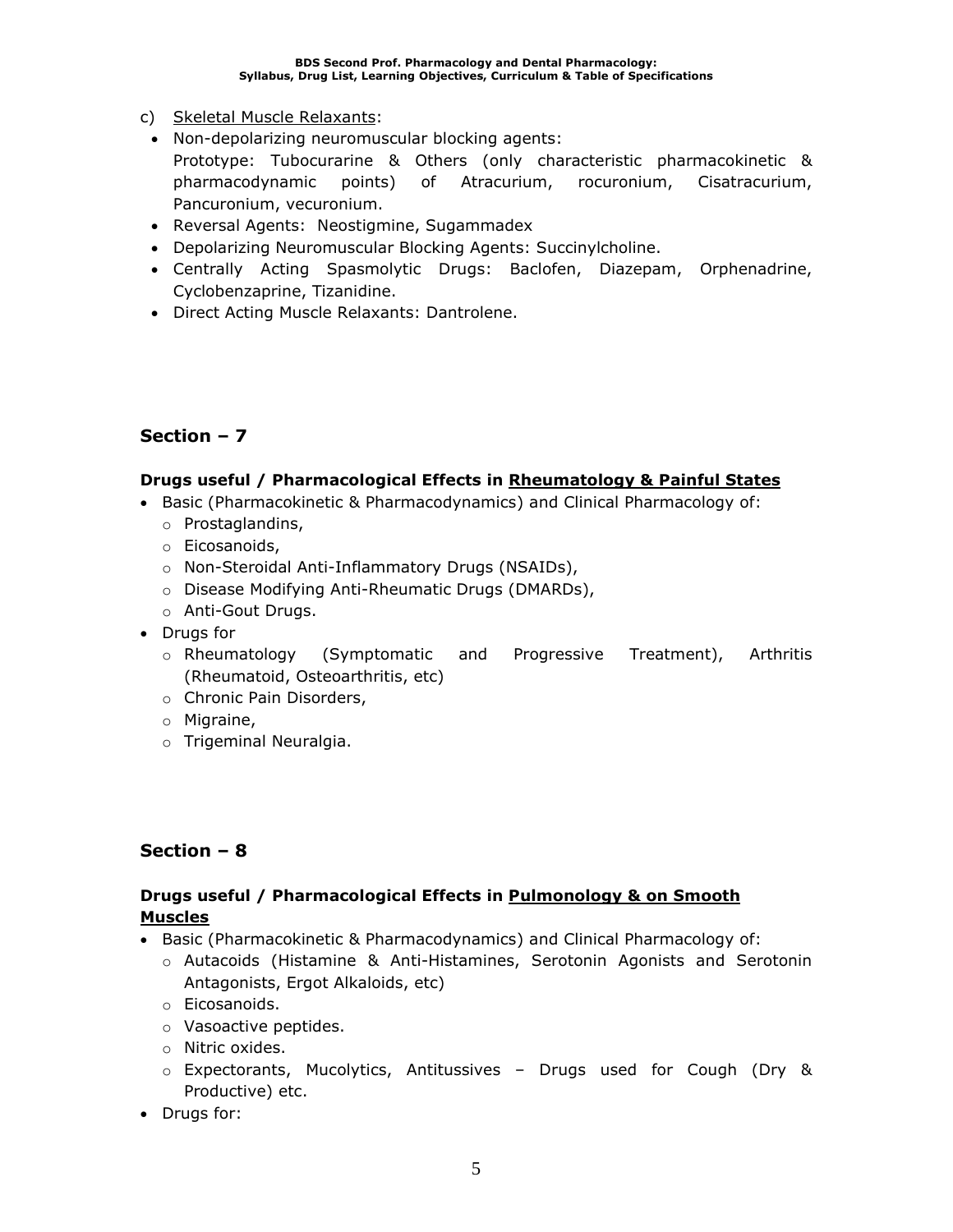- c) Skeletal Muscle Relaxants:
- Non-depolarizing neuromuscular blocking agents: Prototype: Tubocurarine & Others (only characteristic pharmacokinetic & pharmacodynamic points) of Atracurium, rocuronium, Cisatracurium, Pancuronium, vecuronium.
- Reversal Agents: Neostigmine, Sugammadex
- Depolarizing Neuromuscular Blocking Agents: Succinylcholine.
- Centrally Acting Spasmolytic Drugs: Baclofen, Diazepam, Orphenadrine, Cyclobenzaprine, Tizanidine.
- Direct Acting Muscle Relaxants: Dantrolene.

#### **Drugs useful / Pharmacological Effects in Rheumatology & Painful States**

- Basic (Pharmacokinetic & Pharmacodynamics) and Clinical Pharmacology of:
	- o Prostaglandins,
	- o Eicosanoids,
	- o Non-Steroidal Anti-Inflammatory Drugs (NSAIDs),
	- o Disease Modifying Anti-Rheumatic Drugs (DMARDs),
	- o Anti-Gout Drugs.
- Drugs for
	- o Rheumatology (Symptomatic and Progressive Treatment), Arthritis (Rheumatoid, Osteoarthritis, etc)
	- o Chronic Pain Disorders,
	- o Migraine,
	- o Trigeminal Neuralgia.

### **Section – 8**

### **Drugs useful / Pharmacological Effects in Pulmonology & on Smooth Muscles**

- Basic (Pharmacokinetic & Pharmacodynamics) and Clinical Pharmacology of:
	- o Autacoids (Histamine & Anti-Histamines, Serotonin Agonists and Serotonin Antagonists, Ergot Alkaloids, etc)
	- o Eicosanoids.
	- o Vasoactive peptides.
	- o Nitric oxides.
	- o Expectorants, Mucolytics, Antitussives Drugs used for Cough (Dry & Productive) etc.
- Drugs for: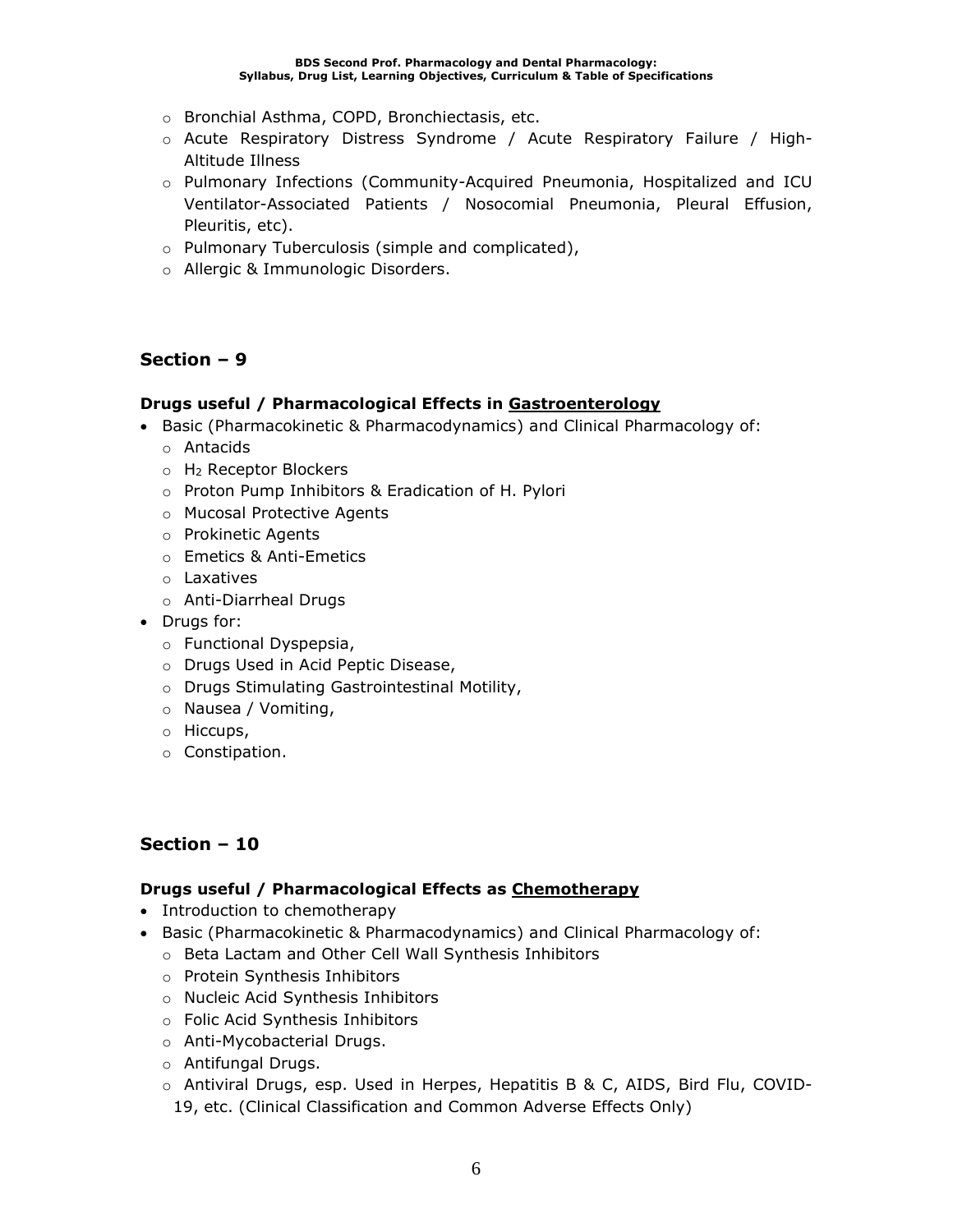- o Bronchial Asthma, COPD, Bronchiectasis, etc.
- o Acute Respiratory Distress Syndrome / Acute Respiratory Failure / High-Altitude Illness
- o Pulmonary Infections (Community-Acquired Pneumonia, Hospitalized and ICU Ventilator-Associated Patients / Nosocomial Pneumonia, Pleural Effusion, Pleuritis, etc).
- o Pulmonary Tuberculosis (simple and complicated),
- o Allergic & Immunologic Disorders.

#### **Drugs useful / Pharmacological Effects in Gastroenterology**

- Basic (Pharmacokinetic & Pharmacodynamics) and Clinical Pharmacology of:
	- o Antacids
	- o H<sup>2</sup> Receptor Blockers
	- o Proton Pump Inhibitors & Eradication of H. Pylori
	- o Mucosal Protective Agents
	- o Prokinetic Agents
	- o Emetics & Anti-Emetics
	- o Laxatives
	- o Anti-Diarrheal Drugs
- Drugs for:
	- o Functional Dyspepsia,
	- o Drugs Used in Acid Peptic Disease,
	- o Drugs Stimulating Gastrointestinal Motility,
	- o Nausea / Vomiting,
	- o Hiccups,
	- o Constipation.

### **Section – 10**

### **Drugs useful / Pharmacological Effects as Chemotherapy**

- Introduction to chemotherapy
- Basic (Pharmacokinetic & Pharmacodynamics) and Clinical Pharmacology of:
	- o Beta Lactam and Other Cell Wall Synthesis Inhibitors
	- o Protein Synthesis Inhibitors
	- o Nucleic Acid Synthesis Inhibitors
	- o Folic Acid Synthesis Inhibitors
	- o Anti-Mycobacterial Drugs.
	- o Antifungal Drugs.
	- o Antiviral Drugs, esp. Used in Herpes, Hepatitis B & C, AIDS, Bird Flu, COVID-19, etc. (Clinical Classification and Common Adverse Effects Only)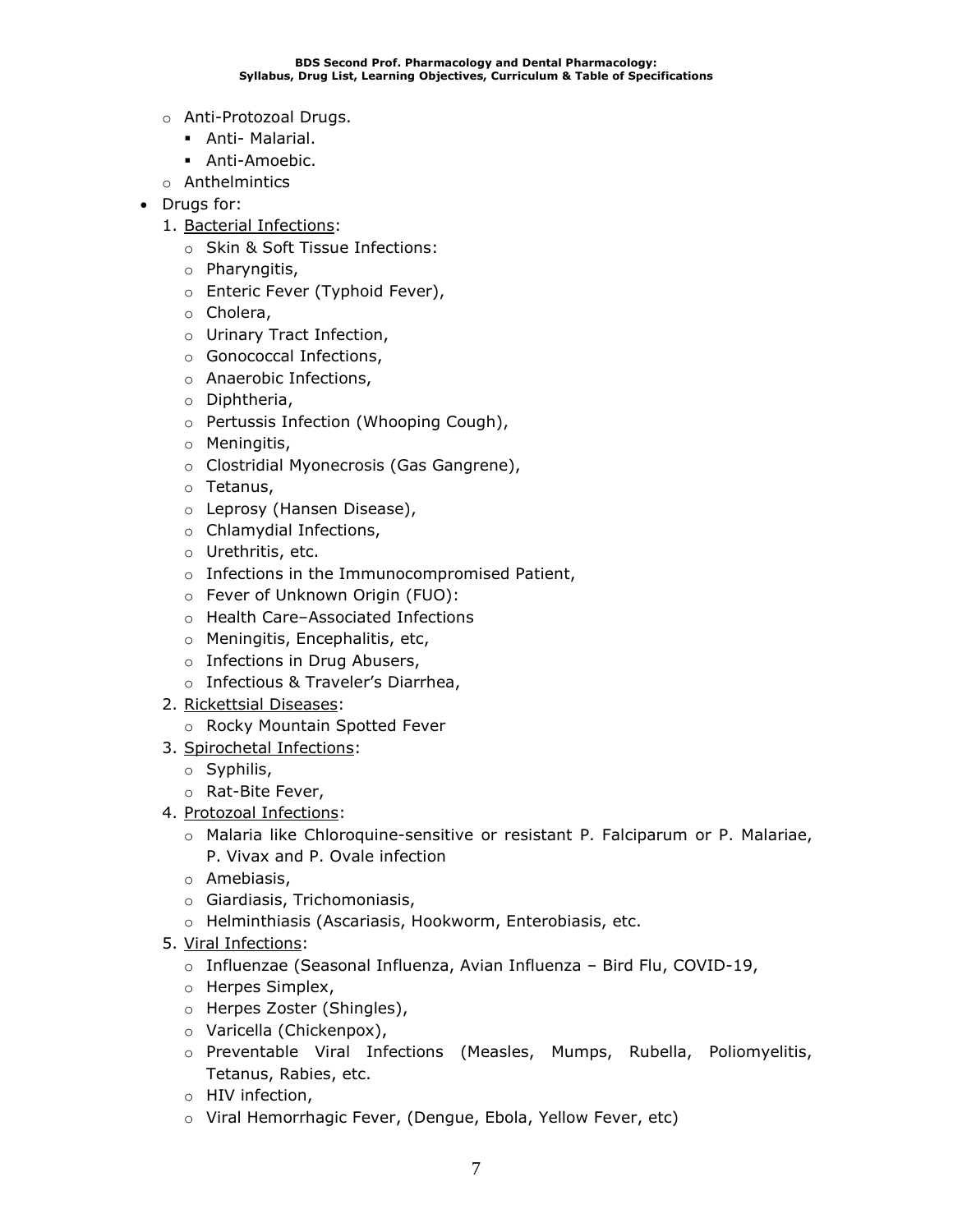- o Anti-Protozoal Drugs.
	- **•** Anti- Malarial.
	- Anti-Amoebic.
- o Anthelmintics
- Drugs for:
	- 1. Bacterial Infections:
		- o Skin & Soft Tissue Infections:
		- o Pharyngitis,
		- o Enteric Fever (Typhoid Fever),
		- o Cholera,
		- o Urinary Tract Infection,
		- o Gonococcal Infections,
		- o Anaerobic Infections,
		- o Diphtheria,
		- o Pertussis Infection (Whooping Cough),
		- o Meningitis,
		- o Clostridial Myonecrosis (Gas Gangrene),
		- o Tetanus,
		- o Leprosy (Hansen Disease),
		- o Chlamydial Infections,
		- o Urethritis, etc.
		- o Infections in the Immunocompromised Patient,
		- o Fever of Unknown Origin (FUO):
		- o Health Care–Associated Infections
		- o Meningitis, Encephalitis, etc,
		- o Infections in Drug Abusers,
		- o Infectious & Traveler's Diarrhea,
	- 2. Rickettsial Diseases:
		- o Rocky Mountain Spotted Fever
	- 3. Spirochetal Infections:
		- o Syphilis,
		- o Rat-Bite Fever,
	- 4. Protozoal Infections:
		- o Malaria like Chloroquine-sensitive or resistant P. Falciparum or P. Malariae, P. Vivax and P. Ovale infection
		- o Amebiasis,
		- o Giardiasis, Trichomoniasis,
		- o Helminthiasis (Ascariasis, Hookworm, Enterobiasis, etc.
	- 5. Viral Infections:
		- o Influenzae (Seasonal Influenza, Avian Influenza Bird Flu, COVID-19,
		- o Herpes Simplex,
		- o Herpes Zoster (Shingles),
		- o Varicella (Chickenpox),
		- o Preventable Viral Infections (Measles, Mumps, Rubella, Poliomyelitis, Tetanus, Rabies, etc.
		- o HIV infection,
		- o Viral Hemorrhagic Fever, (Dengue, Ebola, Yellow Fever, etc)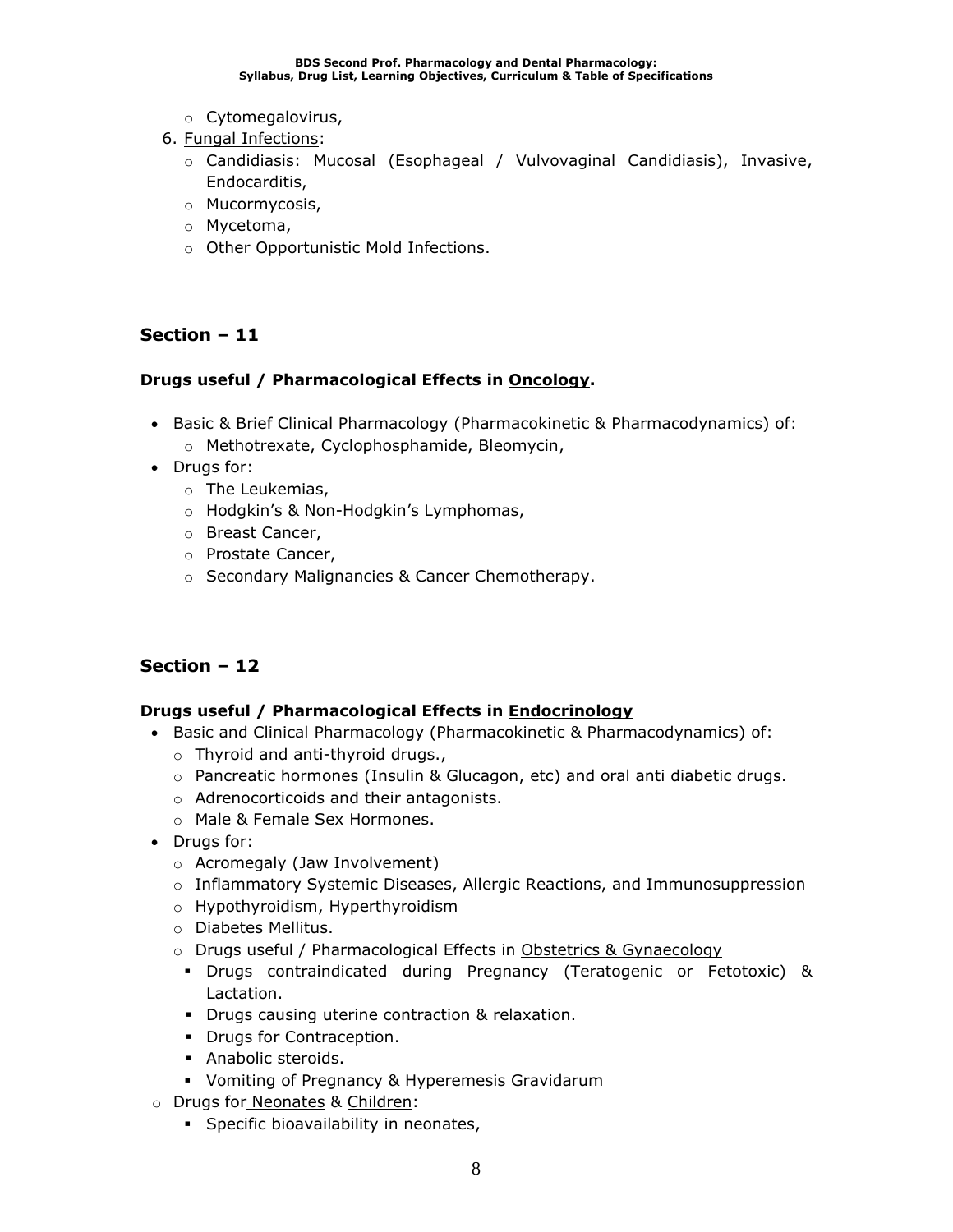- o Cytomegalovirus,
- 6. Fungal Infections:
	- o Candidiasis: Mucosal (Esophageal / Vulvovaginal Candidiasis), Invasive, Endocarditis,
	- o Mucormycosis,
	- o Mycetoma,
	- o Other Opportunistic Mold Infections.

### **Drugs useful / Pharmacological Effects in Oncology.**

- Basic & Brief Clinical Pharmacology (Pharmacokinetic & Pharmacodynamics) of:
	- o Methotrexate, Cyclophosphamide, Bleomycin,
- Drugs for:
	- o The Leukemias,
	- o Hodgkin's & Non-Hodgkin's Lymphomas,
	- o Breast Cancer,
	- o Prostate Cancer,
	- o Secondary Malignancies & Cancer Chemotherapy.

### **Section – 12**

### **Drugs useful / Pharmacological Effects in Endocrinology**

- Basic and Clinical Pharmacology (Pharmacokinetic & Pharmacodynamics) of:
	- o Thyroid and anti-thyroid drugs.,
	- o Pancreatic hormones (Insulin & Glucagon, etc) and oral anti diabetic drugs.
	- o Adrenocorticoids and their antagonists.
	- o Male & Female Sex Hormones.
- Drugs for:
	- o Acromegaly (Jaw Involvement)
	- o Inflammatory Systemic Diseases, Allergic Reactions, and Immunosuppression
	- o Hypothyroidism, Hyperthyroidism
	- o Diabetes Mellitus.
	- o Drugs useful / Pharmacological Effects in Obstetrics & Gynaecology
		- Drugs contraindicated during Pregnancy (Teratogenic or Fetotoxic) & Lactation.
		- **•** Drugs causing uterine contraction & relaxation.
		- Drugs for Contraception.
		- Anabolic steroids.
		- Vomiting of Pregnancy & Hyperemesis Gravidarum
- o Drugs for Neonates & Children:
	- **•** Specific bioavailability in neonates,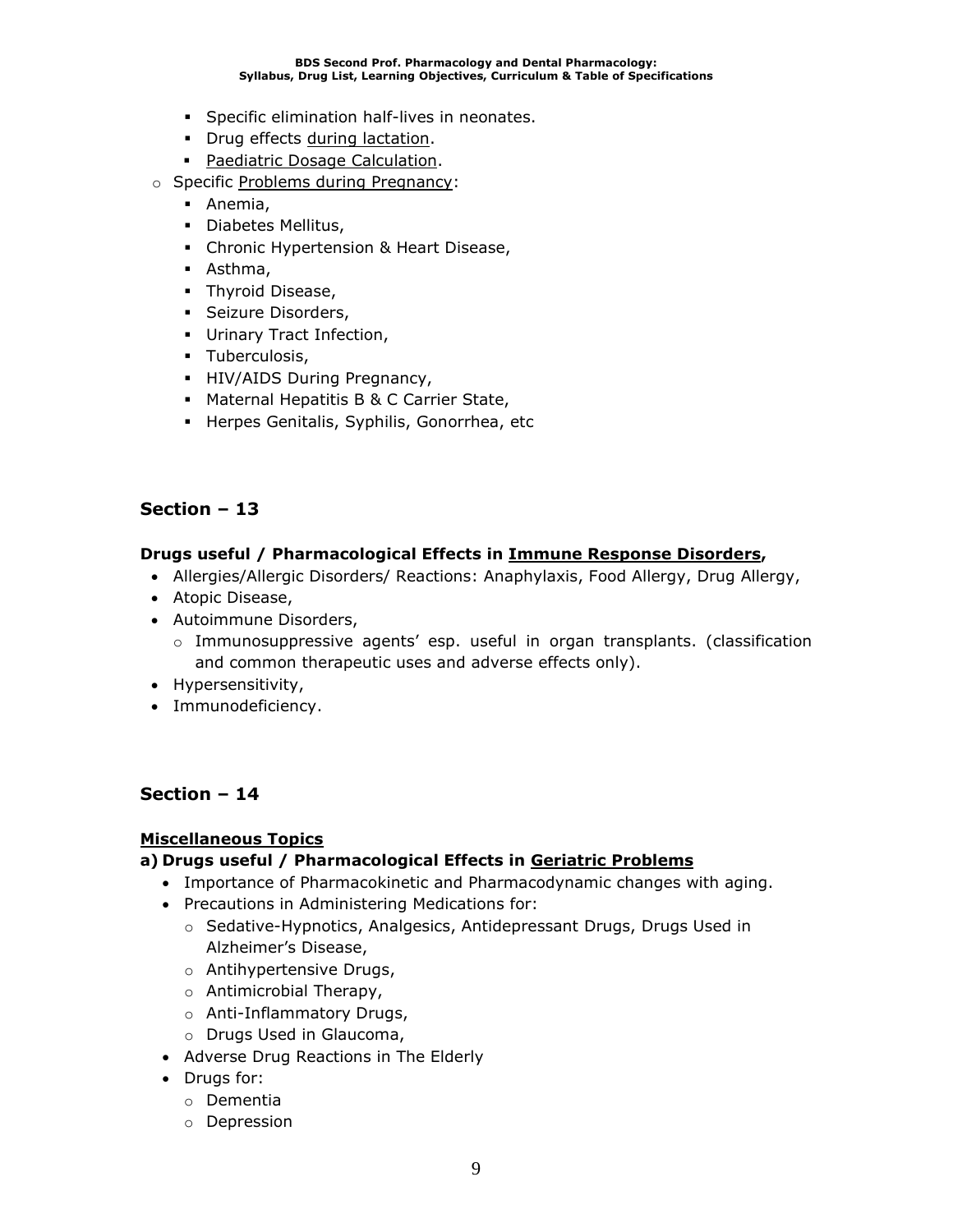- **•** Specific elimination half-lives in neonates.
- **•** Drug effects during lactation.
- **Paediatric Dosage Calculation.**
- o Specific Problems during Pregnancy:
	- Anemia,
	- Diabetes Mellitus,
	- Chronic Hypertension & Heart Disease,
	- Asthma,
	- **·** Thyroid Disease,
	- **·** Seizure Disorders,
	- **·** Urinary Tract Infection,
	- Tuberculosis,
	- **·** HIV/AIDS During Pregnancy,
	- Maternal Hepatitis B & C Carrier State,
	- Herpes Genitalis, Syphilis, Gonorrhea, etc

#### **Drugs useful / Pharmacological Effects in Immune Response Disorders,**

- Allergies/Allergic Disorders/ Reactions: Anaphylaxis, Food Allergy, Drug Allergy,
- Atopic Disease,
- Autoimmune Disorders,
	- o Immunosuppressive agents' esp. useful in organ transplants. (classification and common therapeutic uses and adverse effects only).
- Hypersensitivity,
- Immunodeficiency.

### **Section – 14**

#### **Miscellaneous Topics**

### **a) Drugs useful / Pharmacological Effects in Geriatric Problems**

- Importance of Pharmacokinetic and Pharmacodynamic changes with aging.
- Precautions in Administering Medications for:
	- o Sedative-Hypnotics, Analgesics, Antidepressant Drugs, Drugs Used in Alzheimer's Disease,
	- o Antihypertensive Drugs,
	- o Antimicrobial Therapy,
	- o Anti-Inflammatory Drugs,
	- o Drugs Used in Glaucoma,
- Adverse Drug Reactions in The Elderly
- Drugs for:
	- o Dementia
	- o Depression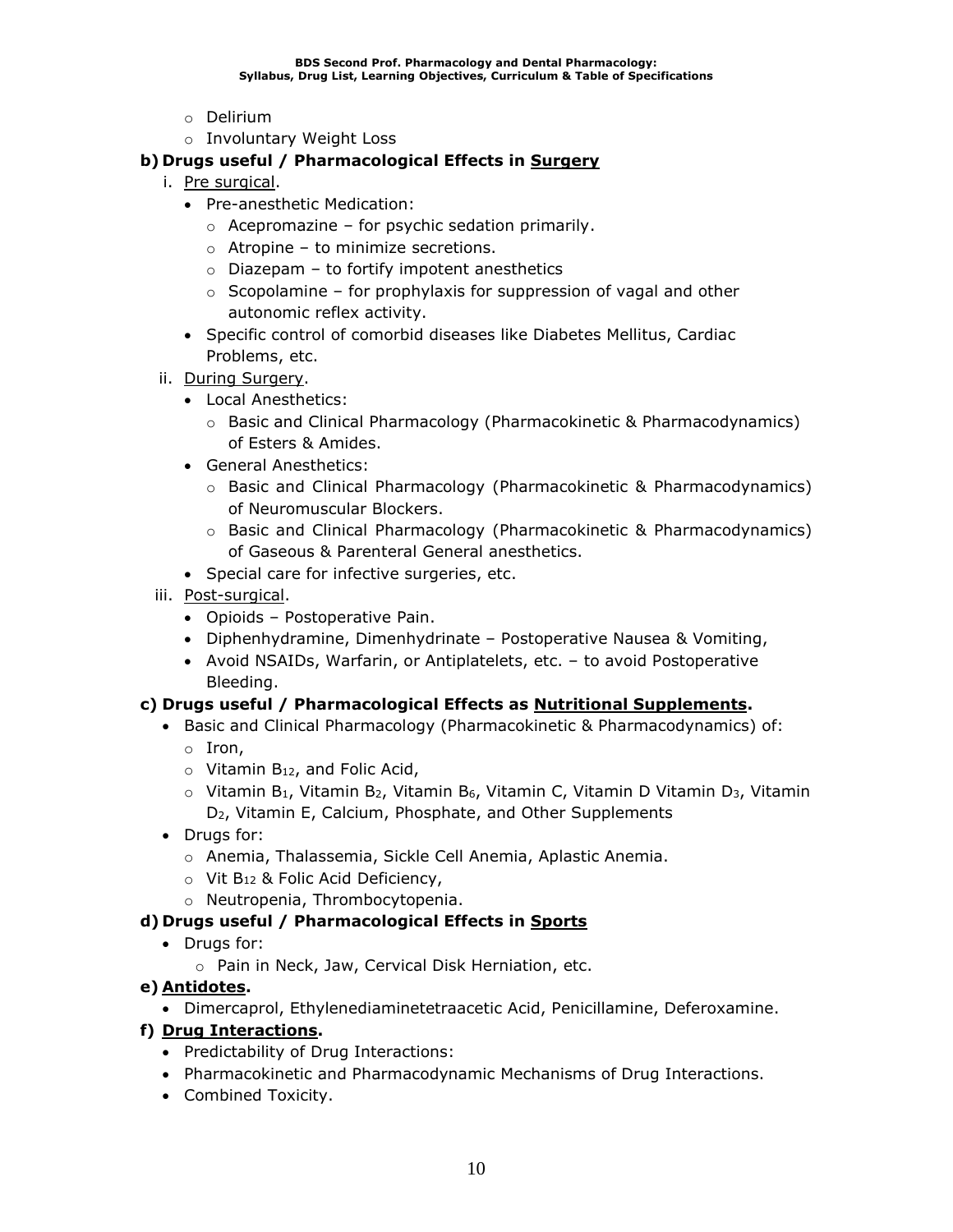- o Delirium
- o Involuntary Weight Loss

### **b) Drugs useful / Pharmacological Effects in Surgery**

- i. Pre surgical.
	- Pre-anesthetic Medication:
		- $\circ$  Acepromazine for psychic sedation primarily.
		- o Atropine to minimize secretions.
		- $\circ$  Diazepam to fortify impotent anesthetics
		- $\circ$  Scopolamine for prophylaxis for suppression of vagal and other autonomic reflex activity.
	- Specific control of comorbid diseases like Diabetes Mellitus, Cardiac Problems, etc.
- ii. During Surgery.
	- Local Anesthetics:
		- $\circ$  Basic and Clinical Pharmacology (Pharmacokinetic & Pharmacodynamics) of Esters & Amides.
	- General Anesthetics:
		- o Basic and Clinical Pharmacology (Pharmacokinetic & Pharmacodynamics) of Neuromuscular Blockers.
		- o Basic and Clinical Pharmacology (Pharmacokinetic & Pharmacodynamics) of Gaseous & Parenteral General anesthetics.
	- Special care for infective surgeries, etc.
- iii. Post-surgical.
	- Opioids Postoperative Pain.
	- Diphenhydramine, Dimenhydrinate Postoperative Nausea & Vomiting,
	- Avoid NSAIDs, Warfarin, or Antiplatelets, etc. to avoid Postoperative Bleeding.

### **c) Drugs useful / Pharmacological Effects as Nutritional Supplements.**

- Basic and Clinical Pharmacology (Pharmacokinetic & Pharmacodynamics) of:
	- o Iron,
	- $\circ$  Vitamin B<sub>12</sub>, and Folic Acid,
	- $\circ$  Vitamin B<sub>1</sub>, Vitamin B<sub>2</sub>, Vitamin B<sub>6</sub>, Vitamin C, Vitamin D Vitamin D<sub>3</sub>, Vitamin D2, Vitamin E, Calcium, Phosphate, and Other Supplements
- Drugs for:
	- o Anemia, Thalassemia, Sickle Cell Anemia, Aplastic Anemia.
	- o Vit B<sup>12</sup> & Folic Acid Deficiency,
	- o Neutropenia, Thrombocytopenia.

### **d) Drugs useful / Pharmacological Effects in Sports**

- Drugs for:
	- o Pain in Neck, Jaw, Cervical Disk Herniation, etc.

### **e) Antidotes.**

• Dimercaprol, Ethylenediaminetetraacetic Acid, Penicillamine, Deferoxamine.

### **f) Drug Interactions.**

- Predictability of Drug Interactions:
- Pharmacokinetic and Pharmacodynamic Mechanisms of Drug Interactions.
- Combined Toxicity.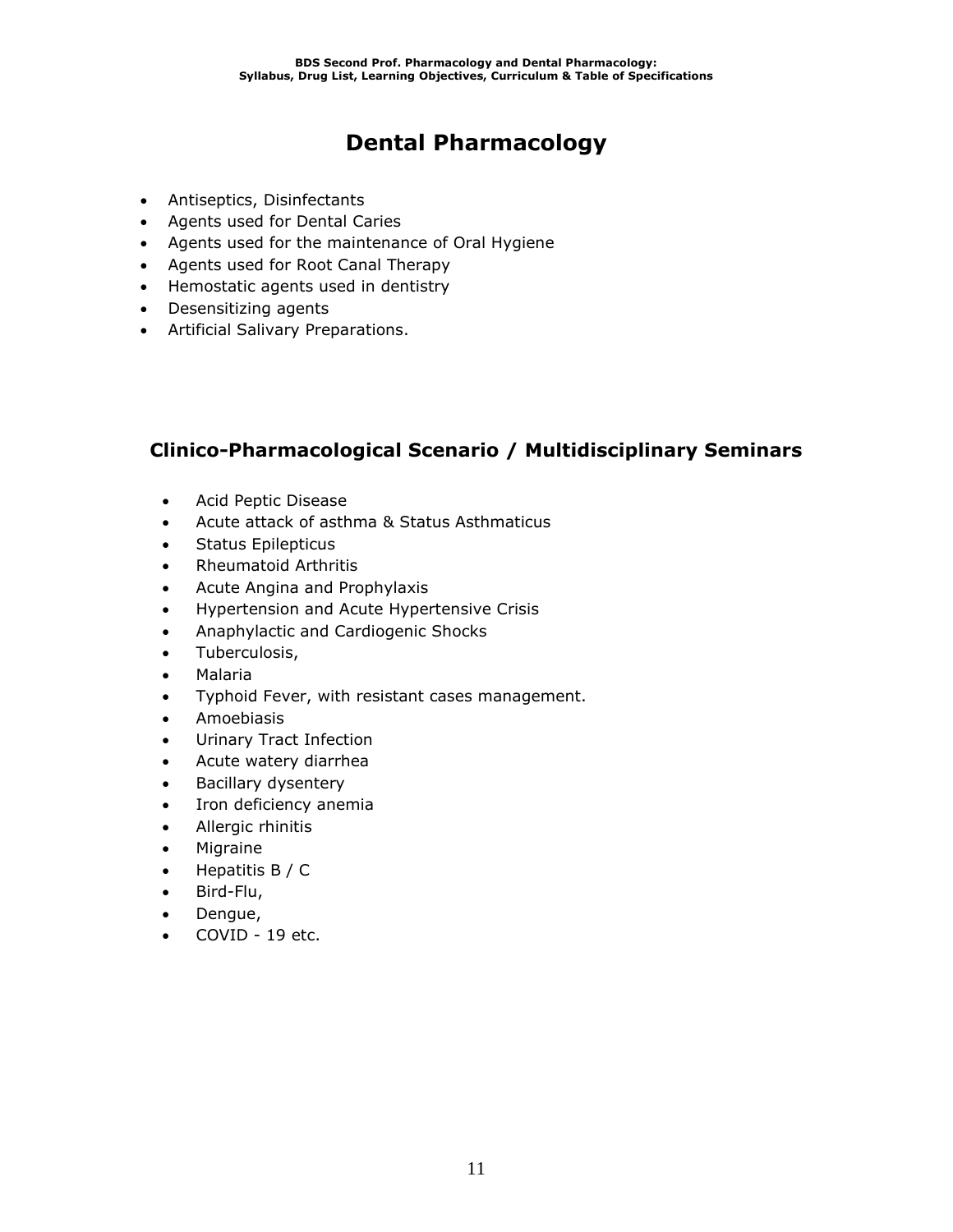# **Dental Pharmacology**

- Antiseptics, Disinfectants
- Agents used for Dental Caries
- Agents used for the maintenance of Oral Hygiene
- Agents used for Root Canal Therapy
- Hemostatic agents used in dentistry
- Desensitizing agents
- Artificial Salivary Preparations.

### **Clinico-Pharmacological Scenario / Multidisciplinary Seminars**

- Acid Peptic Disease
- Acute attack of asthma & Status Asthmaticus
- Status Epilepticus
- Rheumatoid Arthritis
- Acute Angina and Prophylaxis
- Hypertension and Acute Hypertensive Crisis
- Anaphylactic and Cardiogenic Shocks
- Tuberculosis,
- Malaria
- Typhoid Fever, with resistant cases management.
- Amoebiasis
- Urinary Tract Infection
- Acute watery diarrhea
- Bacillary dysentery
- Iron deficiency anemia
- Allergic rhinitis
- Migraine
- Hepatitis B / C
- Bird-Flu,
- Dengue,
- COVID 19 etc.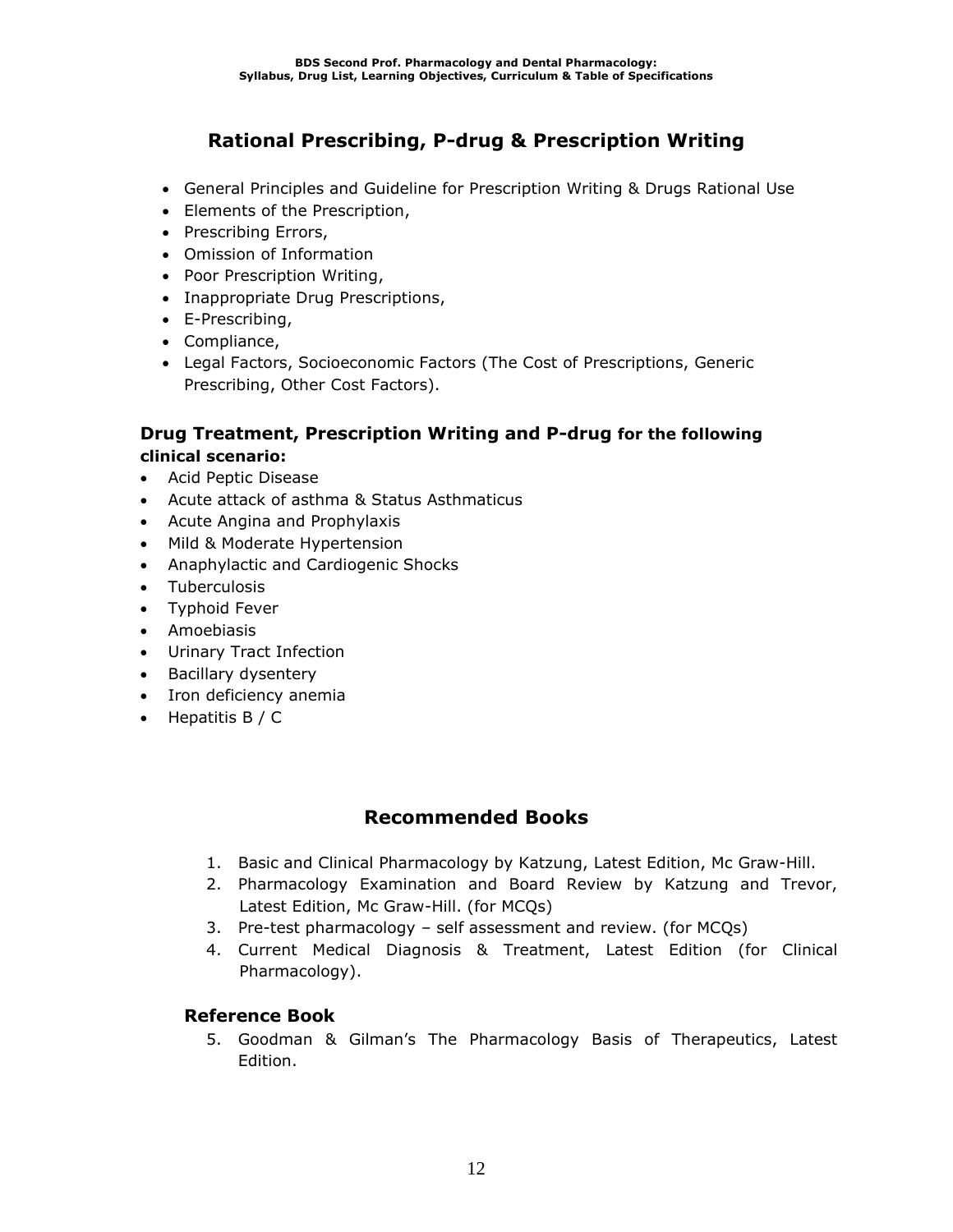### **Rational Prescribing, P-drug & Prescription Writing**

- General Principles and Guideline for Prescription Writing & Drugs Rational Use
- Elements of the Prescription,
- Prescribing Errors,
- Omission of Information
- Poor Prescription Writing,
- Inappropriate Drug Prescriptions,
- E-Prescribing,
- Compliance,
- Legal Factors, Socioeconomic Factors (The Cost of Prescriptions, Generic Prescribing, Other Cost Factors).

### **Drug Treatment, Prescription Writing and P-drug for the following clinical scenario:**

- Acid Peptic Disease
- Acute attack of asthma & Status Asthmaticus
- Acute Angina and Prophylaxis
- Mild & Moderate Hypertension
- Anaphylactic and Cardiogenic Shocks
- Tuberculosis
- Typhoid Fever
- Amoebiasis
- Urinary Tract Infection
- Bacillary dysentery
- Iron deficiency anemia
- Hepatitis  $B / C$

### **Recommended Books**

- 1. Basic and Clinical Pharmacology by Katzung, Latest Edition, Mc Graw-Hill.
- 2. Pharmacology Examination and Board Review by Katzung and Trevor, Latest Edition, Mc Graw-Hill. (for MCQs)
- 3. Pre-test pharmacology self assessment and review. (for MCQs)
- 4. Current Medical Diagnosis & Treatment, Latest Edition (for Clinical Pharmacology).

### **Reference Book**

5. Goodman & Gilman's The Pharmacology Basis of Therapeutics, Latest Edition.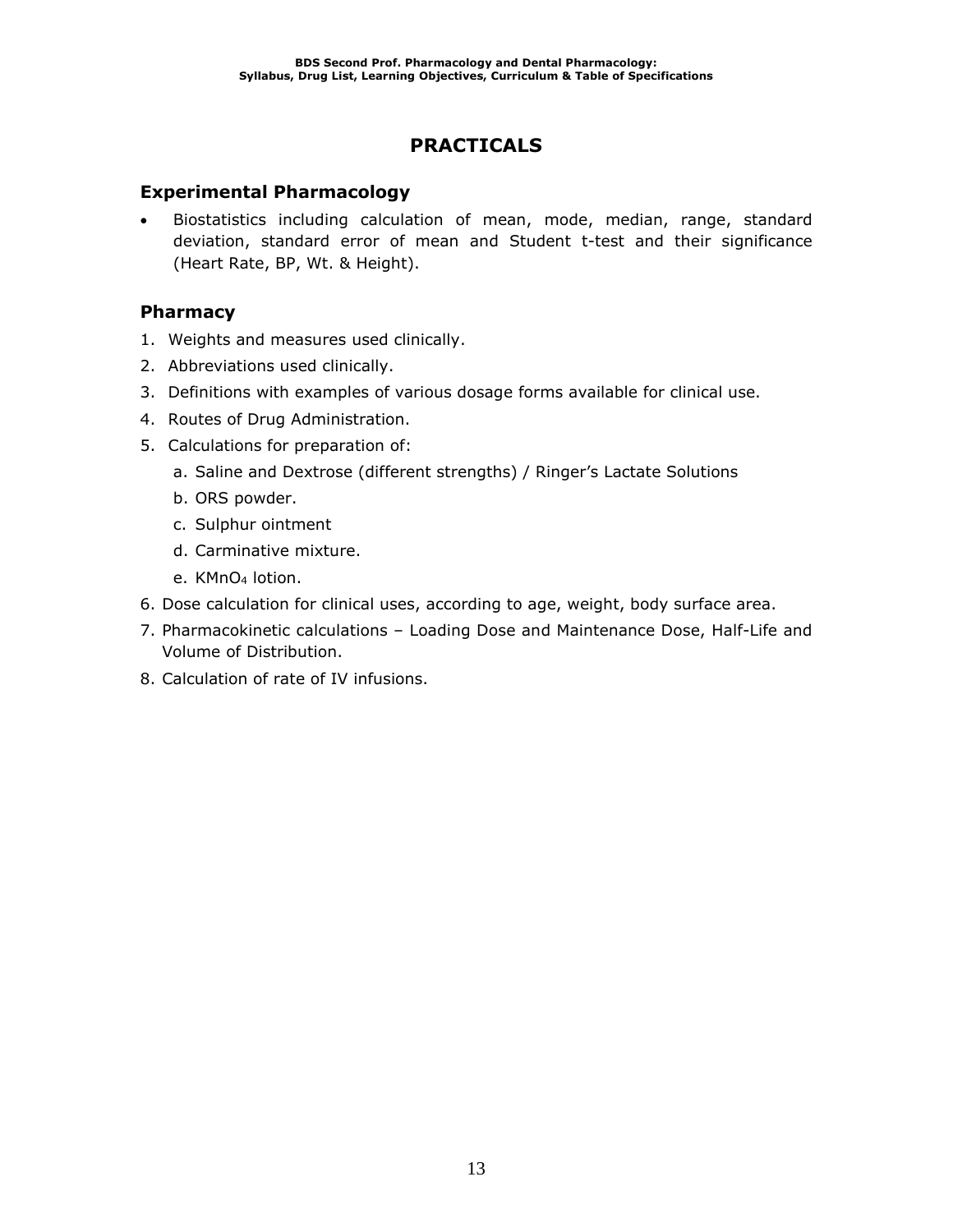### **PRACTICALS**

### **Experimental Pharmacology**

• Biostatistics including calculation of mean, mode, median, range, standard deviation, standard error of mean and Student t-test and their significance (Heart Rate, BP, Wt. & Height).

### **Pharmacy**

- 1. Weights and measures used clinically.
- 2. Abbreviations used clinically.
- 3. Definitions with examples of various dosage forms available for clinical use.
- 4. Routes of Drug Administration.
- 5. Calculations for preparation of:
	- a. Saline and Dextrose (different strengths) / Ringer's Lactate Solutions
	- b. ORS powder.
	- c. Sulphur ointment
	- d. Carminative mixture.
	- e. KMnO<sup>4</sup> lotion.
- 6. Dose calculation for clinical uses, according to age, weight, body surface area.
- 7. Pharmacokinetic calculations Loading Dose and Maintenance Dose, Half-Life and Volume of Distribution.
- 8. Calculation of rate of IV infusions.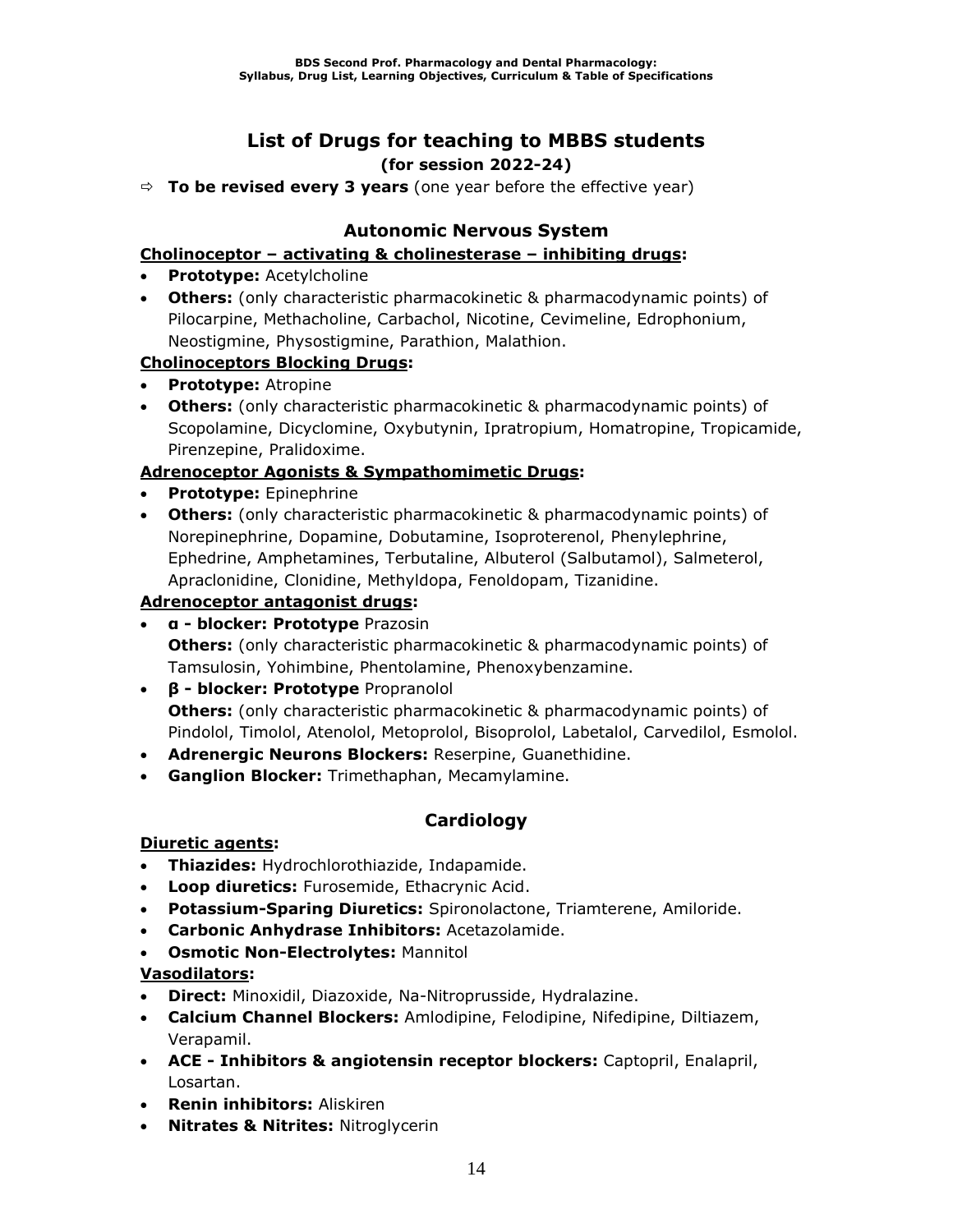### **List of Drugs for teaching to MBBS students (for session 2022-24)**

**To be revised every 3 years** (one year before the effective year)

### **Autonomic Nervous System**

### **Cholinoceptor – activating & cholinesterase – inhibiting drugs:**

- **Prototype:** Acetylcholine
- **Others:** (only characteristic pharmacokinetic & pharmacodynamic points) of Pilocarpine, Methacholine, Carbachol, Nicotine, Cevimeline, Edrophonium, Neostigmine, Physostigmine, Parathion, Malathion.

### **Cholinoceptors Blocking Drugs:**

- **Prototype:** Atropine
- **Others:** (only characteristic pharmacokinetic & pharmacodynamic points) of Scopolamine, Dicyclomine, Oxybutynin, Ipratropium, Homatropine, Tropicamide, Pirenzepine, Pralidoxime.

### **Adrenoceptor Agonists & Sympathomimetic Drugs:**

- **Prototype:** Epinephrine
- **Others:** (only characteristic pharmacokinetic & pharmacodynamic points) of Norepinephrine, Dopamine, Dobutamine, Isoproterenol, Phenylephrine, Ephedrine, Amphetamines, Terbutaline, Albuterol (Salbutamol), Salmeterol, Apraclonidine, Clonidine, Methyldopa, Fenoldopam, Tizanidine.

### **Adrenoceptor antagonist drugs:**

- **α - blocker: Prototype** Prazosin **Others:** (only characteristic pharmacokinetic & pharmacodynamic points) of Tamsulosin, Yohimbine, Phentolamine, Phenoxybenzamine.
- **β - blocker: Prototype** Propranolol **Others:** (only characteristic pharmacokinetic & pharmacodynamic points) of Pindolol, Timolol, Atenolol, Metoprolol, Bisoprolol, Labetalol, Carvedilol, Esmolol.
- **Adrenergic Neurons Blockers:** Reserpine, Guanethidine.
- **Ganglion Blocker:** Trimethaphan, Mecamylamine.

### **Cardiology**

### **Diuretic agents:**

- **Thiazides:** Hydrochlorothiazide, Indapamide.
- **Loop diuretics:** Furosemide, Ethacrynic Acid.
- **Potassium-Sparing Diuretics:** Spironolactone, Triamterene, Amiloride.
- **Carbonic Anhydrase Inhibitors:** Acetazolamide.
- **Osmotic Non-Electrolytes:** Mannitol

### **Vasodilators:**

- **Direct:** Minoxidil, Diazoxide, Na-Nitroprusside, Hydralazine.
- **Calcium Channel Blockers:** Amlodipine, Felodipine, Nifedipine, Diltiazem, Verapamil.
- **ACE - Inhibitors & angiotensin receptor blockers:** Captopril, Enalapril, Losartan.
- **Renin inhibitors:** Aliskiren
- **Nitrates & Nitrites:** Nitroglycerin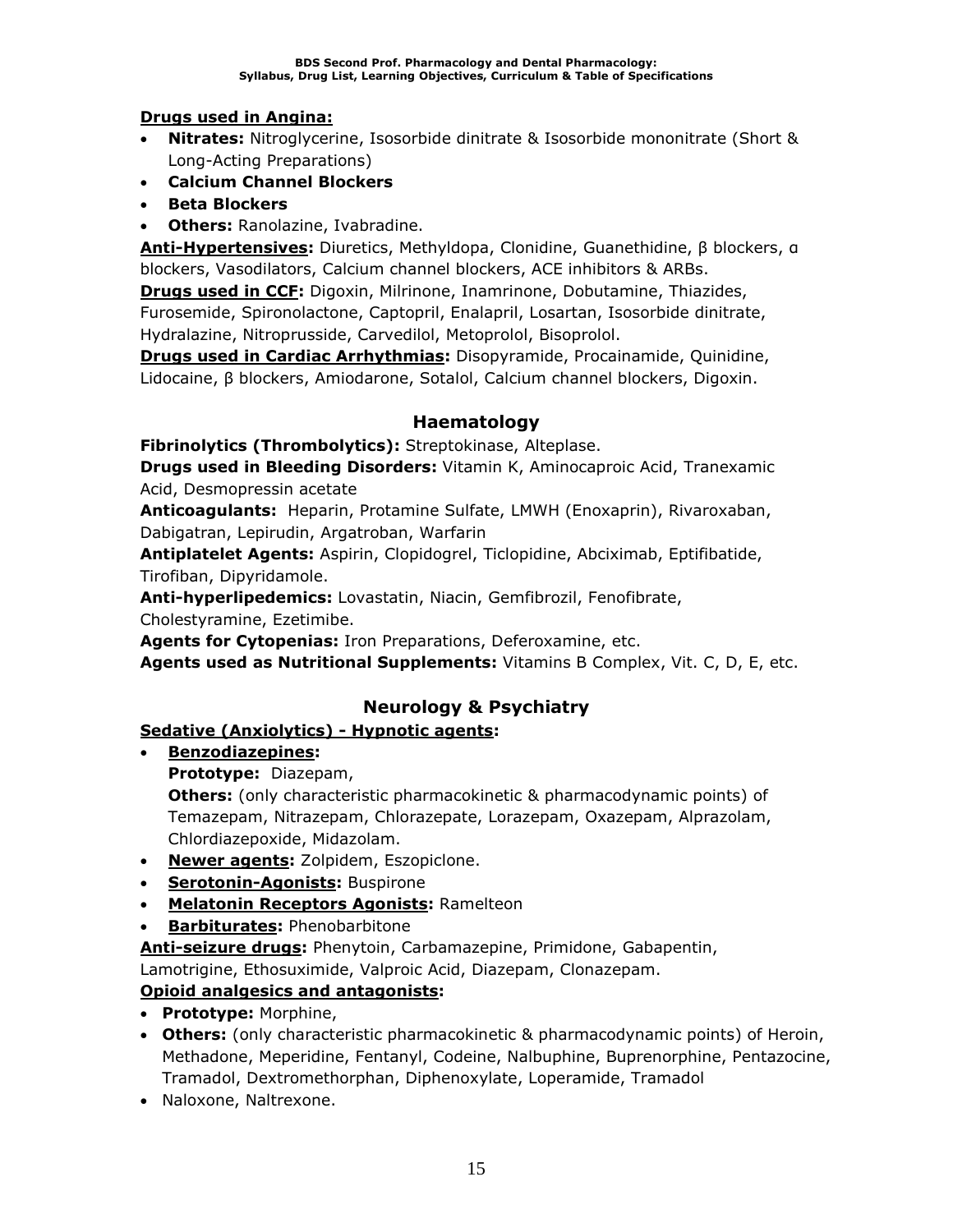### **Drugs used in Angina:**

- **Nitrates:** Nitroglycerine, Isosorbide dinitrate & Isosorbide mononitrate (Short & Long-Acting Preparations)
- **Calcium Channel Blockers**
- **Beta Blockers**
- **Others:** Ranolazine, Ivabradine.

**Anti-Hypertensives:** Diuretics, Methyldopa, Clonidine, Guanethidine, β blockers, α blockers, Vasodilators, Calcium channel blockers, ACE inhibitors & ARBs.

**Drugs used in CCF:** Digoxin, Milrinone, Inamrinone, Dobutamine, Thiazides, Furosemide, Spironolactone, Captopril, Enalapril, Losartan, Isosorbide dinitrate, Hydralazine, Nitroprusside, Carvedilol, Metoprolol, Bisoprolol.

**Drugs used in Cardiac Arrhythmias:** Disopyramide, Procainamide, Quinidine, Lidocaine, β blockers, Amiodarone, Sotalol, Calcium channel blockers, Digoxin.

### **Haematology**

**Fibrinolytics (Thrombolytics):** Streptokinase, Alteplase.

**Drugs used in Bleeding Disorders:** Vitamin K, Aminocaproic Acid, Tranexamic Acid, Desmopressin acetate

**Anticoagulants:** Heparin, Protamine Sulfate, LMWH (Enoxaprin), Rivaroxaban, Dabigatran, Lepirudin, Argatroban, Warfarin

**Antiplatelet Agents:** Aspirin, Clopidogrel, Ticlopidine, Abciximab, Eptifibatide, Tirofiban, Dipyridamole.

**Anti-hyperlipedemics:** Lovastatin, Niacin, Gemfibrozil, Fenofibrate,

Cholestyramine, Ezetimibe.

**Agents for Cytopenias:** Iron Preparations, Deferoxamine, etc.

**Agents used as Nutritional Supplements:** Vitamins B Complex, Vit. C, D, E, etc.

### **Neurology & Psychiatry**

### **Sedative (Anxiolytics) - Hypnotic agents:**

• **Benzodiazepines:**

**Prototype:** Diazepam,

**Others:** (only characteristic pharmacokinetic & pharmacodynamic points) of Temazepam, Nitrazepam, Chlorazepate, Lorazepam, Oxazepam, Alprazolam, Chlordiazepoxide, Midazolam.

- **Newer agents:** Zolpidem, Eszopiclone.
- **Serotonin-Agonists:** Buspirone
- **Melatonin Receptors Agonists:** Ramelteon
- **Barbiturates:** Phenobarbitone

**Anti-seizure drugs:** Phenytoin, Carbamazepine, Primidone, Gabapentin,

Lamotrigine, Ethosuximide, Valproic Acid, Diazepam, Clonazepam.

### **Opioid analgesics and antagonists:**

- **Prototype:** Morphine,
- **Others:** (only characteristic pharmacokinetic & pharmacodynamic points) of Heroin, Methadone, Meperidine, Fentanyl, Codeine, Nalbuphine, Buprenorphine, Pentazocine, Tramadol, Dextromethorphan, Diphenoxylate, Loperamide, Tramadol
- Naloxone, Naltrexone.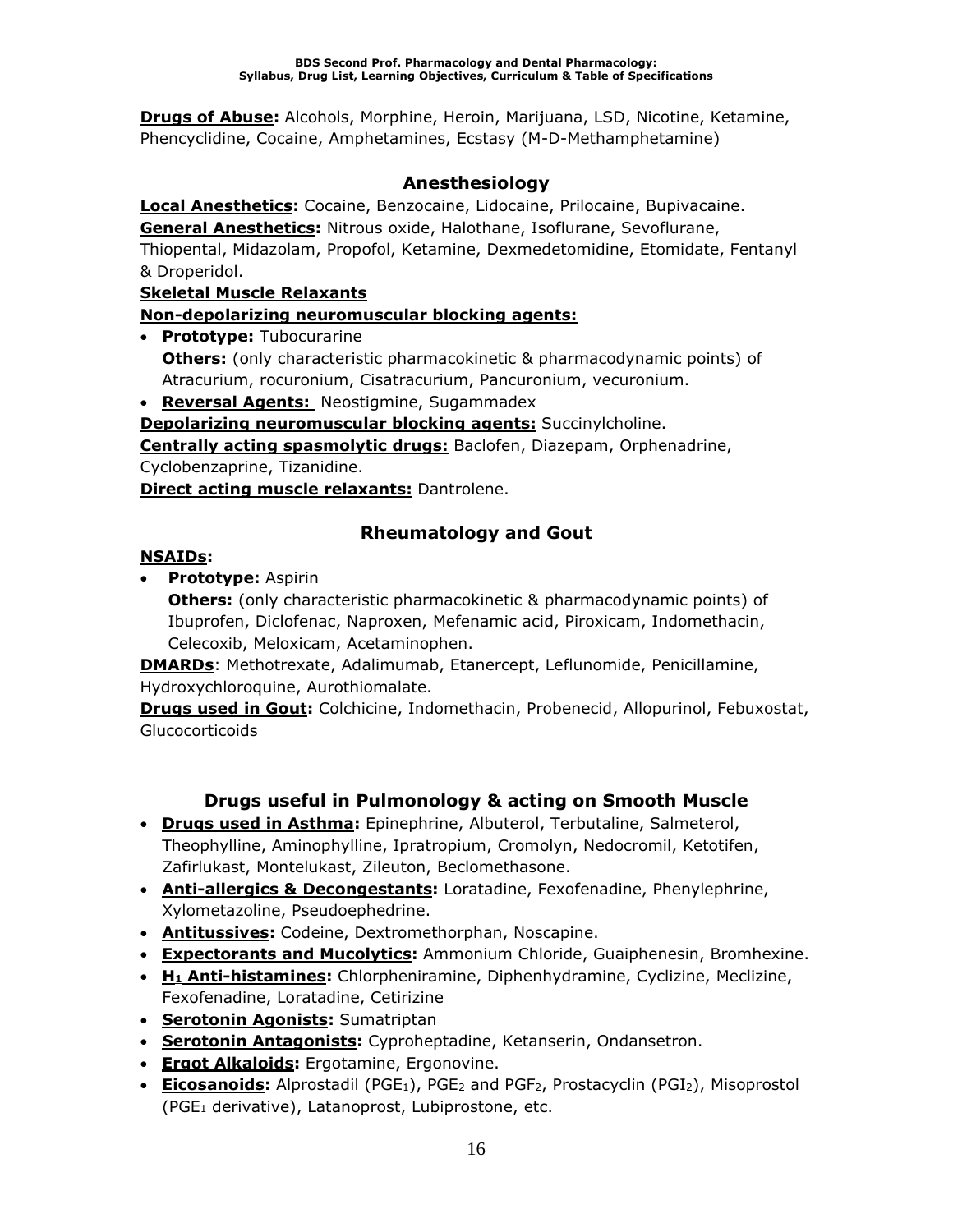**Drugs of Abuse:** Alcohols, Morphine, Heroin, Marijuana, LSD, Nicotine, Ketamine, Phencyclidine, Cocaine, Amphetamines, Ecstasy (M-D-Methamphetamine)

### **Anesthesiology**

**Local Anesthetics:** Cocaine, Benzocaine, Lidocaine, Prilocaine, Bupivacaine. **General Anesthetics:** Nitrous oxide, Halothane, Isoflurane, Sevoflurane, Thiopental, Midazolam, Propofol, Ketamine, Dexmedetomidine, Etomidate, Fentanyl & Droperidol.

### **Skeletal Muscle Relaxants**

### **Non-depolarizing neuromuscular blocking agents:**

• **Prototype:** Tubocurarine **Others:** (only characteristic pharmacokinetic & pharmacodynamic points) of Atracurium, rocuronium, Cisatracurium, Pancuronium, vecuronium.

• **Reversal Agents:** Neostigmine, Sugammadex

**Depolarizing neuromuscular blocking agents:** Succinylcholine.

**Centrally acting spasmolytic drugs:** Baclofen, Diazepam, Orphenadrine, Cyclobenzaprine, Tizanidine.

**Direct acting muscle relaxants:** Dantrolene.

### **Rheumatology and Gout**

### **NSAIDs:**

• **Prototype:** Aspirin

**Others:** (only characteristic pharmacokinetic & pharmacodynamic points) of Ibuprofen, Diclofenac, Naproxen, Mefenamic acid, Piroxicam, Indomethacin, Celecoxib, Meloxicam, Acetaminophen.

**DMARDs**: Methotrexate, Adalimumab, Etanercept, Leflunomide, Penicillamine, Hydroxychloroquine, Aurothiomalate.

**Drugs used in Gout:** Colchicine, Indomethacin, Probenecid, Allopurinol, Febuxostat, Glucocorticoids

### **Drugs useful in Pulmonology & acting on Smooth Muscle**

- **Drugs used in Asthma:** Epinephrine, Albuterol, Terbutaline, Salmeterol, Theophylline, Aminophylline, Ipratropium, Cromolyn, Nedocromil, Ketotifen, Zafirlukast, Montelukast, Zileuton, Beclomethasone.
- **Anti-allergics & Decongestants:** Loratadine, Fexofenadine, Phenylephrine, Xylometazoline, Pseudoephedrine.
- **Antitussives:** Codeine, Dextromethorphan, Noscapine.
- **Expectorants and Mucolytics:** Ammonium Chloride, Guaiphenesin, Bromhexine.
- **H<sup>1</sup> Anti-histamines:** Chlorpheniramine, Diphenhydramine, Cyclizine, Meclizine, Fexofenadine, Loratadine, Cetirizine
- **Serotonin Agonists:** Sumatriptan
- **Serotonin Antagonists:** Cyproheptadine, Ketanserin, Ondansetron.
- **Ergot Alkaloids:** Ergotamine, Ergonovine.
- **Eicosanoids:** Alprostadil (PGE<sub>1</sub>), PGE<sub>2</sub> and PGF<sub>2</sub>, Prostacyclin (PGI<sub>2</sub>), Misoprostol (PGE<sup>1</sup> derivative), Latanoprost, Lubiprostone, etc.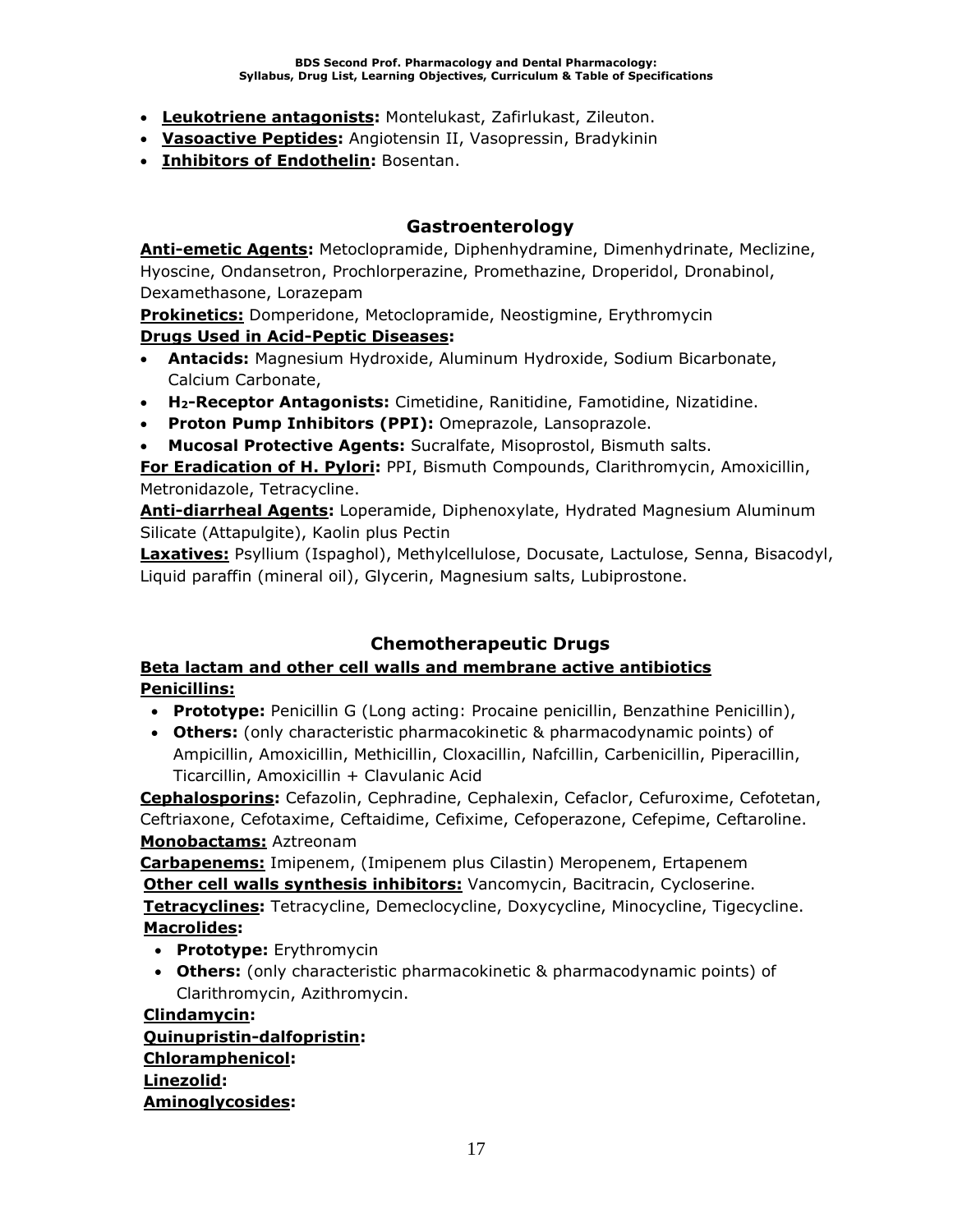- **Leukotriene antagonists:** Montelukast, Zafirlukast, Zileuton.
- **Vasoactive Peptides:** Angiotensin II, Vasopressin, Bradykinin
- **Inhibitors of Endothelin:** Bosentan.

### **Gastroenterology**

**Anti-emetic Agents:** Metoclopramide, Diphenhydramine, Dimenhydrinate, Meclizine, Hyoscine, Ondansetron, Prochlorperazine, Promethazine, Droperidol, Dronabinol, Dexamethasone, Lorazepam

**Prokinetics:** Domperidone, Metoclopramide, Neostigmine, Erythromycin **Drugs Used in Acid-Peptic Diseases:**

- **Antacids:** Magnesium Hydroxide, Aluminum Hydroxide, Sodium Bicarbonate, Calcium Carbonate,
- **H2-Receptor Antagonists:** Cimetidine, Ranitidine, Famotidine, Nizatidine.
- **Proton Pump Inhibitors (PPI):** Omeprazole, Lansoprazole.
- **Mucosal Protective Agents:** Sucralfate, Misoprostol, Bismuth salts.

**For Eradication of H. Pylori:** PPI, Bismuth Compounds, Clarithromycin, Amoxicillin, Metronidazole, Tetracycline.

**Anti-diarrheal Agents:** Loperamide, Diphenoxylate, Hydrated Magnesium Aluminum Silicate (Attapulgite), Kaolin plus Pectin

**Laxatives:** Psyllium (Ispaghol), Methylcellulose, Docusate, Lactulose, Senna, Bisacodyl, Liquid paraffin (mineral oil), Glycerin, Magnesium salts, Lubiprostone.

### **Chemotherapeutic Drugs**

### **Beta lactam and other cell walls and membrane active antibiotics Penicillins:**

• **Prototype:** Penicillin G (Long acting: Procaine penicillin, Benzathine Penicillin),

• **Others:** (only characteristic pharmacokinetic & pharmacodynamic points) of Ampicillin, Amoxicillin, Methicillin, Cloxacillin, Nafcillin, Carbenicillin, Piperacillin, Ticarcillin, Amoxicillin + Clavulanic Acid

**Cephalosporins:** Cefazolin, Cephradine, Cephalexin, Cefaclor, Cefuroxime, Cefotetan, Ceftriaxone, Cefotaxime, Ceftaidime, Cefixime, Cefoperazone, Cefepime, Ceftaroline. **Monobactams:** Aztreonam

**Carbapenems:** Imipenem, (Imipenem plus Cilastin) Meropenem, Ertapenem **Other cell walls synthesis inhibitors:** Vancomycin, Bacitracin, Cycloserine. **Tetracyclines:** Tetracycline, Demeclocycline, Doxycycline, Minocycline, Tigecycline. **Macrolides:**

- **Prototype:** Erythromycin
- **Others:** (only characteristic pharmacokinetic & pharmacodynamic points) of Clarithromycin, Azithromycin.

**Clindamycin: Quinupristin-dalfopristin: Chloramphenicol: Linezolid: Aminoglycosides:**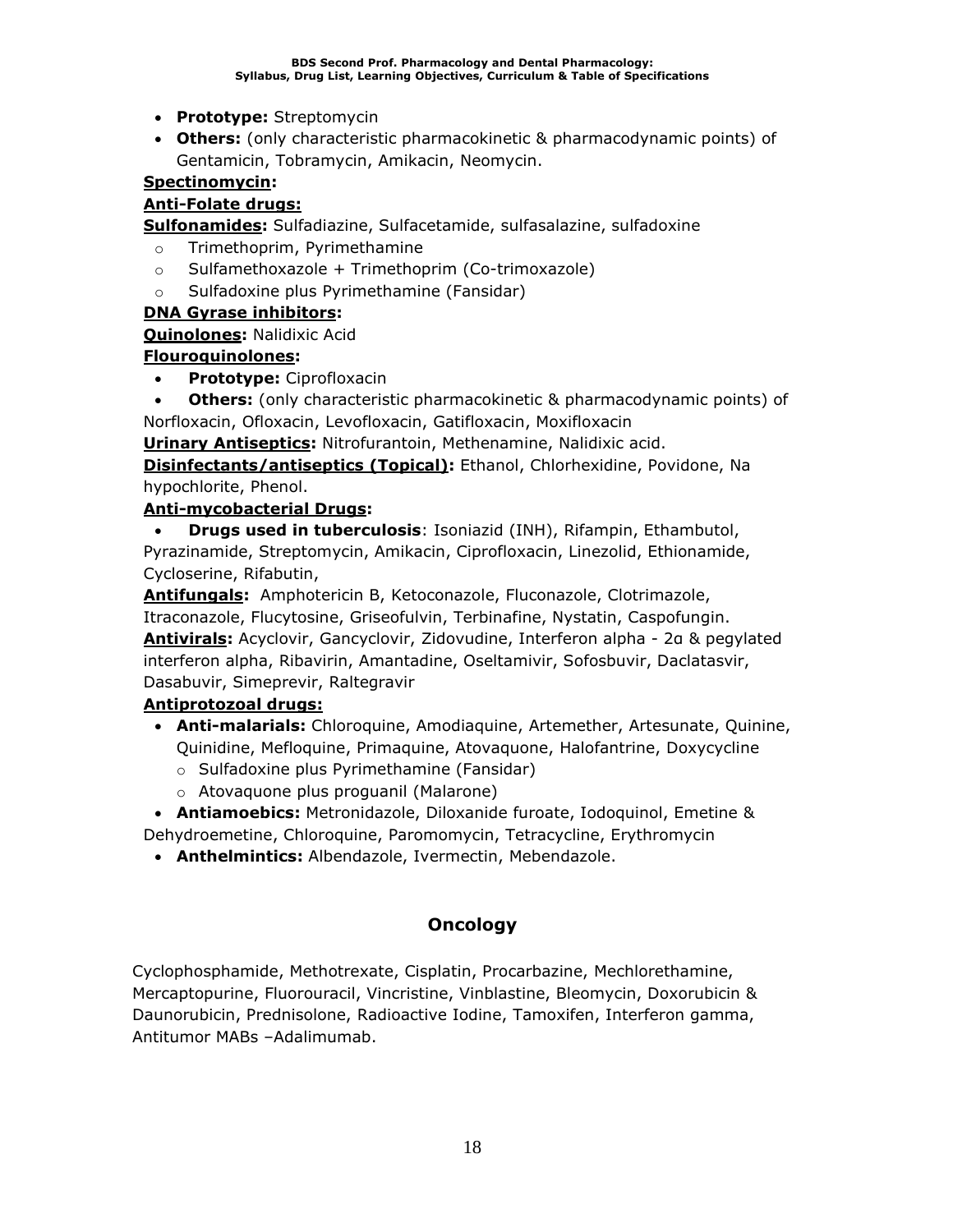- **Prototype:** Streptomycin
- **Others:** (only characteristic pharmacokinetic & pharmacodynamic points) of Gentamicin, Tobramycin, Amikacin, Neomycin.

### **Spectinomycin:**

### **Anti-Folate drugs:**

**Sulfonamides:** Sulfadiazine, Sulfacetamide, sulfasalazine, sulfadoxine

- o Trimethoprim, Pyrimethamine
- $\circ$  Sulfamethoxazole + Trimethoprim (Co-trimoxazole)
- o Sulfadoxine plus Pyrimethamine (Fansidar)

### **DNA Gyrase inhibitors:**

### **Quinolones:** Nalidixic Acid

### **Flouroquinolones:**

- **Prototype:** Ciprofloxacin
- **Others:** (only characteristic pharmacokinetic & pharmacodynamic points) of Norfloxacin, Ofloxacin, Levofloxacin, Gatifloxacin, Moxifloxacin

**Urinary Antiseptics:** Nitrofurantoin, Methenamine, Nalidixic acid.

**Disinfectants/antiseptics (Topical):** Ethanol, Chlorhexidine, Povidone, Na hypochlorite, Phenol.

### **Anti-mycobacterial Drugs:**

• **Drugs used in tuberculosis**: Isoniazid (INH), Rifampin, Ethambutol, Pyrazinamide, Streptomycin, Amikacin, Ciprofloxacin, Linezolid, Ethionamide, Cycloserine, Rifabutin,

**Antifungals:** Amphotericin B, Ketoconazole, Fluconazole, Clotrimazole, Itraconazole, Flucytosine, Griseofulvin, Terbinafine, Nystatin, Caspofungin. **Antivirals:** Acyclovir, Gancyclovir, Zidovudine, Interferon alpha - 2α & pegylated interferon alpha, Ribavirin, Amantadine, Oseltamivir, Sofosbuvir, Daclatasvir, Dasabuvir, Simeprevir, Raltegravir

### **Antiprotozoal drugs:**

- **Anti-malarials:** Chloroquine, Amodiaquine, Artemether, Artesunate, Quinine, Quinidine, Mefloquine, Primaquine, Atovaquone, Halofantrine, Doxycycline
	- o Sulfadoxine plus Pyrimethamine (Fansidar)
	- o Atovaquone plus proguanil (Malarone)

• **Antiamoebics:** Metronidazole, Diloxanide furoate, Iodoquinol, Emetine & Dehydroemetine, Chloroquine, Paromomycin, Tetracycline, Erythromycin

• **Anthelmintics:** Albendazole, Ivermectin, Mebendazole.

### **Oncology**

Cyclophosphamide, Methotrexate, Cisplatin, Procarbazine, Mechlorethamine, Mercaptopurine, Fluorouracil, Vincristine, Vinblastine, Bleomycin, Doxorubicin & Daunorubicin, Prednisolone, Radioactive Iodine, Tamoxifen, Interferon gamma, Antitumor MABs –Adalimumab.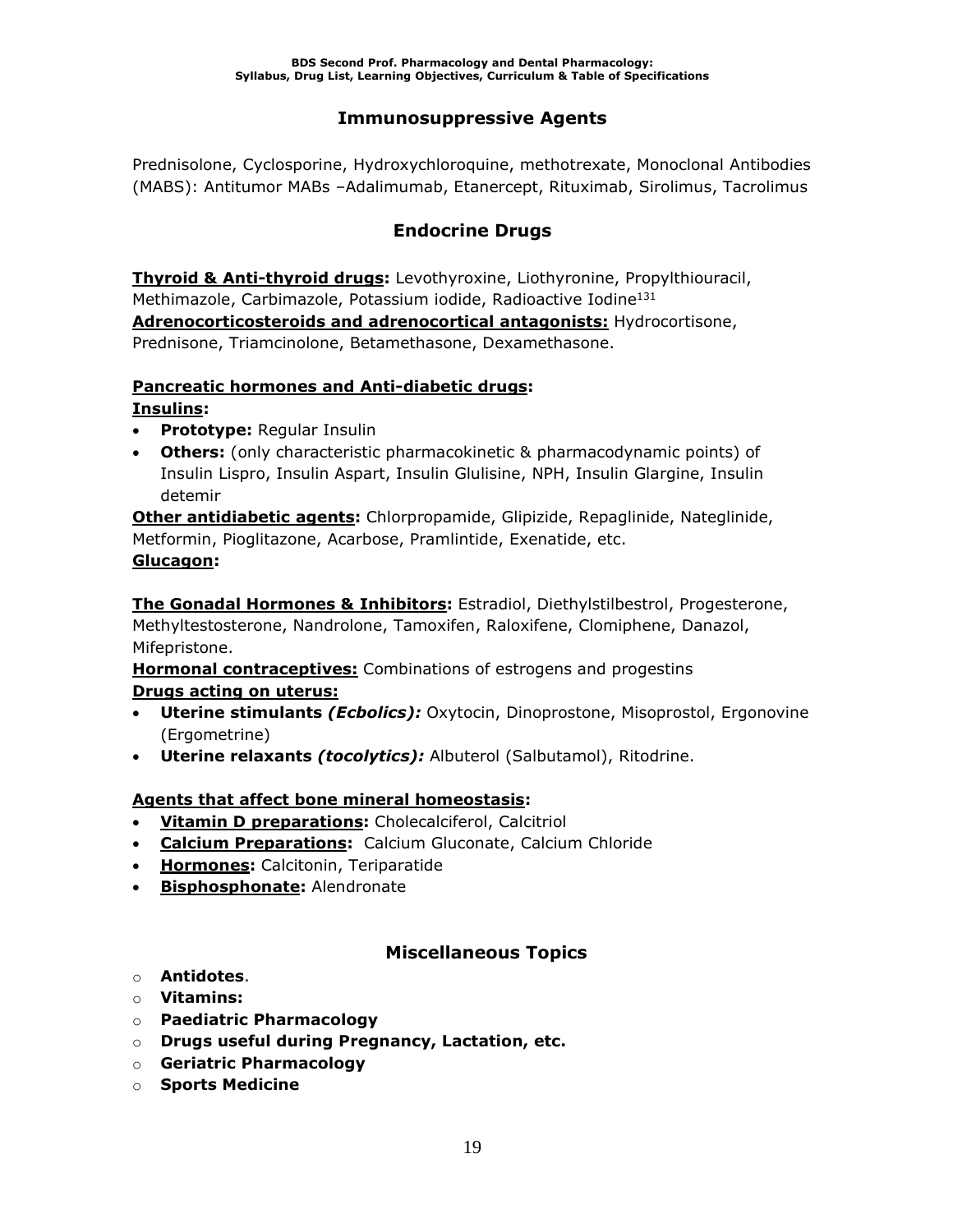### **Immunosuppressive Agents**

Prednisolone, Cyclosporine, Hydroxychloroquine, methotrexate, Monoclonal Antibodies (MABS): Antitumor MABs –Adalimumab, Etanercept, Rituximab, Sirolimus, Tacrolimus

### **Endocrine Drugs**

**Thyroid & Anti-thyroid drugs:** Levothyroxine, Liothyronine, Propylthiouracil, Methimazole, Carbimazole, Potassium iodide, Radioactive Iodine<sup>131</sup> **Adrenocorticosteroids and adrenocortical antagonists:** Hydrocortisone, Prednisone, Triamcinolone, Betamethasone, Dexamethasone.

### **Pancreatic hormones and Anti-diabetic drugs:**

**Insulins:**

- **Prototype:** Regular Insulin
- **Others:** (only characteristic pharmacokinetic & pharmacodynamic points) of Insulin Lispro, Insulin Aspart, Insulin Glulisine, NPH, Insulin Glargine, Insulin detemir

**Other antidiabetic agents:** Chlorpropamide, Glipizide, Repaglinide, Nateglinide, Metformin, Pioglitazone, Acarbose, Pramlintide, Exenatide, etc. **Glucagon:** 

**The Gonadal Hormones & Inhibitors:** Estradiol, Diethylstilbestrol, Progesterone, Methyltestosterone, Nandrolone, Tamoxifen, Raloxifene, Clomiphene, Danazol, Mifepristone.

**Hormonal contraceptives:** Combinations of estrogens and progestins **Drugs acting on uterus:**

- **Uterine stimulants** *(Ecbolics):* Oxytocin, Dinoprostone, Misoprostol, Ergonovine (Ergometrine)
- **Uterine relaxants** *(tocolytics):* Albuterol (Salbutamol), Ritodrine.

### **Agents that affect bone mineral homeostasis:**

- **Vitamin D preparations:** Cholecalciferol, Calcitriol
- **Calcium Preparations:** Calcium Gluconate, Calcium Chloride
- **Hormones:** Calcitonin, Teriparatide
- **Bisphosphonate:** Alendronate

### **Miscellaneous Topics**

- o **Antidotes**.
- o **Vitamins:**
- o **Paediatric Pharmacology**
- o **Drugs useful during Pregnancy, Lactation, etc.**
- o **Geriatric Pharmacology**
- o **Sports Medicine**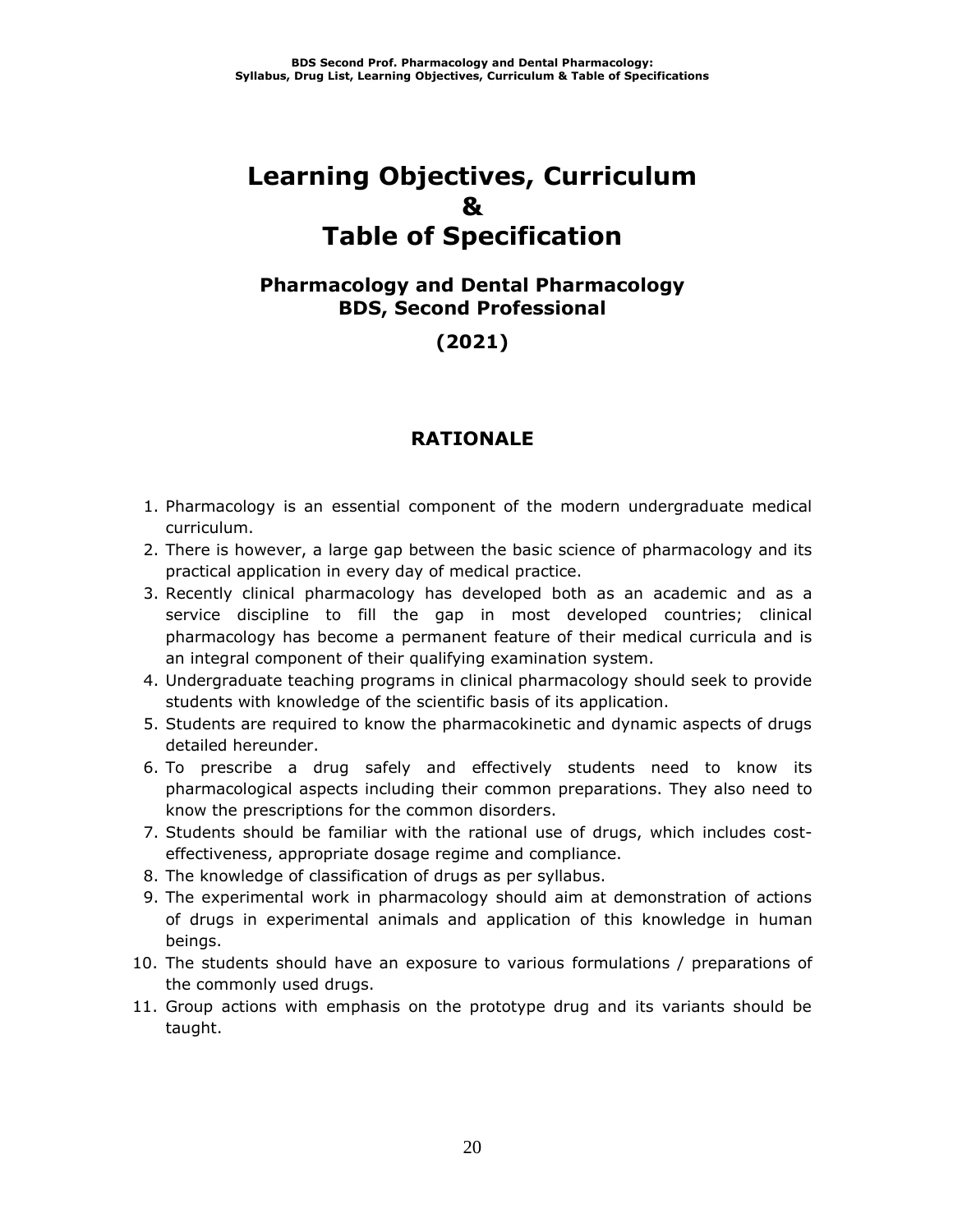# **Learning Objectives, Curriculum & Table of Specification**

### **Pharmacology and Dental Pharmacology BDS, Second Professional**

### **(2021)**

### **RATIONALE**

- 1. Pharmacology is an essential component of the modern undergraduate medical curriculum.
- 2. There is however, a large gap between the basic science of pharmacology and its practical application in every day of medical practice.
- 3. Recently clinical pharmacology has developed both as an academic and as a service discipline to fill the gap in most developed countries; clinical pharmacology has become a permanent feature of their medical curricula and is an integral component of their qualifying examination system.
- 4. Undergraduate teaching programs in clinical pharmacology should seek to provide students with knowledge of the scientific basis of its application.
- 5. Students are required to know the pharmacokinetic and dynamic aspects of drugs detailed hereunder.
- 6. To prescribe a drug safely and effectively students need to know its pharmacological aspects including their common preparations. They also need to know the prescriptions for the common disorders.
- 7. Students should be familiar with the rational use of drugs, which includes costeffectiveness, appropriate dosage regime and compliance.
- 8. The knowledge of classification of drugs as per syllabus.
- 9. The experimental work in pharmacology should aim at demonstration of actions of drugs in experimental animals and application of this knowledge in human beings.
- 10. The students should have an exposure to various formulations / preparations of the commonly used drugs.
- 11. Group actions with emphasis on the prototype drug and its variants should be taught.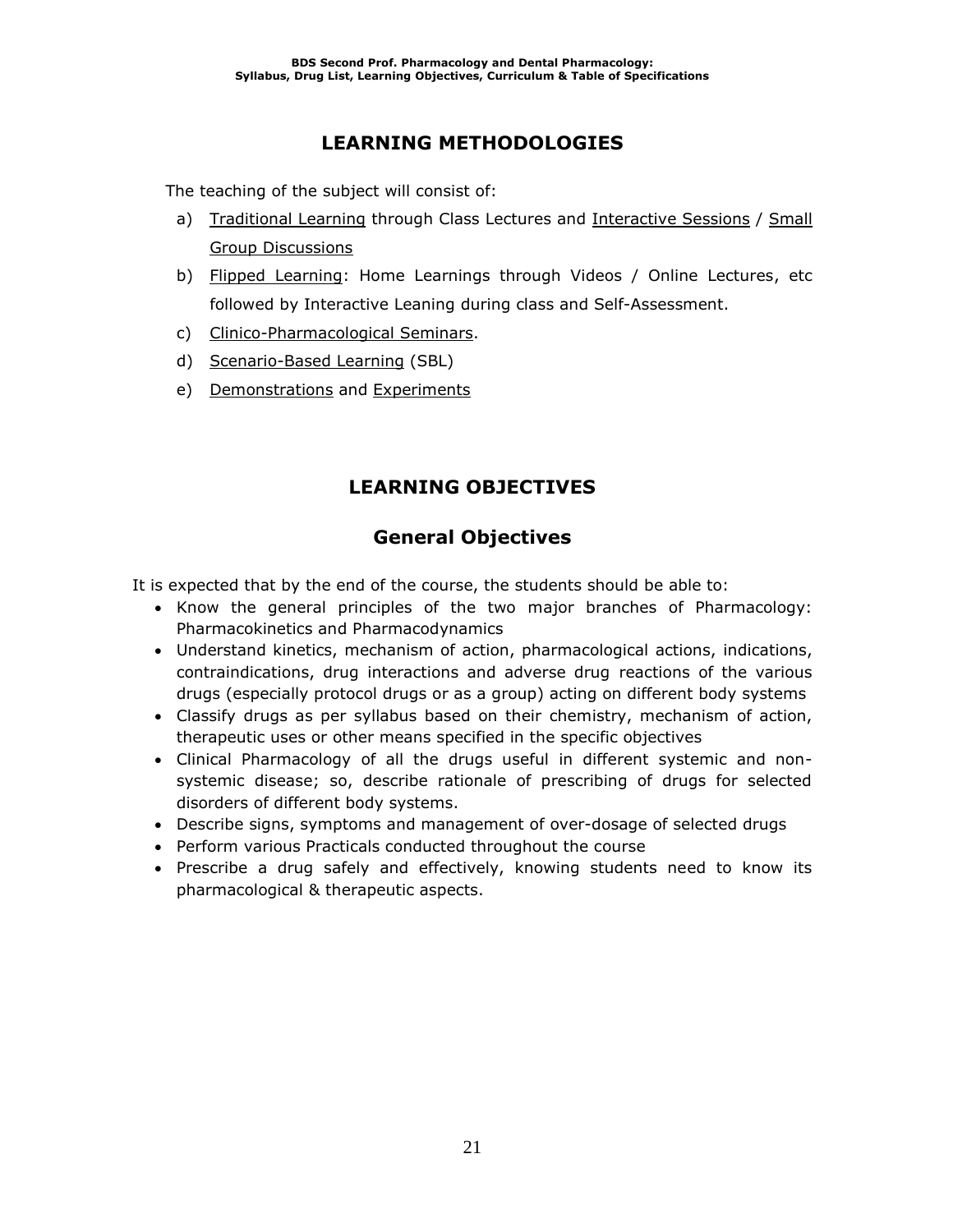### **LEARNING METHODOLOGIES**

The teaching of the subject will consist of:

- a) Traditional Learning through Class Lectures and Interactive Sessions / Small Group Discussions
- b) Flipped Learning: Home Learnings through Videos / Online Lectures, etc followed by Interactive Leaning during class and Self-Assessment.
- c) Clinico-Pharmacological Seminars.
- d) Scenario-Based Learning (SBL)
- e) Demonstrations and Experiments

### **LEARNING OBJECTIVES**

### **General Objectives**

It is expected that by the end of the course, the students should be able to:

- Know the general principles of the two major branches of Pharmacology: Pharmacokinetics and Pharmacodynamics
- Understand kinetics, mechanism of action, pharmacological actions, indications, contraindications, drug interactions and adverse drug reactions of the various drugs (especially protocol drugs or as a group) acting on different body systems
- Classify drugs as per syllabus based on their chemistry, mechanism of action, therapeutic uses or other means specified in the specific objectives
- Clinical Pharmacology of all the drugs useful in different systemic and nonsystemic disease; so, describe rationale of prescribing of drugs for selected disorders of different body systems.
- Describe signs, symptoms and management of over-dosage of selected drugs
- Perform various Practicals conducted throughout the course
- Prescribe a drug safely and effectively, knowing students need to know its pharmacological & therapeutic aspects.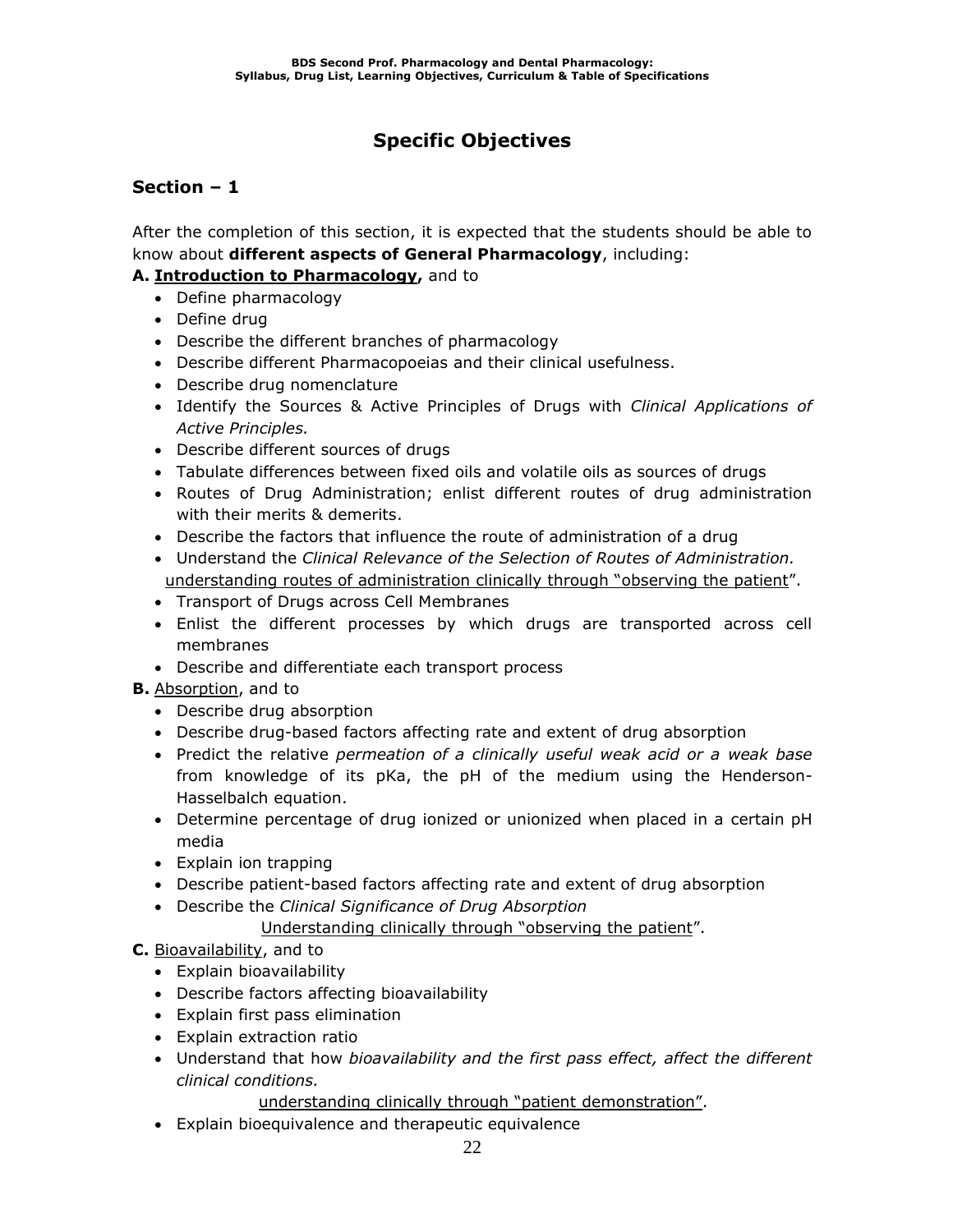### **Specific Objectives**

### **Section – 1**

After the completion of this section, it is expected that the students should be able to know about **different aspects of General Pharmacology**, including:

### **A. Introduction to Pharmacology,** and to

- Define pharmacology
- Define drug
- Describe the different branches of pharmacology
- Describe different Pharmacopoeias and their clinical usefulness.
- Describe drug nomenclature
- Identify the Sources & Active Principles of Drugs with *Clinical Applications of Active Principles.*
- Describe different sources of drugs
- Tabulate differences between fixed oils and volatile oils as sources of drugs
- Routes of Drug Administration; enlist different routes of drug administration with their merits & demerits.
- Describe the factors that influence the route of administration of a drug
- Understand the *Clinical Relevance of the Selection of Routes of Administration.* understanding routes of administration clinically through "observing the patient".
- Transport of Drugs across Cell Membranes
- Enlist the different processes by which drugs are transported across cell membranes
- Describe and differentiate each transport process

### **B.** Absorption, and to

- Describe drug absorption
- Describe drug-based factors affecting rate and extent of drug absorption
- Predict the relative *permeation of a clinically useful weak acid or a weak base* from knowledge of its pKa, the pH of the medium using the Henderson-Hasselbalch equation.
- Determine percentage of drug ionized or unionized when placed in a certain pH media
- Explain ion trapping
- Describe patient-based factors affecting rate and extent of drug absorption
- Describe the *Clinical Significance of Drug Absorption* Understanding clinically through "observing the patient".

### **C.** Bioavailability, and to

- Explain bioavailability
- Describe factors affecting bioavailability
- Explain first pass elimination
- Explain extraction ratio
- Understand that how *bioavailability and the first pass effect, affect the different clinical conditions.*

understanding clinically through "patient demonstration".

• Explain bioequivalence and therapeutic equivalence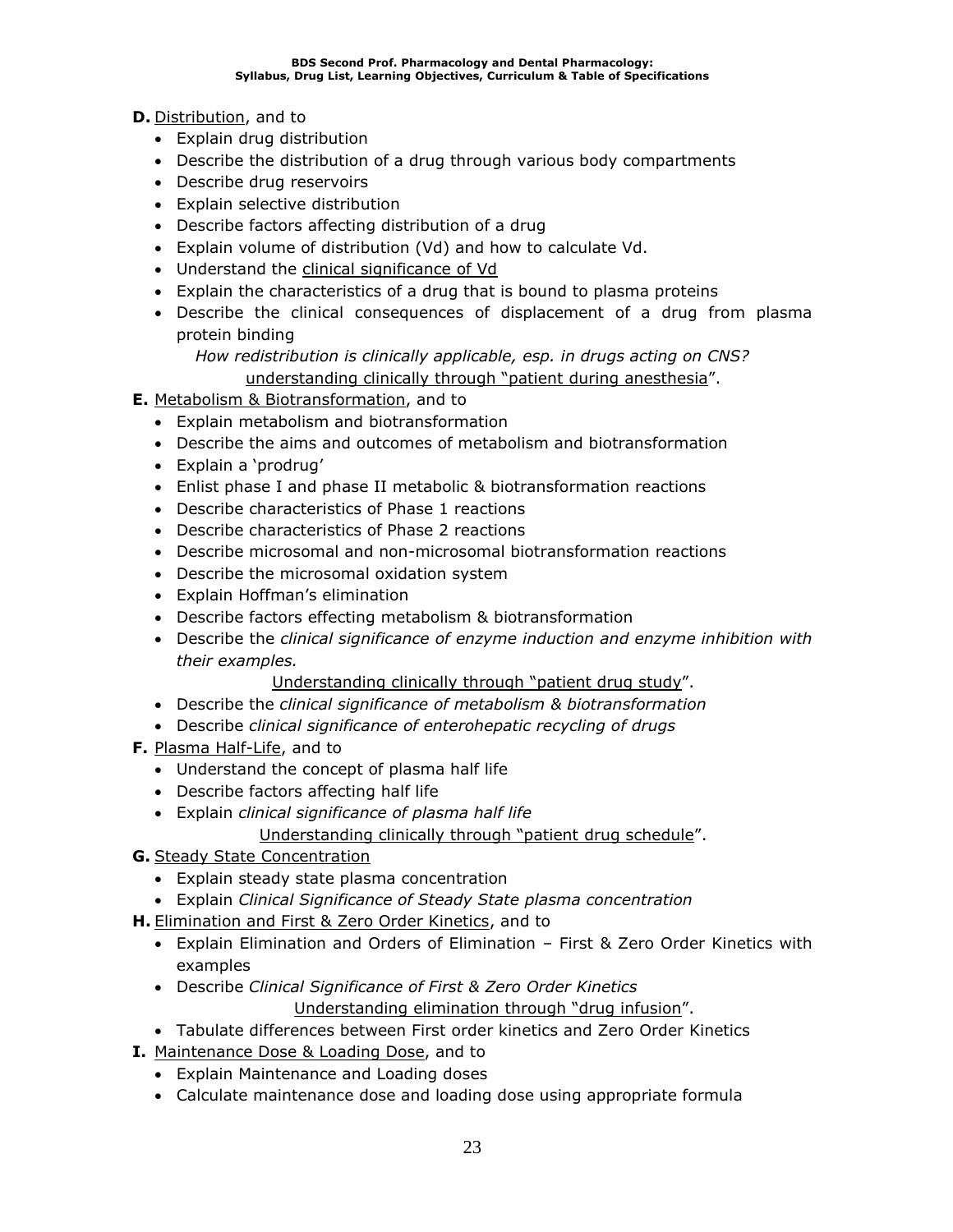**D.** Distribution, and to

- Explain drug distribution
- Describe the distribution of a drug through various body compartments
- Describe drug reservoirs
- Explain selective distribution
- Describe factors affecting distribution of a drug
- Explain volume of distribution (Vd) and how to calculate Vd.
- Understand the clinical significance of Vd
- Explain the characteristics of a drug that is bound to plasma proteins
- Describe the clinical consequences of displacement of a drug from plasma protein binding
	- *How redistribution is clinically applicable, esp. in drugs acting on CNS?* understanding clinically through "patient during anesthesia".
- **E.** Metabolism & Biotransformation, and to
	- Explain metabolism and biotransformation
	- Describe the aims and outcomes of metabolism and biotransformation
	- Explain a 'prodrug'
	- Enlist phase I and phase II metabolic & biotransformation reactions
	- Describe characteristics of Phase 1 reactions
	- Describe characteristics of Phase 2 reactions
	- Describe microsomal and non-microsomal biotransformation reactions
	- Describe the microsomal oxidation system
	- Explain Hoffman's elimination
	- Describe factors effecting metabolism & biotransformation
	- Describe the *clinical significance of enzyme induction and enzyme inhibition with their examples.*

Understanding clinically through "patient drug study".

- Describe the *clinical significance of metabolism & biotransformation*
- Describe *clinical significance of enterohepatic recycling of drugs*
- **F.** Plasma Half-Life, and to
	- Understand the concept of plasma half life
	- Describe factors affecting half life
	- Explain *clinical significance of plasma half life*
		- Understanding clinically through "patient drug schedule".
- **G.** Steady State Concentration
	- Explain steady state plasma concentration
	- Explain *Clinical Significance of Steady State plasma concentration*
- **H.** Elimination and First & Zero Order Kinetics, and to
	- Explain Elimination and Orders of Elimination First & Zero Order Kinetics with examples
	- Describe *Clinical Significance of First & Zero Order Kinetics* Understanding elimination through "drug infusion".
	- Tabulate differences between First order kinetics and Zero Order Kinetics
- **I.** Maintenance Dose & Loading Dose, and to
	- Explain Maintenance and Loading doses
	- Calculate maintenance dose and loading dose using appropriate formula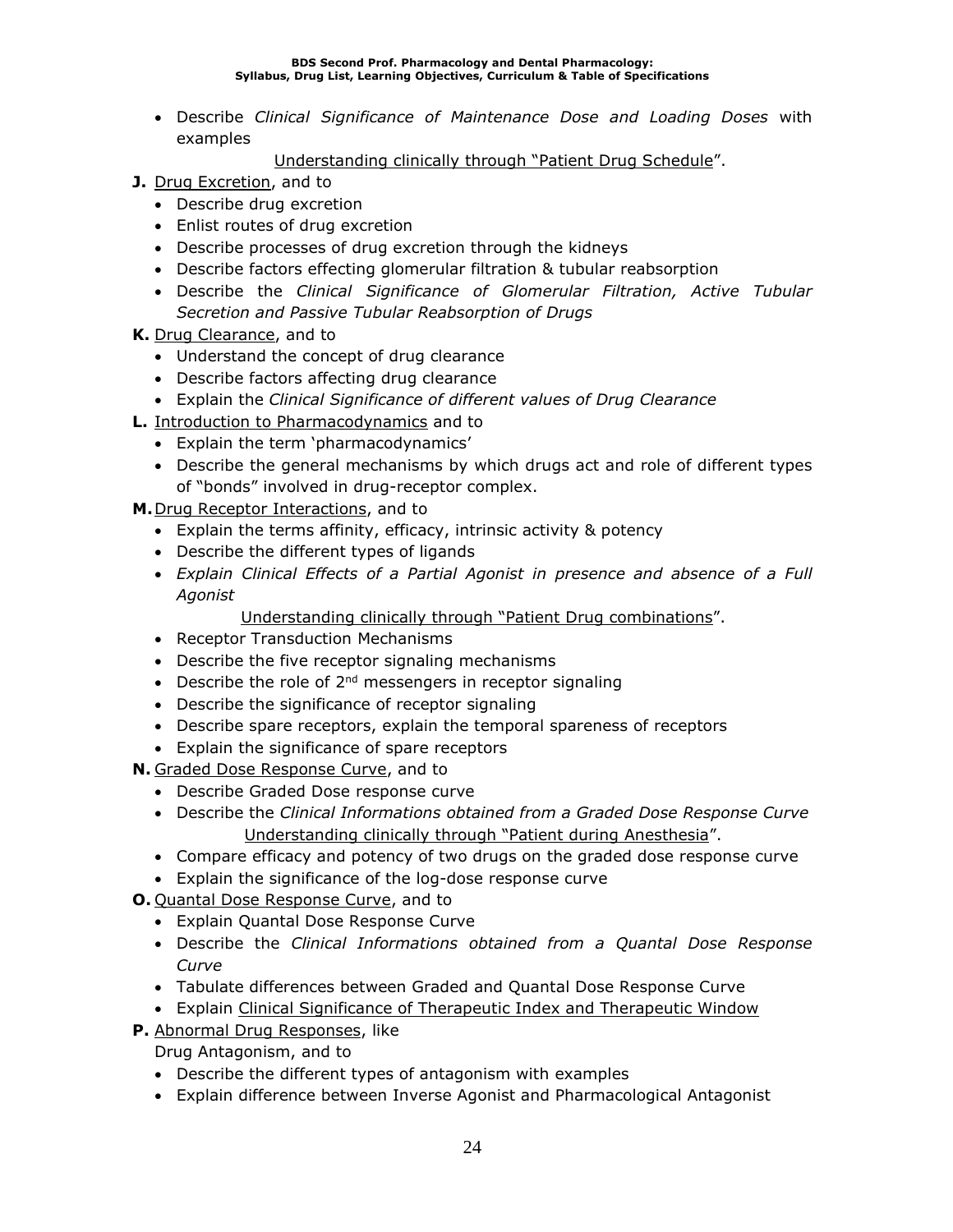#### **BDS Second Prof. Pharmacology and Dental Pharmacology: Syllabus, Drug List, Learning Objectives, Curriculum & Table of Specifications**

• Describe *Clinical Significance of Maintenance Dose and Loading Doses* with examples

Understanding clinically through "Patient Drug Schedule".

- **J.** Drug Excretion, and to
	- Describe drug excretion
	- Enlist routes of drug excretion
	- Describe processes of drug excretion through the kidneys
	- Describe factors effecting glomerular filtration & tubular reabsorption
	- Describe the *Clinical Significance of Glomerular Filtration, Active Tubular Secretion and Passive Tubular Reabsorption of Drugs*
- **K.** Drug Clearance, and to
	- Understand the concept of drug clearance
	- Describe factors affecting drug clearance
	- Explain the *Clinical Significance of different values of Drug Clearance*
- **L.** Introduction to Pharmacodynamics and to
	- Explain the term 'pharmacodynamics'
	- Describe the general mechanisms by which drugs act and role of different types of "bonds" involved in drug-receptor complex.

**M.**Drug Receptor Interactions, and to

- Explain the terms affinity, efficacy, intrinsic activity & potency
- Describe the different types of ligands
- *Explain Clinical Effects of a Partial Agonist in presence and absence of a Full Agonist*

Understanding clinically through "Patient Drug combinations".

- Receptor Transduction Mechanisms
- Describe the five receptor signaling mechanisms
- Describe the role of  $2^{nd}$  messengers in receptor signaling
- Describe the significance of receptor signaling
- Describe spare receptors, explain the temporal spareness of receptors
- Explain the significance of spare receptors

**N.** Graded Dose Response Curve, and to

- Describe Graded Dose response curve
- Describe the *Clinical Informations obtained from a Graded Dose Response Curve* Understanding clinically through "Patient during Anesthesia".
- Compare efficacy and potency of two drugs on the graded dose response curve
- Explain the significance of the log-dose response curve
- **O.** Quantal Dose Response Curve, and to
	- Explain Quantal Dose Response Curve
	- Describe the *Clinical Informations obtained from a Quantal Dose Response Curve*
	- Tabulate differences between Graded and Quantal Dose Response Curve
	- Explain Clinical Significance of Therapeutic Index and Therapeutic Window
- **P.** Abnormal Drug Responses, like

Drug Antagonism, and to

- Describe the different types of antagonism with examples
- Explain difference between Inverse Agonist and Pharmacological Antagonist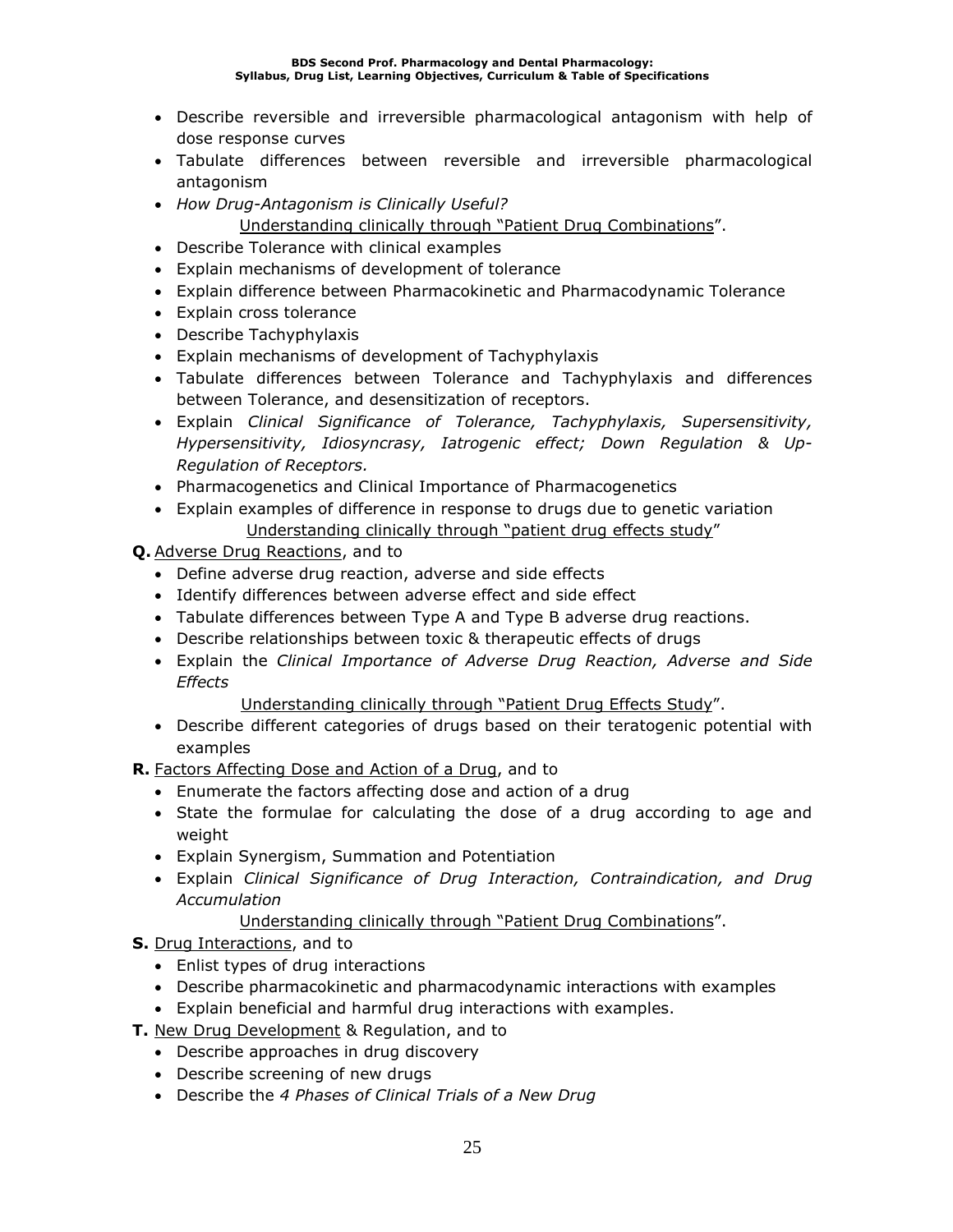- Describe reversible and irreversible pharmacological antagonism with help of dose response curves
- Tabulate differences between reversible and irreversible pharmacological antagonism
- *How Drug-Antagonism is Clinically Useful?*
	- Understanding clinically through "Patient Drug Combinations".
- Describe Tolerance with clinical examples
- Explain mechanisms of development of tolerance
- Explain difference between Pharmacokinetic and Pharmacodynamic Tolerance
- Explain cross tolerance
- Describe Tachyphylaxis
- Explain mechanisms of development of Tachyphylaxis
- Tabulate differences between Tolerance and Tachyphylaxis and differences between Tolerance, and desensitization of receptors.
- Explain *Clinical Significance of Tolerance, Tachyphylaxis, Supersensitivity, Hypersensitivity, Idiosyncrasy, Iatrogenic effect; Down Regulation & Up-Regulation of Receptors.*
- Pharmacogenetics and Clinical Importance of Pharmacogenetics
- Explain examples of difference in response to drugs due to genetic variation Understanding clinically through "patient drug effects study"
- **Q.** Adverse Drug Reactions, and to
	- Define adverse drug reaction, adverse and side effects
	- Identify differences between adverse effect and side effect
	- Tabulate differences between Type A and Type B adverse drug reactions.
	- Describe relationships between toxic & therapeutic effects of drugs
	- Explain the *Clinical Importance of Adverse Drug Reaction, Adverse and Side Effects*
		- Understanding clinically through "Patient Drug Effects Study".
	- Describe different categories of drugs based on their teratogenic potential with examples
- **R.** Factors Affecting Dose and Action of a Drug, and to
	- Enumerate the factors affecting dose and action of a drug
	- State the formulae for calculating the dose of a drug according to age and weight
	- Explain Synergism, Summation and Potentiation
	- Explain *Clinical Significance of Drug Interaction, Contraindication, and Drug Accumulation*

### Understanding clinically through "Patient Drug Combinations".

- **S.** Drug Interactions, and to
	- Enlist types of drug interactions
	- Describe pharmacokinetic and pharmacodynamic interactions with examples
	- Explain beneficial and harmful drug interactions with examples.
- **T.** New Drug Development & Regulation, and to
	- Describe approaches in drug discovery
	- Describe screening of new drugs
	- Describe the *4 Phases of Clinical Trials of a New Drug*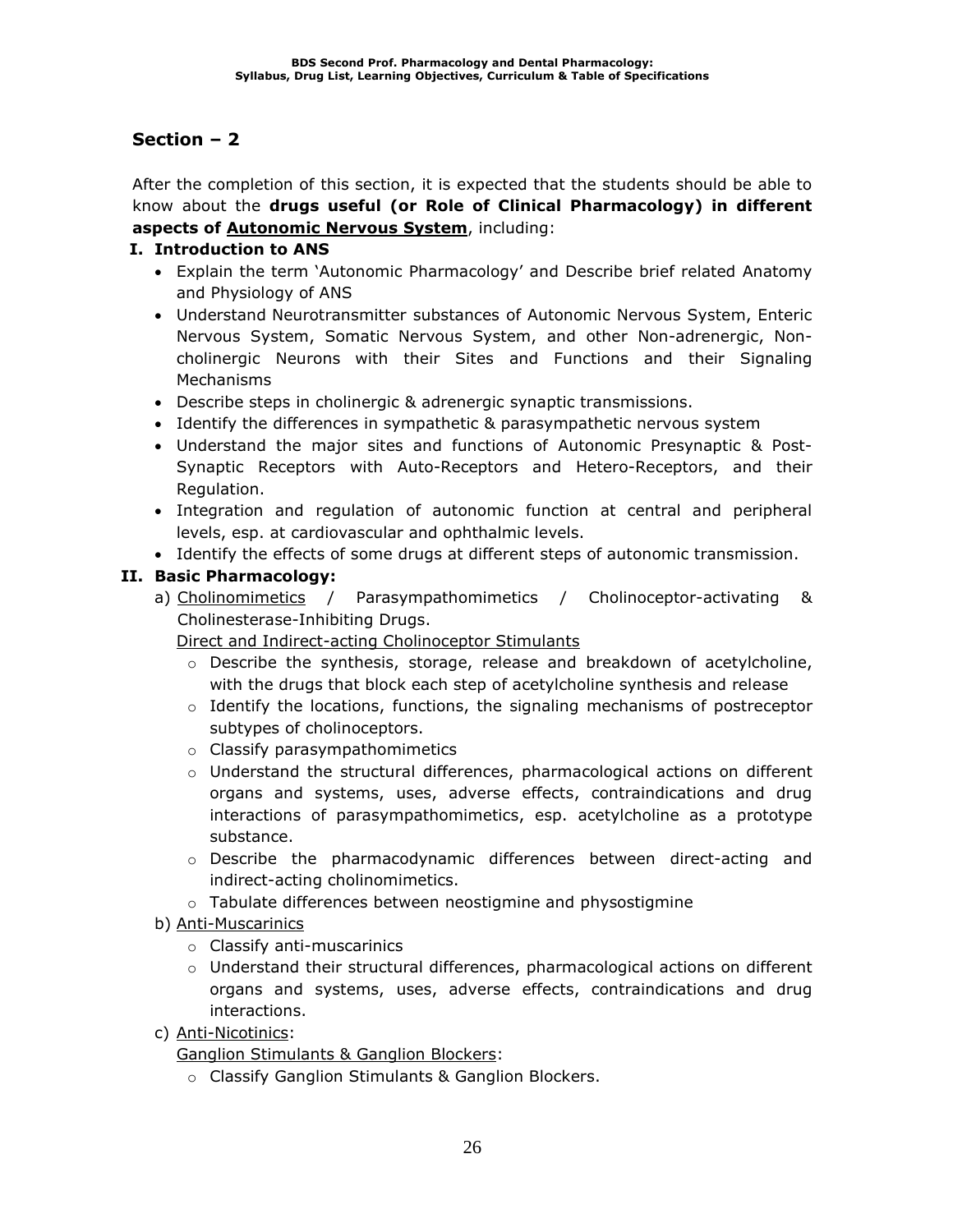After the completion of this section, it is expected that the students should be able to know about the **drugs useful (or Role of Clinical Pharmacology) in different aspects of Autonomic Nervous System**, including:

### **I. Introduction to ANS**

- Explain the term 'Autonomic Pharmacology' and Describe brief related Anatomy and Physiology of ANS
- Understand Neurotransmitter substances of Autonomic Nervous System, Enteric Nervous System, Somatic Nervous System, and other Non-adrenergic, Noncholinergic Neurons with their Sites and Functions and their Signaling Mechanisms
- Describe steps in cholinergic & adrenergic synaptic transmissions.
- Identify the differences in sympathetic & parasympathetic nervous system
- Understand the major sites and functions of Autonomic Presynaptic & Post-Synaptic Receptors with Auto-Receptors and Hetero-Receptors, and their Regulation.
- Integration and regulation of autonomic function at central and peripheral levels, esp. at cardiovascular and ophthalmic levels.
- Identify the effects of some drugs at different steps of autonomic transmission.

### **II. Basic Pharmacology:**

a) Cholinomimetics / Parasympathomimetics / Cholinoceptor-activating & Cholinesterase-Inhibiting Drugs.

Direct and Indirect-acting Cholinoceptor Stimulants

- $\circ$  Describe the synthesis, storage, release and breakdown of acetylcholine, with the drugs that block each step of acetylcholine synthesis and release
- $\circ$  Identify the locations, functions, the signaling mechanisms of postreceptor subtypes of cholinoceptors.
- o Classify parasympathomimetics
- $\circ$  Understand the structural differences, pharmacological actions on different organs and systems, uses, adverse effects, contraindications and drug interactions of parasympathomimetics, esp. acetylcholine as a prototype substance.
- o Describe the pharmacodynamic differences between direct-acting and indirect-acting cholinomimetics.
- o Tabulate differences between neostigmine and physostigmine
- b) Anti-Muscarinics
	- o Classify anti-muscarinics
	- o Understand their structural differences, pharmacological actions on different organs and systems, uses, adverse effects, contraindications and drug interactions.
- c) Anti-Nicotinics:

Ganglion Stimulants & Ganglion Blockers:

o Classify Ganglion Stimulants & Ganglion Blockers.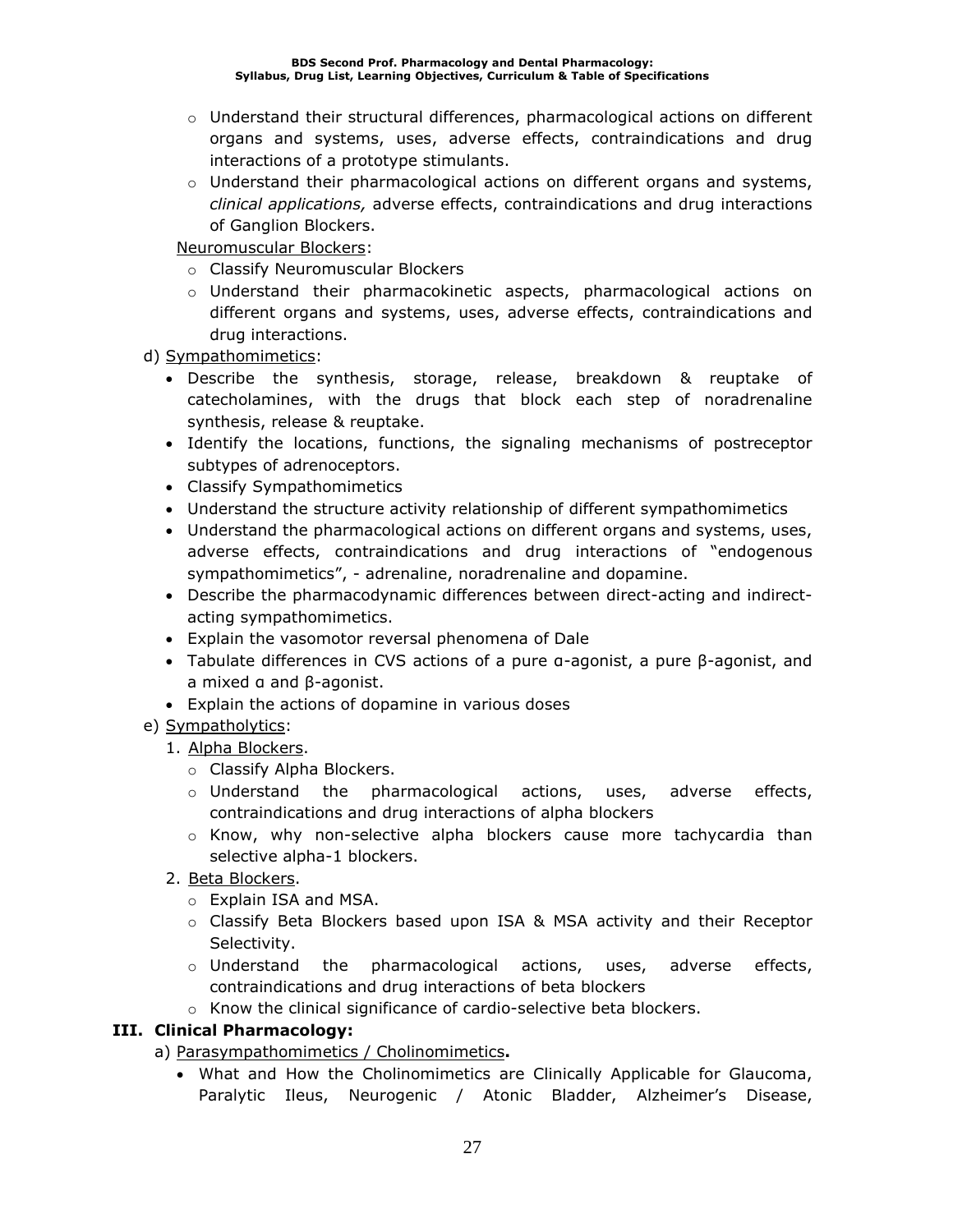- $\circ$  Understand their structural differences, pharmacological actions on different organs and systems, uses, adverse effects, contraindications and drug interactions of a prototype stimulants.
- $\circ$  Understand their pharmacological actions on different organs and systems, *clinical applications,* adverse effects, contraindications and drug interactions of Ganglion Blockers.

Neuromuscular Blockers:

- o Classify Neuromuscular Blockers
- o Understand their pharmacokinetic aspects, pharmacological actions on different organs and systems, uses, adverse effects, contraindications and drug interactions.

d) Sympathomimetics:

- Describe the synthesis, storage, release, breakdown & reuptake of catecholamines, with the drugs that block each step of noradrenaline synthesis, release & reuptake.
- Identify the locations, functions, the signaling mechanisms of postreceptor subtypes of adrenoceptors.
- Classify Sympathomimetics
- Understand the structure activity relationship of different sympathomimetics
- Understand the pharmacological actions on different organs and systems, uses, adverse effects, contraindications and drug interactions of "endogenous sympathomimetics", - adrenaline, noradrenaline and dopamine.
- Describe the pharmacodynamic differences between direct-acting and indirectacting sympathomimetics.
- Explain the vasomotor reversal phenomena of Dale
- Tabulate differences in CVS actions of a pure α-agonist, a pure β-agonist, and a mixed α and β-agonist.
- Explain the actions of dopamine in various doses
- e) Sympatholytics:
	- 1. Alpha Blockers.
		- o Classify Alpha Blockers.
		- $\circ$  Understand the pharmacological actions, uses, adverse effects, contraindications and drug interactions of alpha blockers
		- o Know, why non-selective alpha blockers cause more tachycardia than selective alpha-1 blockers.
	- 2. Beta Blockers.
		- o Explain ISA and MSA.
		- o Classify Beta Blockers based upon ISA & MSA activity and their Receptor Selectivity.
		- $\circ$  Understand the pharmacological actions, uses, adverse effects, contraindications and drug interactions of beta blockers
		- o Know the clinical significance of cardio-selective beta blockers.

### **III. Clinical Pharmacology:**

a) Parasympathomimetics / Cholinomimetics**.**

• What and How the Cholinomimetics are Clinically Applicable for Glaucoma, Paralytic Ileus, Neurogenic / Atonic Bladder, Alzheimer's Disease,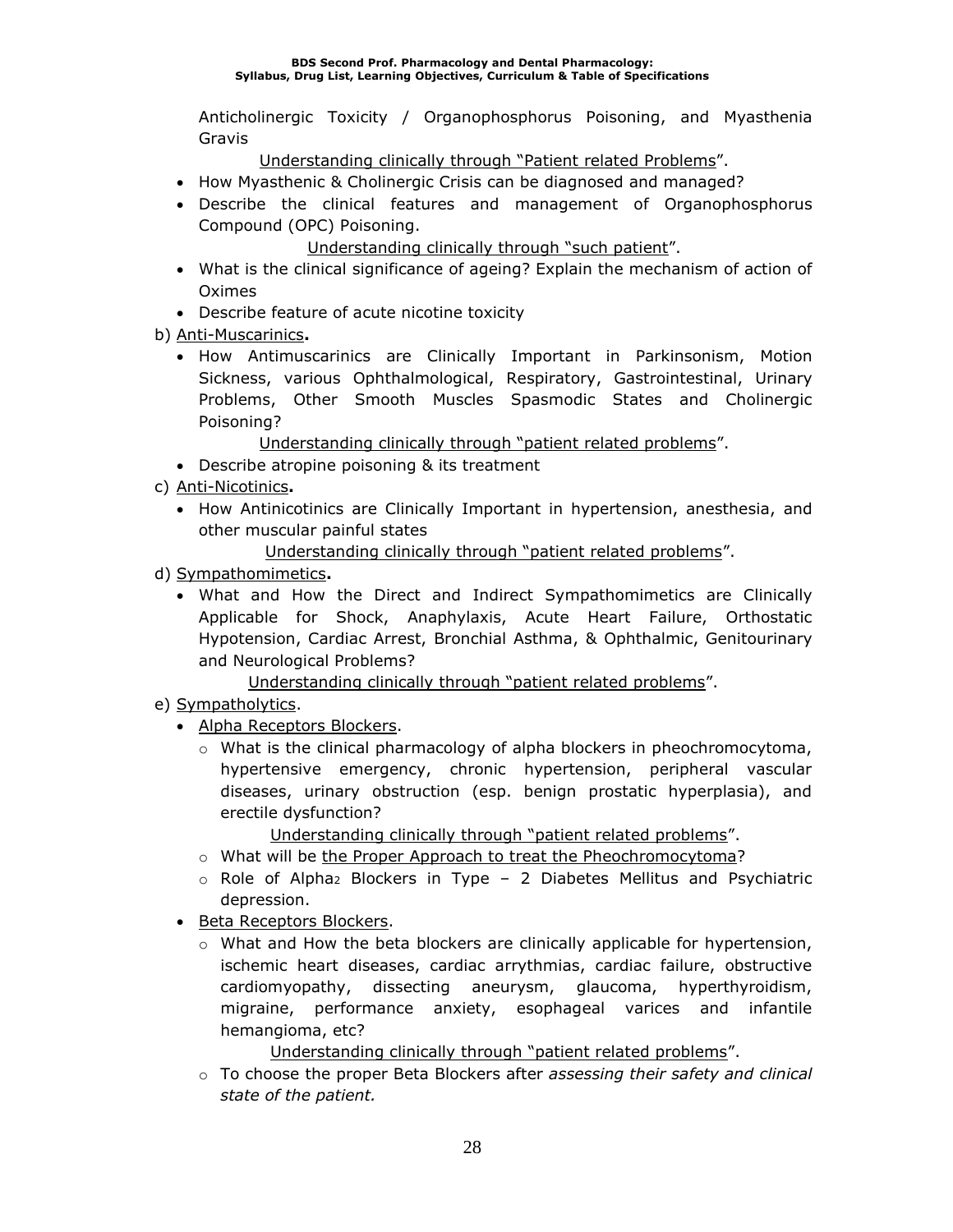Anticholinergic Toxicity / Organophosphorus Poisoning, and Myasthenia Gravis

Understanding clinically through "Patient related Problems".

- How Myasthenic & Cholinergic Crisis can be diagnosed and managed?
- Describe the clinical features and management of Organophosphorus Compound (OPC) Poisoning.

Understanding clinically through "such patient".

- What is the clinical significance of ageing? Explain the mechanism of action of Oximes
- Describe feature of acute nicotine toxicity
- b) Anti-Muscarinics**.**
	- How Antimuscarinics are Clinically Important in Parkinsonism, Motion Sickness, various Ophthalmological, Respiratory, Gastrointestinal, Urinary Problems, Other Smooth Muscles Spasmodic States and Cholinergic Poisoning?

Understanding clinically through "patient related problems".

- Describe atropine poisoning & its treatment
- c) Anti-Nicotinics**.**
	- How Antinicotinics are Clinically Important in hypertension, anesthesia, and other muscular painful states

Understanding clinically through "patient related problems".

- d) Sympathomimetics**.**
	- What and How the Direct and Indirect Sympathomimetics are Clinically Applicable for Shock, Anaphylaxis, Acute Heart Failure, Orthostatic Hypotension, Cardiac Arrest, Bronchial Asthma, & Ophthalmic, Genitourinary and Neurological Problems?

Understanding clinically through "patient related problems".

- e) Sympatholytics.
	- Alpha Receptors Blockers.
		- $\circ$  What is the clinical pharmacology of alpha blockers in pheochromocytoma, hypertensive emergency, chronic hypertension, peripheral vascular diseases, urinary obstruction (esp. benign prostatic hyperplasia), and erectile dysfunction?

Understanding clinically through "patient related problems".

- $\circ$  What will be the Proper Approach to treat the Pheochromocytoma?
- $\circ$  Role of Alpha<sub>2</sub> Blockers in Type 2 Diabetes Mellitus and Psychiatric depression.
- Beta Receptors Blockers.
	- $\circ$  What and How the beta blockers are clinically applicable for hypertension, ischemic heart diseases, cardiac arrythmias, cardiac failure, obstructive cardiomyopathy, dissecting aneurysm, glaucoma, hyperthyroidism, migraine, performance anxiety, esophageal varices and infantile hemangioma, etc?

Understanding clinically through "patient related problems".

o To choose the proper Beta Blockers after *assessing their safety and clinical state of the patient.*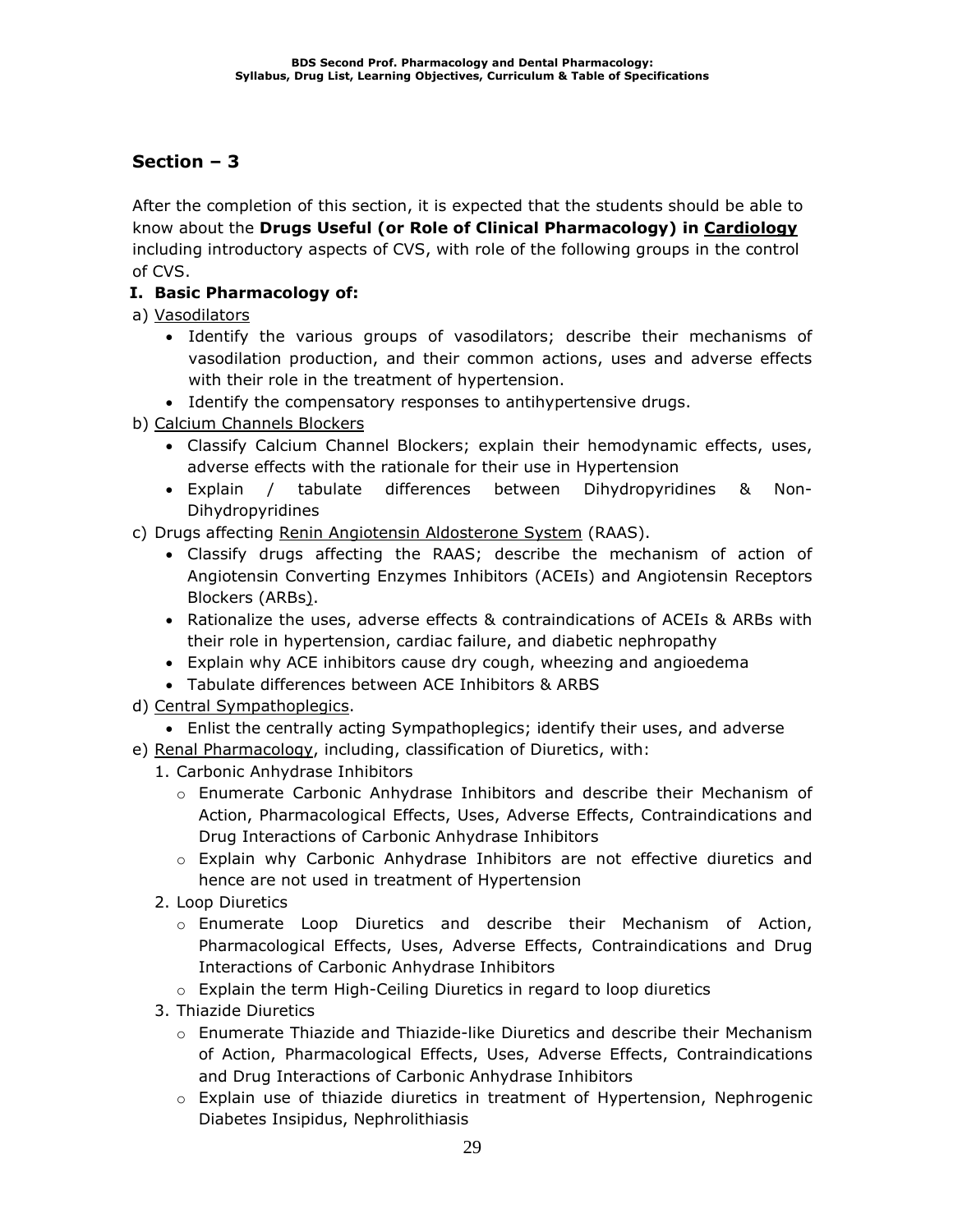After the completion of this section, it is expected that the students should be able to know about the **Drugs Useful (or Role of Clinical Pharmacology) in Cardiology** including introductory aspects of CVS, with role of the following groups in the control of CVS.

### **I. Basic Pharmacology of:**

a) Vasodilators

- Identify the various groups of vasodilators; describe their mechanisms of vasodilation production, and their common actions, uses and adverse effects with their role in the treatment of hypertension.
- Identify the compensatory responses to antihypertensive drugs.
- b) Calcium Channels Blockers
	- Classify Calcium Channel Blockers; explain their hemodynamic effects, uses, adverse effects with the rationale for their use in Hypertension
	- Explain / tabulate differences between Dihydropyridines & Non-Dihydropyridines
- c) Drugs affecting Renin Angiotensin Aldosterone System (RAAS).
	- Classify drugs affecting the RAAS; describe the mechanism of action of Angiotensin Converting Enzymes Inhibitors (ACEIs) and Angiotensin Receptors Blockers (ARBs).
	- Rationalize the uses, adverse effects & contraindications of ACEIs & ARBs with their role in hypertension, cardiac failure, and diabetic nephropathy
	- Explain why ACE inhibitors cause dry cough, wheezing and angioedema
	- Tabulate differences between ACE Inhibitors & ARBS
- d) Central Sympathoplegics.
	- Enlist the centrally acting Sympathoplegics; identify their uses, and adverse
- e) Renal Pharmacology, including, classification of Diuretics, with:
	- 1. Carbonic Anhydrase Inhibitors
		- o Enumerate Carbonic Anhydrase Inhibitors and describe their Mechanism of Action, Pharmacological Effects, Uses, Adverse Effects, Contraindications and Drug Interactions of Carbonic Anhydrase Inhibitors
		- o Explain why Carbonic Anhydrase Inhibitors are not effective diuretics and hence are not used in treatment of Hypertension
	- 2. Loop Diuretics
		- o Enumerate Loop Diuretics and describe their Mechanism of Action, Pharmacological Effects, Uses, Adverse Effects, Contraindications and Drug Interactions of Carbonic Anhydrase Inhibitors
		- o Explain the term High-Ceiling Diuretics in regard to loop diuretics
	- 3. Thiazide Diuretics
		- o Enumerate Thiazide and Thiazide-like Diuretics and describe their Mechanism of Action, Pharmacological Effects, Uses, Adverse Effects, Contraindications and Drug Interactions of Carbonic Anhydrase Inhibitors
		- $\circ$  Explain use of thiazide diuretics in treatment of Hypertension, Nephrogenic Diabetes Insipidus, Nephrolithiasis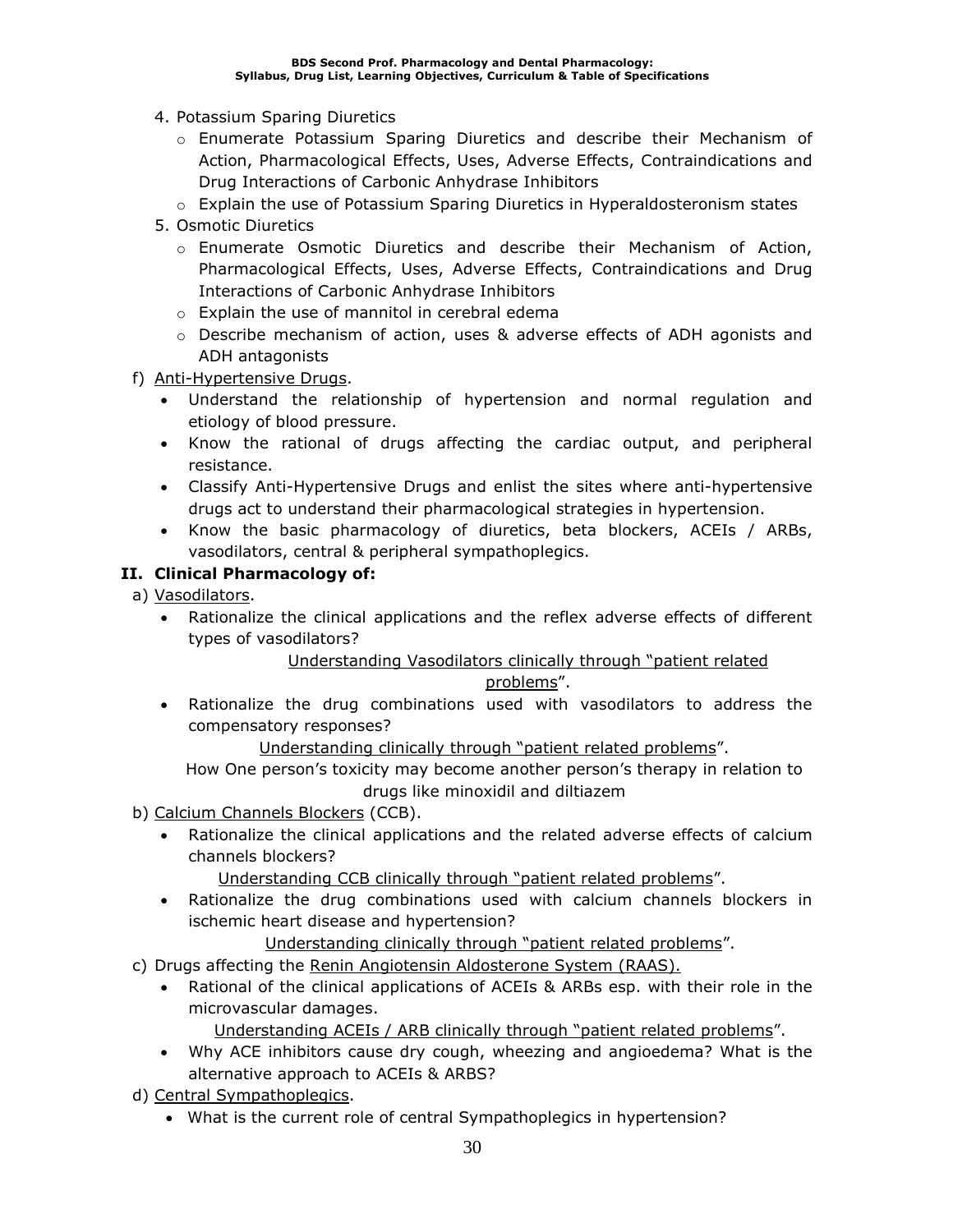- 4. Potassium Sparing Diuretics
	- o Enumerate Potassium Sparing Diuretics and describe their Mechanism of Action, Pharmacological Effects, Uses, Adverse Effects, Contraindications and Drug Interactions of Carbonic Anhydrase Inhibitors
	- o Explain the use of Potassium Sparing Diuretics in Hyperaldosteronism states
- 5. Osmotic Diuretics
	- o Enumerate Osmotic Diuretics and describe their Mechanism of Action, Pharmacological Effects, Uses, Adverse Effects, Contraindications and Drug Interactions of Carbonic Anhydrase Inhibitors
	- o Explain the use of mannitol in cerebral edema
	- o Describe mechanism of action, uses & adverse effects of ADH agonists and ADH antagonists
- f) Anti-Hypertensive Drugs.
	- Understand the relationship of hypertension and normal regulation and etiology of blood pressure.
	- Know the rational of drugs affecting the cardiac output, and peripheral resistance.
	- Classify Anti-Hypertensive Drugs and enlist the sites where anti-hypertensive drugs act to understand their pharmacological strategies in hypertension.
	- Know the basic pharmacology of diuretics, beta blockers, ACEIs / ARBs, vasodilators, central & peripheral sympathoplegics.

### **II. Clinical Pharmacology of:**

- a) Vasodilators.
	- Rationalize the clinical applications and the reflex adverse effects of different types of vasodilators?

### Understanding Vasodilators clinically through "patient related

### problems".

• Rationalize the drug combinations used with vasodilators to address the compensatory responses?

Understanding clinically through "patient related problems".

How One person's toxicity may become another person's therapy in relation to drugs like minoxidil and diltiazem

- b) Calcium Channels Blockers (CCB).
	- Rationalize the clinical applications and the related adverse effects of calcium channels blockers?

Understanding CCB clinically through "patient related problems".

• Rationalize the drug combinations used with calcium channels blockers in ischemic heart disease and hypertension?

Understanding clinically through "patient related problems".

- c) Drugs affecting the Renin Angiotensin Aldosterone System (RAAS).
	- Rational of the clinical applications of ACEIs & ARBs esp. with their role in the microvascular damages.

Understanding ACEIs / ARB clinically through "patient related problems".

- Why ACE inhibitors cause dry cough, wheezing and angioedema? What is the alternative approach to ACEIs & ARBS?
- d) Central Sympathoplegics.
	- What is the current role of central Sympathoplegics in hypertension?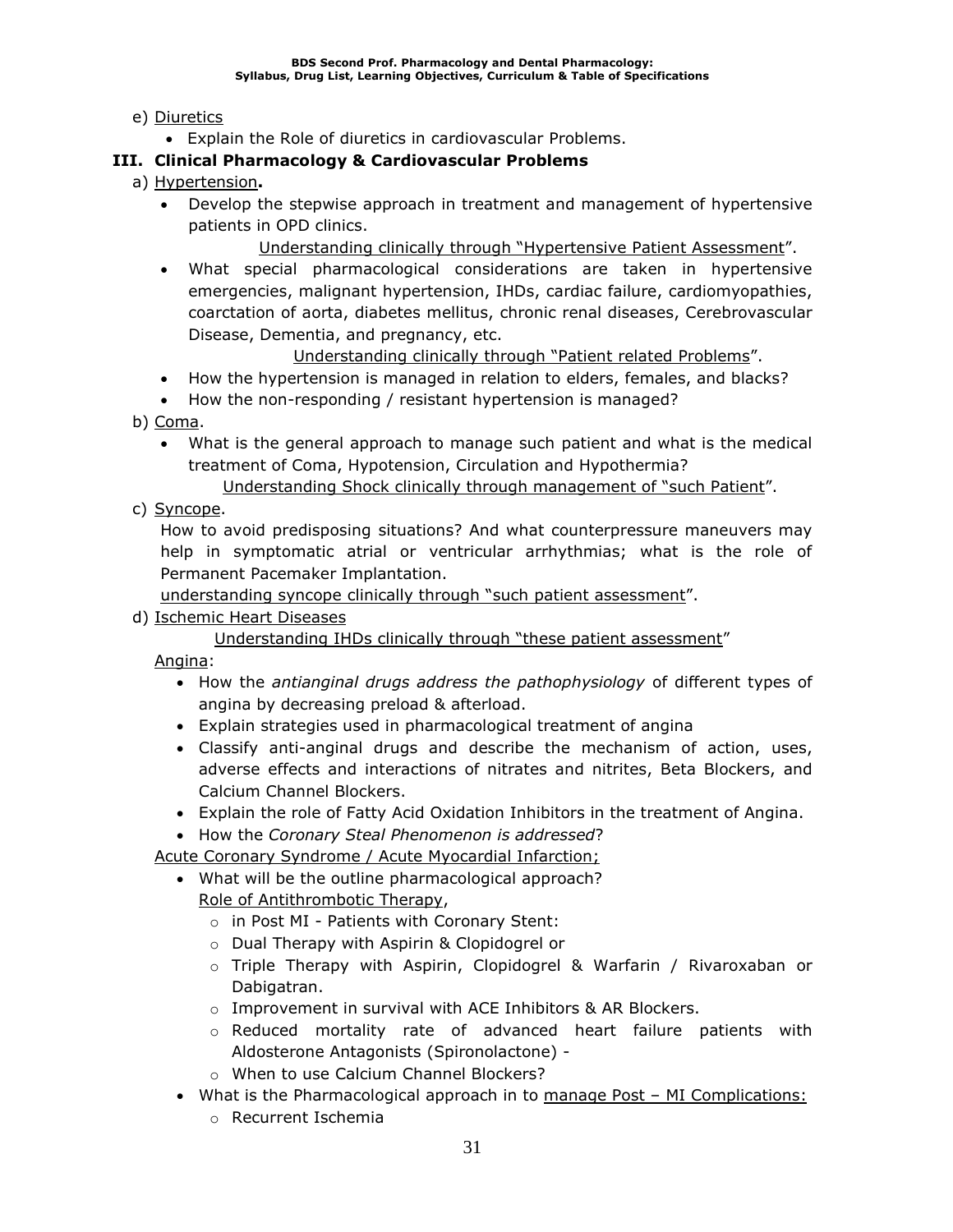### e) Diuretics

• Explain the Role of diuretics in cardiovascular Problems.

### **III. Clinical Pharmacology & Cardiovascular Problems**

- a) Hypertension**.**
	- Develop the stepwise approach in treatment and management of hypertensive patients in OPD clinics.

Understanding clinically through "Hypertensive Patient Assessment".

• What special pharmacological considerations are taken in hypertensive emergencies, malignant hypertension, IHDs, cardiac failure, cardiomyopathies, coarctation of aorta, diabetes mellitus, chronic renal diseases, Cerebrovascular Disease, Dementia, and pregnancy, etc.

Understanding clinically through "Patient related Problems".

- How the hypertension is managed in relation to elders, females, and blacks?
- How the non-responding / resistant hypertension is managed?

b) Coma.

• What is the general approach to manage such patient and what is the medical treatment of Coma, Hypotension, Circulation and Hypothermia?

Understanding Shock clinically through management of "such Patient".

c) Syncope.

How to avoid predisposing situations? And what counterpressure maneuvers may help in symptomatic atrial or ventricular arrhythmias; what is the role of Permanent Pacemaker Implantation.

understanding syncope clinically through "such patient assessment".

d) Ischemic Heart Diseases

Understanding IHDs clinically through "these patient assessment"

Angina:

- How the *antianginal drugs address the pathophysiology* of different types of angina by decreasing preload & afterload.
- Explain strategies used in pharmacological treatment of angina
- Classify anti-anginal drugs and describe the mechanism of action, uses, adverse effects and interactions of nitrates and nitrites, Beta Blockers, and Calcium Channel Blockers.
- Explain the role of Fatty Acid Oxidation Inhibitors in the treatment of Angina.
- How the *Coronary Steal Phenomenon is addressed*?

Acute Coronary Syndrome / Acute Myocardial Infarction;

- What will be the outline pharmacological approach? Role of Antithrombotic Therapy,
	- o in Post MI Patients with Coronary Stent:
	- o Dual Therapy with Aspirin & Clopidogrel or
	- o Triple Therapy with Aspirin, Clopidogrel & Warfarin / Rivaroxaban or Dabigatran.
	- o Improvement in survival with ACE Inhibitors & AR Blockers.
	- o Reduced mortality rate of advanced heart failure patients with Aldosterone Antagonists (Spironolactone) -
	- o When to use Calcium Channel Blockers?
- What is the Pharmacological approach in to manage Post MI Complications:
	- o Recurrent Ischemia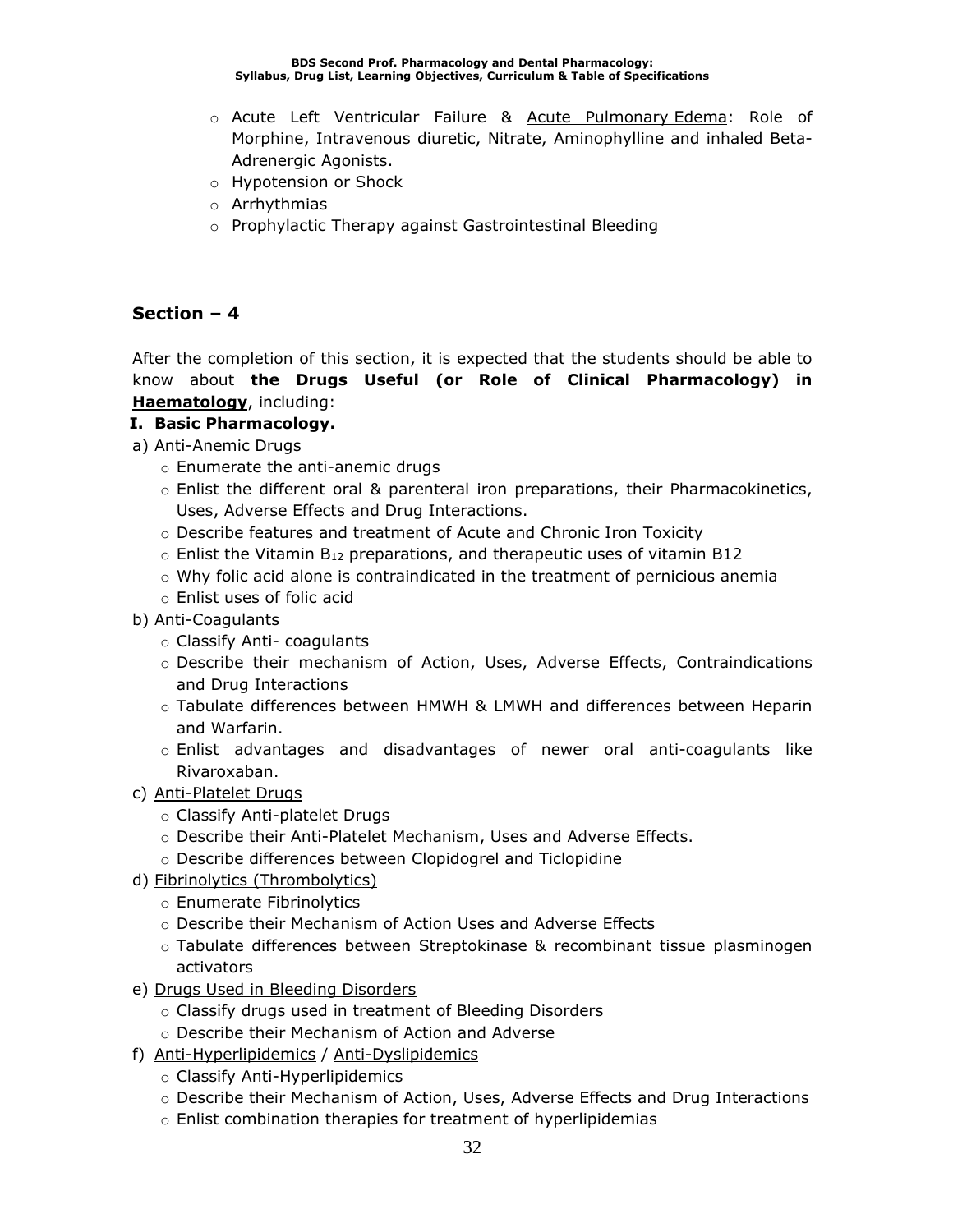- o Acute Left Ventricular Failure & Acute Pulmonary Edema: Role of Morphine, Intravenous diuretic, Nitrate, Aminophylline and inhaled Beta-Adrenergic Agonists.
- o Hypotension or Shock
- o Arrhythmias
- o Prophylactic Therapy against Gastrointestinal Bleeding

After the completion of this section, it is expected that the students should be able to know about **the Drugs Useful (or Role of Clinical Pharmacology) in Haematology**, including:

### **I. Basic Pharmacology.**

- a) Anti-Anemic Drugs
	- o Enumerate the anti-anemic drugs
	- $\circ$  Enlist the different oral & parenteral iron preparations, their Pharmacokinetics, Uses, Adverse Effects and Drug Interactions.
	- o Describe features and treatment of Acute and Chronic Iron Toxicity
	- $\circ$  Enlist the Vitamin B<sub>12</sub> preparations, and therapeutic uses of vitamin B12
	- $\circ$  Why folic acid alone is contraindicated in the treatment of pernicious anemia
	- o Enlist uses of folic acid
- b) Anti-Coagulants
	- o Classify Anti- coagulants
	- o Describe their mechanism of Action, Uses, Adverse Effects, Contraindications and Drug Interactions
	- o Tabulate differences between HMWH & LMWH and differences between Heparin and Warfarin.
	- o Enlist advantages and disadvantages of newer oral anti-coagulants like Rivaroxaban.
- c) Anti-Platelet Drugs
	- o Classify Anti-platelet Drugs
	- o Describe their Anti-Platelet Mechanism, Uses and Adverse Effects.
	- o Describe differences between Clopidogrel and Ticlopidine
- d) Fibrinolytics (Thrombolytics)
	- o Enumerate Fibrinolytics
	- o Describe their Mechanism of Action Uses and Adverse Effects
	- o Tabulate differences between Streptokinase & recombinant tissue plasminogen activators
- e) Drugs Used in Bleeding Disorders
	- o Classify drugs used in treatment of Bleeding Disorders
	- o Describe their Mechanism of Action and Adverse
- f) Anti-Hyperlipidemics / Anti-Dyslipidemics
	- o Classify Anti-Hyperlipidemics
	- o Describe their Mechanism of Action, Uses, Adverse Effects and Drug Interactions
	- o Enlist combination therapies for treatment of hyperlipidemias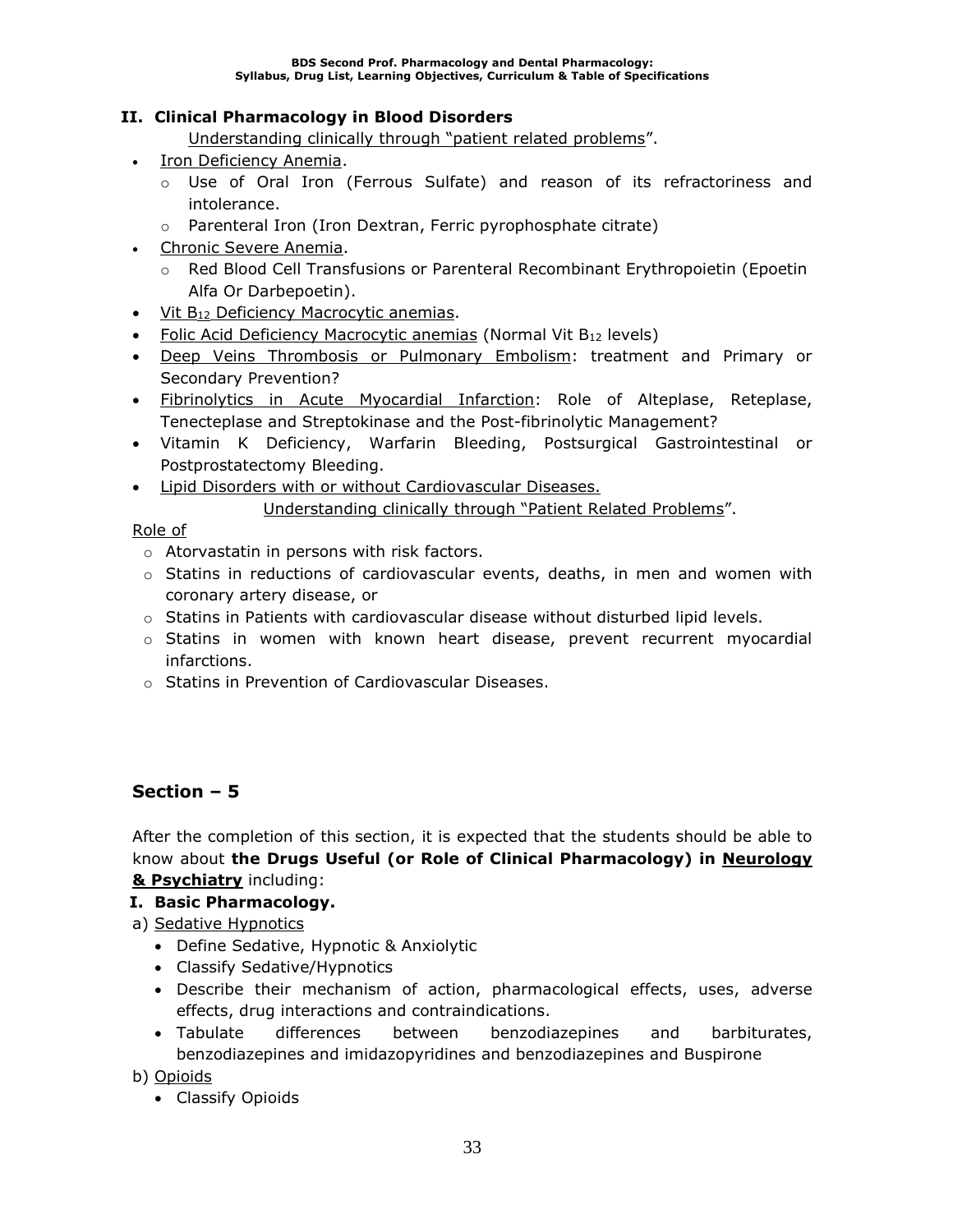### **II. Clinical Pharmacology in Blood Disorders**

Understanding clinically through "patient related problems".

- Iron Deficiency Anemia.
	- $\circ$  Use of Oral Iron (Ferrous Sulfate) and reason of its refractoriness and intolerance.
	- o Parenteral Iron (Iron Dextran, Ferric pyrophosphate citrate)
- Chronic Severe Anemia.
	- o Red Blood Cell Transfusions or Parenteral Recombinant Erythropoietin (Epoetin Alfa Or Darbepoetin).
- Vit B<sup>12</sup> Deficiency Macrocytic anemias.
- Folic Acid Deficiency Macrocytic anemias (Normal Vit B<sub>12</sub> levels)
- Deep Veins Thrombosis or Pulmonary Embolism: treatment and Primary or Secondary Prevention?
- **Fibrinolytics in Acute Myocardial Infarction:** Role of Alteplase, Reteplase, Tenecteplase and Streptokinase and the Post-fibrinolytic Management?
- Vitamin K Deficiency, Warfarin Bleeding, Postsurgical Gastrointestinal or Postprostatectomy Bleeding.
- Lipid Disorders with or without Cardiovascular Diseases.

Understanding clinically through "Patient Related Problems".

Role of

- o Atorvastatin in persons with risk factors.
- $\circ$  Statins in reductions of cardiovascular events, deaths, in men and women with coronary artery disease, or
- $\circ$  Statins in Patients with cardiovascular disease without disturbed lipid levels.
- o Statins in women with known heart disease, prevent recurrent myocardial infarctions.
- o Statins in Prevention of Cardiovascular Diseases.

### **Section – 5**

After the completion of this section, it is expected that the students should be able to know about **the Drugs Useful (or Role of Clinical Pharmacology) in Neurology & Psychiatry** including:

**I. Basic Pharmacology.**

### a) Sedative Hypnotics

- Define Sedative, Hypnotic & Anxiolytic
- Classify Sedative/Hypnotics
- Describe their mechanism of action, pharmacological effects, uses, adverse effects, drug interactions and contraindications.
- Tabulate differences between benzodiazepines and barbiturates, benzodiazepines and imidazopyridines and benzodiazepines and Buspirone

b) Opioids

• Classify Opioids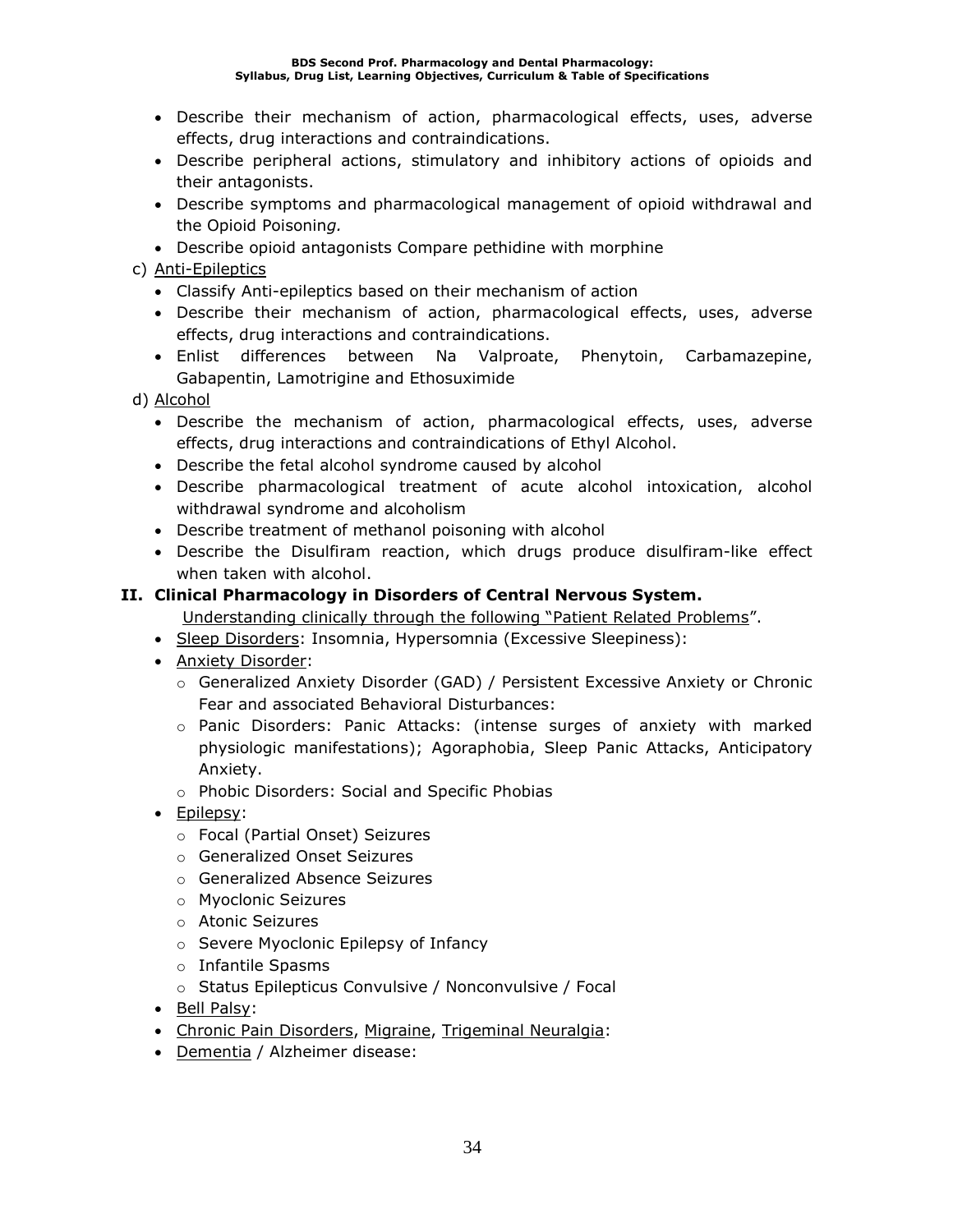- Describe their mechanism of action, pharmacological effects, uses, adverse effects, drug interactions and contraindications.
- Describe peripheral actions, stimulatory and inhibitory actions of opioids and their antagonists.
- Describe symptoms and pharmacological management of opioid withdrawal and the Opioid Poisonin*g.*
- Describe opioid antagonists Compare pethidine with morphine
- c) Anti-Epileptics
	- Classify Anti-epileptics based on their mechanism of action
	- Describe their mechanism of action, pharmacological effects, uses, adverse effects, drug interactions and contraindications.
	- Enlist differences between Na Valproate, Phenytoin, Carbamazepine, Gabapentin, Lamotrigine and Ethosuximide
- d) Alcohol
	- Describe the mechanism of action, pharmacological effects, uses, adverse effects, drug interactions and contraindications of Ethyl Alcohol.
	- Describe the fetal alcohol syndrome caused by alcohol
	- Describe pharmacological treatment of acute alcohol intoxication, alcohol withdrawal syndrome and alcoholism
	- Describe treatment of methanol poisoning with alcohol
	- Describe the Disulfiram reaction, which drugs produce disulfiram-like effect when taken with alcohol.

### **II. Clinical Pharmacology in Disorders of Central Nervous System.**

Understanding clinically through the following "Patient Related Problems".

- Sleep Disorders: Insomnia, Hypersomnia (Excessive Sleepiness):
- Anxiety Disorder:
	- o Generalized Anxiety Disorder (GAD) / Persistent Excessive Anxiety or Chronic Fear and associated Behavioral Disturbances:
	- o Panic Disorders: Panic Attacks: (intense surges of anxiety with marked physiologic manifestations); Agoraphobia, Sleep Panic Attacks, Anticipatory Anxiety.
	- o Phobic Disorders: Social and Specific Phobias
- Epilepsy:
	- o Focal (Partial Onset) Seizures
	- o Generalized Onset Seizures
	- o Generalized Absence Seizures
	- o Myoclonic Seizures
	- o Atonic Seizures
	- o Severe Myoclonic Epilepsy of Infancy
	- o Infantile Spasms
	- o Status Epilepticus Convulsive / Nonconvulsive / Focal
- Bell Palsy:
- Chronic Pain Disorders, Migraine, Trigeminal Neuralgia:
- Dementia / Alzheimer disease: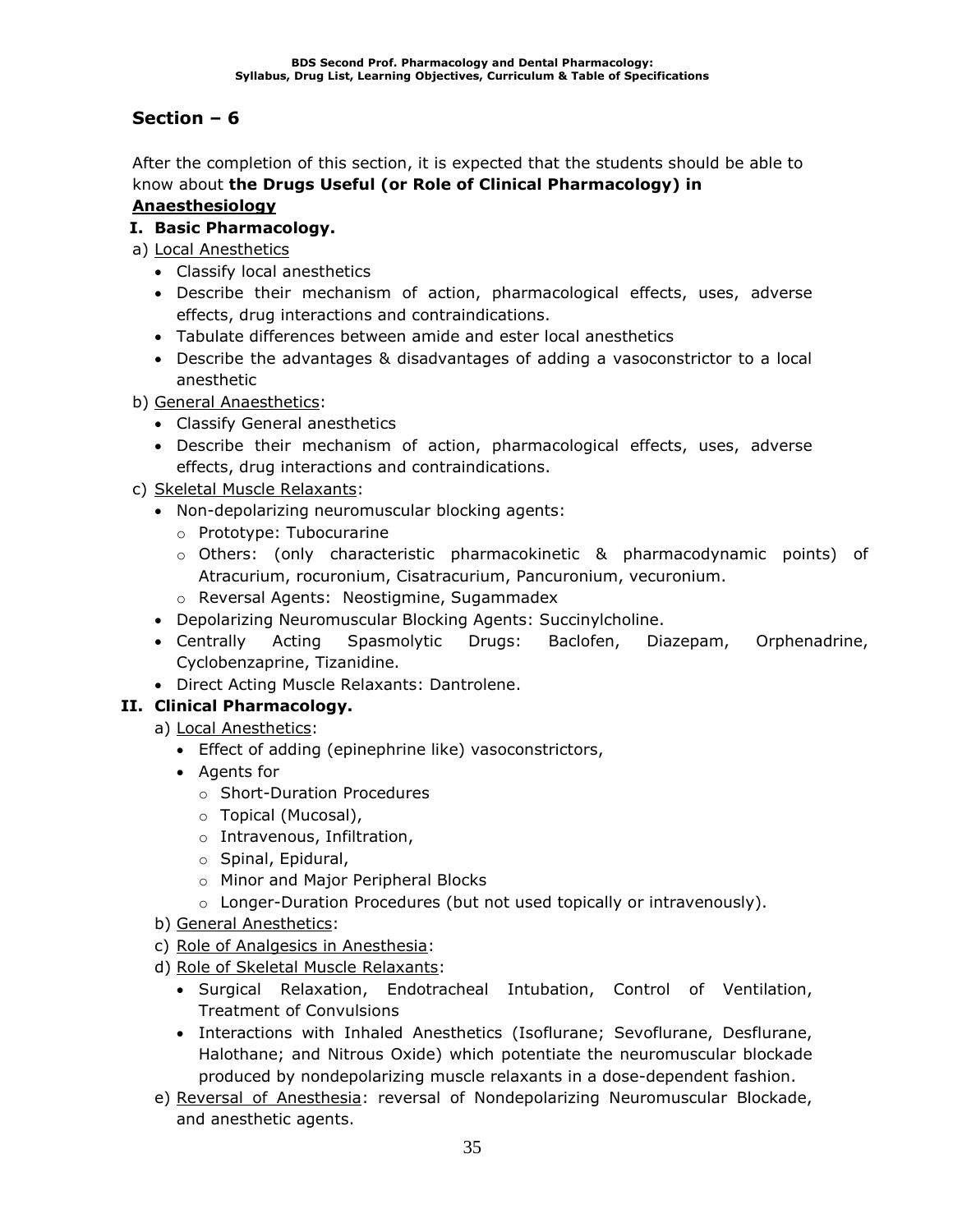After the completion of this section, it is expected that the students should be able to know about **the Drugs Useful (or Role of Clinical Pharmacology) in Anaesthesiology**

**I. Basic Pharmacology.**

### a) Local Anesthetics

- Classify local anesthetics
- Describe their mechanism of action, pharmacological effects, uses, adverse effects, drug interactions and contraindications.
- Tabulate differences between amide and ester local anesthetics
- Describe the advantages & disadvantages of adding a vasoconstrictor to a local anesthetic
- b) General Anaesthetics:
	- Classify General anesthetics
	- Describe their mechanism of action, pharmacological effects, uses, adverse effects, drug interactions and contraindications.
- c) Skeletal Muscle Relaxants:
	- Non-depolarizing neuromuscular blocking agents:
		- o Prototype: Tubocurarine
		- o Others: (only characteristic pharmacokinetic & pharmacodynamic points) of Atracurium, rocuronium, Cisatracurium, Pancuronium, vecuronium.
		- o Reversal Agents: Neostigmine, Sugammadex
	- Depolarizing Neuromuscular Blocking Agents: Succinylcholine.
	- Centrally Acting Spasmolytic Drugs: Baclofen, Diazepam, Orphenadrine, Cyclobenzaprine, Tizanidine.
	- Direct Acting Muscle Relaxants: Dantrolene.

### **II. Clinical Pharmacology.**

- a) Local Anesthetics:
	- Effect of adding (epinephrine like) vasoconstrictors,
	- Agents for
		- o Short-Duration Procedures
		- o Topical (Mucosal),
		- o Intravenous, Infiltration,
		- o Spinal, Epidural,
		- o Minor and Major Peripheral Blocks
		- $\circ$  Longer-Duration Procedures (but not used topically or intravenously).
- b) General Anesthetics:
- c) Role of Analgesics in Anesthesia:
- d) Role of Skeletal Muscle Relaxants:
	- Surgical Relaxation, Endotracheal Intubation, Control of Ventilation, Treatment of Convulsions
	- Interactions with Inhaled Anesthetics (Isoflurane; Sevoflurane, Desflurane, Halothane; and Nitrous Oxide) which potentiate the neuromuscular blockade produced by nondepolarizing muscle relaxants in a dose-dependent fashion.
- e) Reversal of Anesthesia: reversal of Nondepolarizing Neuromuscular Blockade, and anesthetic agents.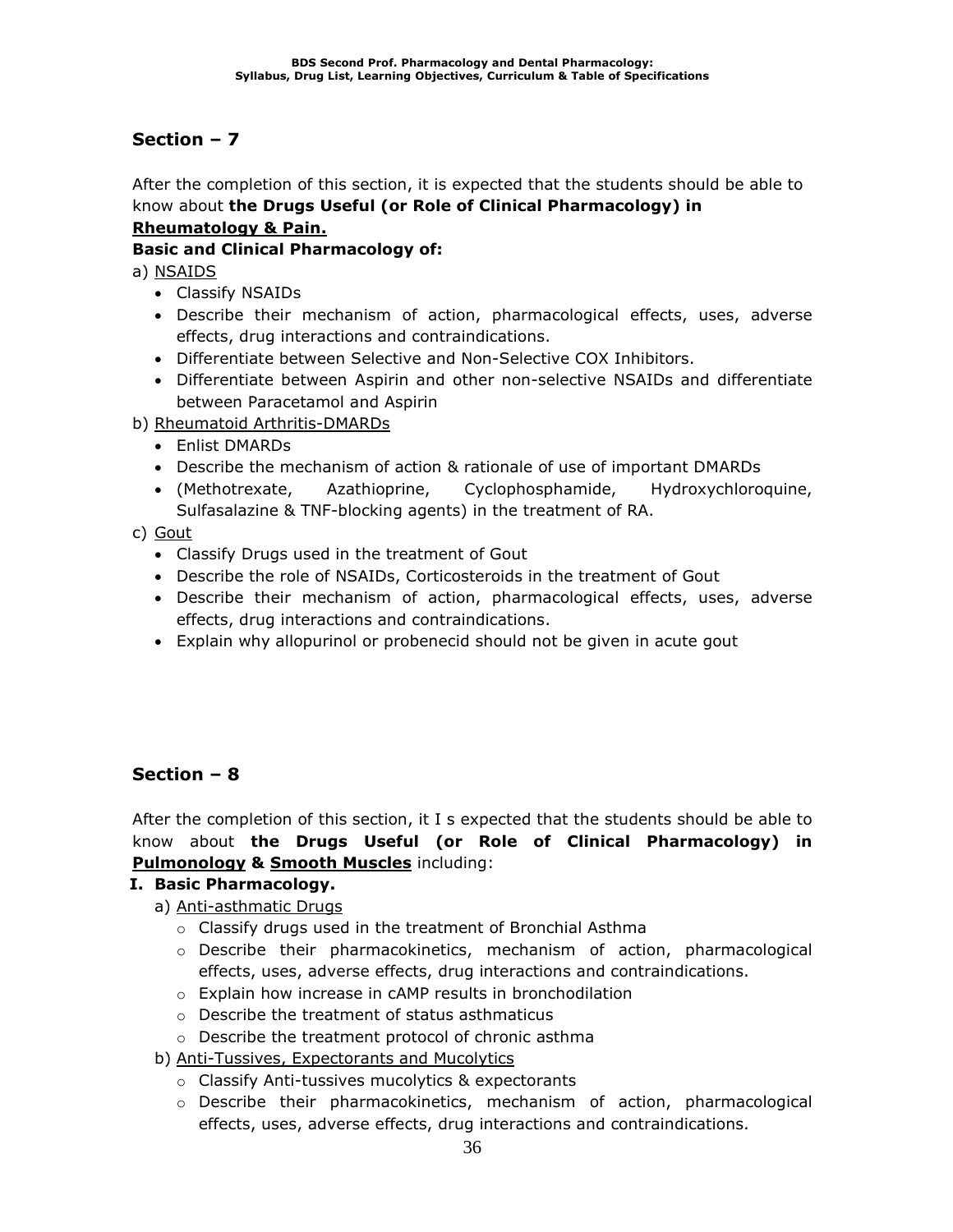After the completion of this section, it is expected that the students should be able to know about **the Drugs Useful (or Role of Clinical Pharmacology) in Rheumatology & Pain.**

### **Basic and Clinical Pharmacology of:**

a) NSAIDS

- Classify NSAIDs
- Describe their mechanism of action, pharmacological effects, uses, adverse effects, drug interactions and contraindications.
- Differentiate between Selective and Non-Selective COX Inhibitors.
- Differentiate between Aspirin and other non-selective NSAIDs and differentiate between Paracetamol and Aspirin
- b) Rheumatoid Arthritis-DMARDs
	- Enlist DMARDs
	- Describe the mechanism of action & rationale of use of important DMARDs
	- (Methotrexate, Azathioprine, Cyclophosphamide, Hydroxychloroquine, Sulfasalazine & TNF-blocking agents) in the treatment of RA.

### c) Gout

- Classify Drugs used in the treatment of Gout
- Describe the role of NSAIDs, Corticosteroids in the treatment of Gout
- Describe their mechanism of action, pharmacological effects, uses, adverse effects, drug interactions and contraindications.
- Explain why allopurinol or probenecid should not be given in acute gout

### **Section – 8**

After the completion of this section, it I s expected that the students should be able to know about **the Drugs Useful (or Role of Clinical Pharmacology) in Pulmonology & Smooth Muscles** including:

### **I. Basic Pharmacology.**

- a) Anti-asthmatic Drugs
	- o Classify drugs used in the treatment of Bronchial Asthma
	- o Describe their pharmacokinetics, mechanism of action, pharmacological effects, uses, adverse effects, drug interactions and contraindications.
	- o Explain how increase in cAMP results in bronchodilation
	- o Describe the treatment of status asthmaticus
	- o Describe the treatment protocol of chronic asthma
- b) Anti-Tussives, Expectorants and Mucolytics
	- o Classify Anti-tussives mucolytics & expectorants
	- o Describe their pharmacokinetics, mechanism of action, pharmacological effects, uses, adverse effects, drug interactions and contraindications.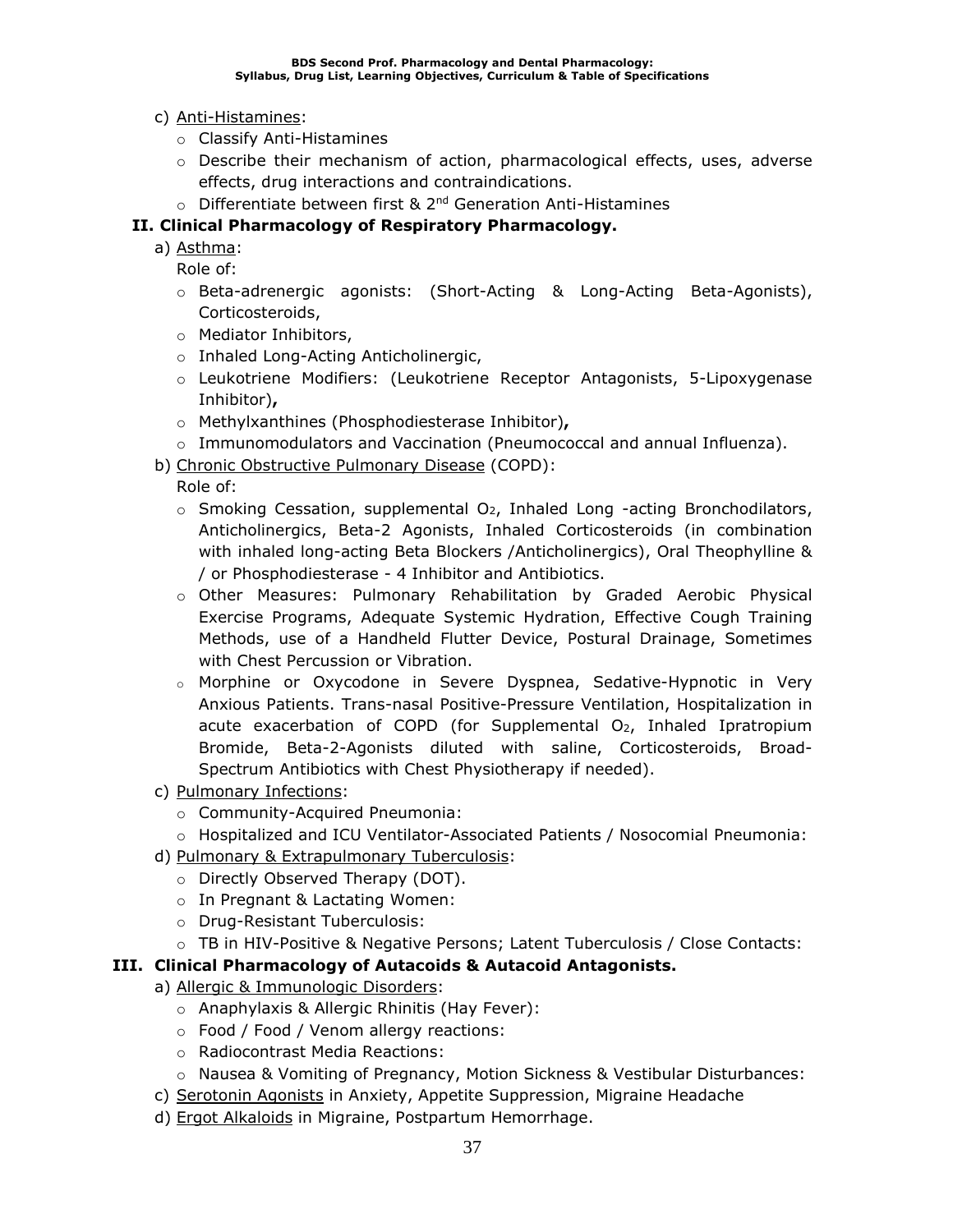- c) Anti-Histamines:
	- o Classify Anti-Histamines
	- $\circ$  Describe their mechanism of action, pharmacological effects, uses, adverse effects, drug interactions and contraindications.
- $\circ$  Differentiate between first & 2<sup>nd</sup> Generation Anti-Histamines

### **II. Clinical Pharmacology of Respiratory Pharmacology.**

a) Asthma:

Role of:

- o Beta-adrenergic agonists: (Short-Acting & Long-Acting Beta-Agonists), Corticosteroids,
- o Mediator Inhibitors,
- o Inhaled Long-Acting Anticholinergic,
- o Leukotriene Modifiers: (Leukotriene Receptor Antagonists, 5-Lipoxygenase Inhibitor)**,**
- o Methylxanthines (Phosphodiesterase Inhibitor)**,**
- o Immunomodulators and Vaccination (Pneumococcal and annual Influenza).
- b) Chronic Obstructive Pulmonary Disease (COPD):

Role of:

- $\circ$  Smoking Cessation, supplemental O<sub>2</sub>, Inhaled Long -acting Bronchodilators, Anticholinergics, Beta-2 Agonists, Inhaled Corticosteroids (in combination with inhaled long-acting Beta Blockers /Anticholinergics), Oral Theophylline & / or Phosphodiesterase - 4 Inhibitor and Antibiotics.
- o Other Measures: Pulmonary Rehabilitation by Graded Aerobic Physical Exercise Programs, Adequate Systemic Hydration, Effective Cough Training Methods, use of a Handheld Flutter Device, Postural Drainage, Sometimes with Chest Percussion or Vibration.
- o Morphine or Oxycodone in Severe Dyspnea, Sedative-Hypnotic in Very Anxious Patients. Trans-nasal Positive-Pressure Ventilation, Hospitalization in acute exacerbation of COPD (for Supplemental  $O<sub>2</sub>$ , Inhaled Ipratropium Bromide, Beta-2-Agonists diluted with saline, Corticosteroids, Broad-Spectrum Antibiotics with Chest Physiotherapy if needed).
- c) Pulmonary Infections:
	- o Community-Acquired Pneumonia:
	- o Hospitalized and ICU Ventilator-Associated Patients / Nosocomial Pneumonia:
- d) Pulmonary & Extrapulmonary Tuberculosis:
	- o Directly Observed Therapy (DOT).
	- o In Pregnant & Lactating Women:
	- o Drug-Resistant Tuberculosis:
	- o TB in HIV-Positive & Negative Persons; Latent Tuberculosis / Close Contacts:

### **III. Clinical Pharmacology of Autacoids & Autacoid Antagonists.**

- a) Allergic & Immunologic Disorders:
	- o Anaphylaxis & Allergic Rhinitis (Hay Fever):
	- o Food / Food / Venom allergy reactions:
	- o Radiocontrast Media Reactions:
	- o Nausea & Vomiting of Pregnancy, Motion Sickness & Vestibular Disturbances:
- c) Serotonin Agonists in Anxiety, Appetite Suppression, Migraine Headache
- d) Ergot Alkaloids in Migraine, Postpartum Hemorrhage.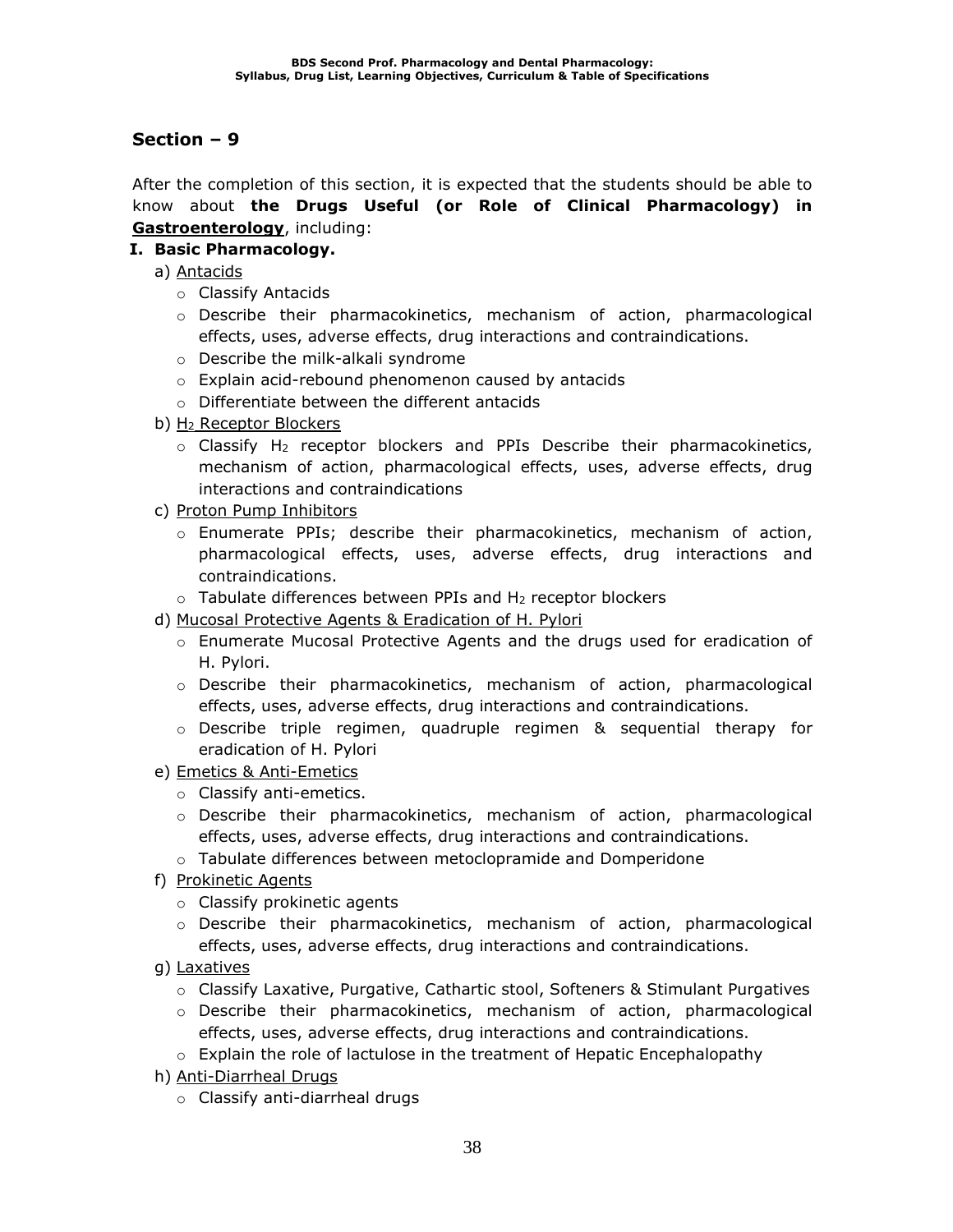After the completion of this section, it is expected that the students should be able to know about **the Drugs Useful (or Role of Clinical Pharmacology) in Gastroenterology**, including:

### **I. Basic Pharmacology.**

- a) Antacids
	- o Classify Antacids
	- o Describe their pharmacokinetics, mechanism of action, pharmacological effects, uses, adverse effects, drug interactions and contraindications.
	- o Describe the milk-alkali syndrome
	- o Explain acid-rebound phenomenon caused by antacids
	- o Differentiate between the different antacids
- b) H<sup>2</sup> Receptor Blockers
	- $\circ$  Classify H<sub>2</sub> receptor blockers and PPIs Describe their pharmacokinetics, mechanism of action, pharmacological effects, uses, adverse effects, drug interactions and contraindications
- c) Proton Pump Inhibitors
	- $\circ$  Enumerate PPIs; describe their pharmacokinetics, mechanism of action, pharmacological effects, uses, adverse effects, drug interactions and contraindications.
	- $\circ$  Tabulate differences between PPIs and H<sub>2</sub> receptor blockers
- d) Mucosal Protective Agents & Eradication of H. Pylori
	- o Enumerate Mucosal Protective Agents and the drugs used for eradication of H. Pylori.
	- o Describe their pharmacokinetics, mechanism of action, pharmacological effects, uses, adverse effects, drug interactions and contraindications.
	- $\circ$  Describe triple regimen, quadruple regimen & sequential therapy for eradication of H. Pylori
- e) Emetics & Anti-Emetics
	- o Classify anti-emetics.
	- $\circ$  Describe their pharmacokinetics, mechanism of action, pharmacological effects, uses, adverse effects, drug interactions and contraindications.
	- o Tabulate differences between metoclopramide and Domperidone
- f) Prokinetic Agents
	- o Classify prokinetic agents
	- o Describe their pharmacokinetics, mechanism of action, pharmacological effects, uses, adverse effects, drug interactions and contraindications.
- g) Laxatives
	- o Classify Laxative, Purgative, Cathartic stool, Softeners & Stimulant Purgatives
	- o Describe their pharmacokinetics, mechanism of action, pharmacological effects, uses, adverse effects, drug interactions and contraindications.
	- $\circ$  Explain the role of lactulose in the treatment of Hepatic Encephalopathy
- h) Anti-Diarrheal Drugs
	- o Classify anti-diarrheal drugs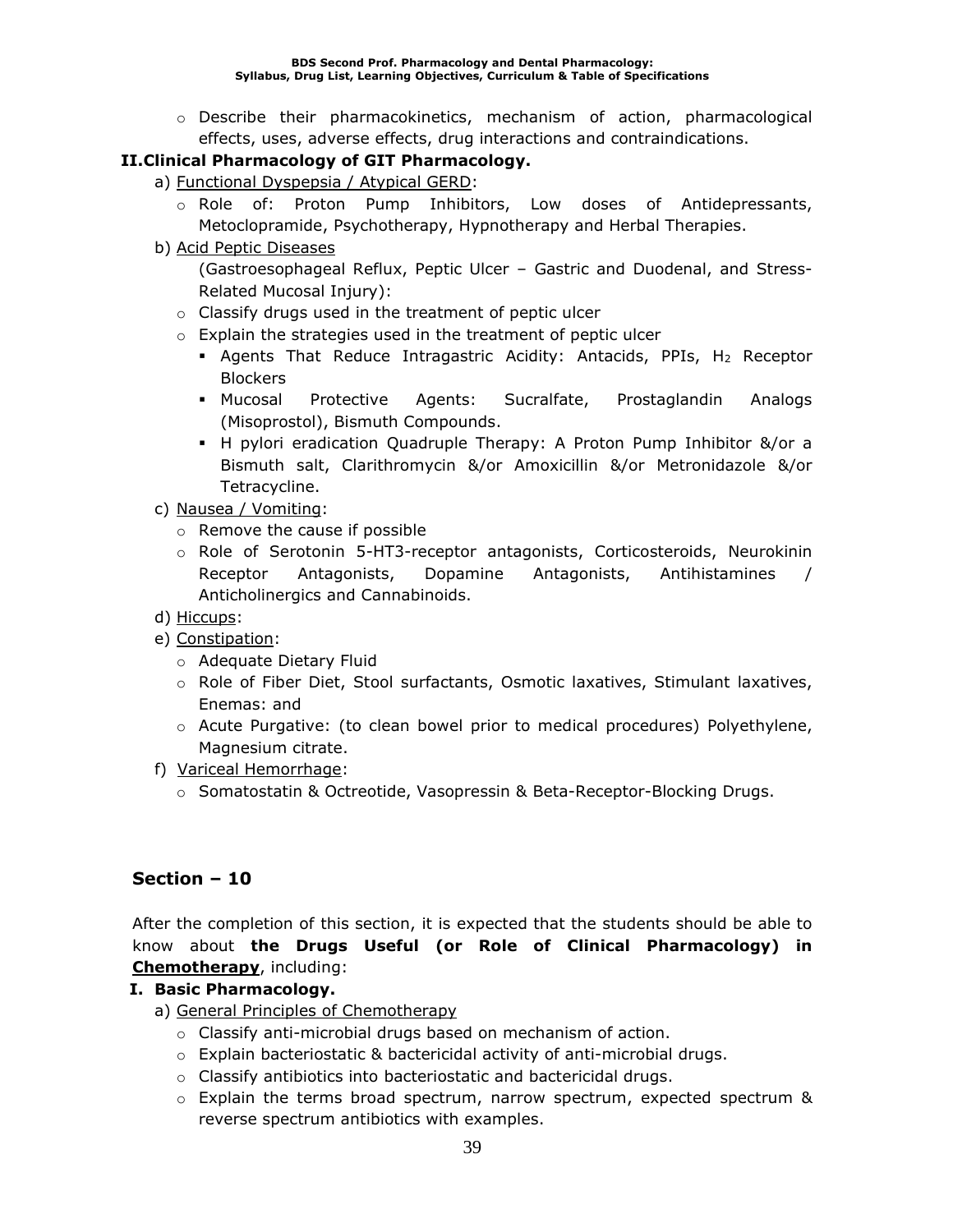o Describe their pharmacokinetics, mechanism of action, pharmacological effects, uses, adverse effects, drug interactions and contraindications.

### **II.Clinical Pharmacology of GIT Pharmacology.**

- a) Functional Dyspepsia / Atypical GERD:
	- o Role of: Proton Pump Inhibitors, Low doses of Antidepressants, Metoclopramide, Psychotherapy, Hypnotherapy and Herbal Therapies.
- b) Acid Peptic Diseases

(Gastroesophageal Reflux, Peptic Ulcer – Gastric and Duodenal, and Stress-Related Mucosal Injury):

- o Classify drugs used in the treatment of peptic ulcer
- o Explain the strategies used in the treatment of peptic ulcer
	- **EX Agents That Reduce Intragastric Acidity: Antacids, PPIs, H2 Receptor Blockers**
	- Mucosal Protective Agents: Sucralfate, Prostaglandin Analogs (Misoprostol), Bismuth Compounds.
	- H pylori eradication Quadruple Therapy: A Proton Pump Inhibitor &/or a Bismuth salt, Clarithromycin &/or Amoxicillin &/or Metronidazole &/or Tetracycline.
- c) Nausea / Vomiting:
	- o Remove the cause if possible
	- o Role of Serotonin 5-HT3-receptor antagonists, Corticosteroids, Neurokinin Receptor Antagonists, Dopamine Antagonists, Antihistamines Anticholinergics and Cannabinoids.
- d) Hiccups:
- e) Constipation:
	- o Adequate Dietary Fluid
	- o Role of Fiber Diet, Stool surfactants, Osmotic laxatives, Stimulant laxatives, Enemas: and
	- $\circ$  Acute Purgative: (to clean bowel prior to medical procedures) Polyethylene, Magnesium citrate.
- f) Variceal Hemorrhage:
	- o Somatostatin & Octreotide, Vasopressin & Beta-Receptor-Blocking Drugs.

### **Section – 10**

After the completion of this section, it is expected that the students should be able to know about **the Drugs Useful (or Role of Clinical Pharmacology) in Chemotherapy**, including:

### **I. Basic Pharmacology.**

- a) General Principles of Chemotherapy
	- o Classify anti-microbial drugs based on mechanism of action.
	- $\circ$  Explain bacteriostatic & bactericidal activity of anti-microbial drugs.
	- o Classify antibiotics into bacteriostatic and bactericidal drugs.
	- $\circ$  Explain the terms broad spectrum, narrow spectrum, expected spectrum & reverse spectrum antibiotics with examples.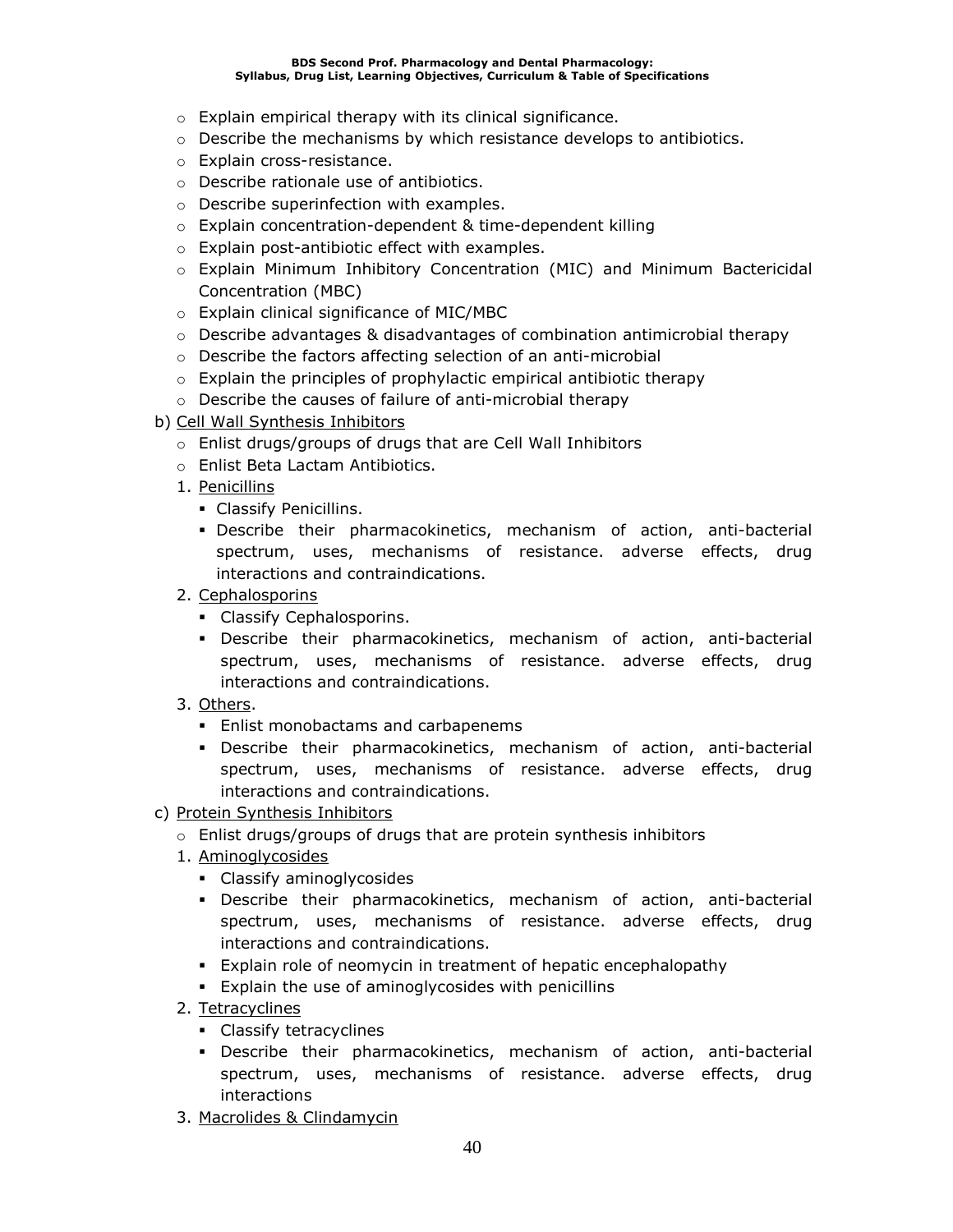- o Explain empirical therapy with its clinical significance.
- $\circ$  Describe the mechanisms by which resistance develops to antibiotics.
- o Explain cross-resistance.
- o Describe rationale use of antibiotics.
- o Describe superinfection with examples.
- o Explain concentration-dependent & time-dependent killing
- o Explain post-antibiotic effect with examples.
- o Explain Minimum Inhibitory Concentration (MIC) and Minimum Bactericidal Concentration (MBC)
- o Explain clinical significance of MIC/MBC
- $\circ$  Describe advantages & disadvantages of combination antimicrobial therapy
- o Describe the factors affecting selection of an anti-microbial
- o Explain the principles of prophylactic empirical antibiotic therapy
- o Describe the causes of failure of anti-microbial therapy
- b) Cell Wall Synthesis Inhibitors
	- o Enlist drugs/groups of drugs that are Cell Wall Inhibitors
	- o Enlist Beta Lactam Antibiotics.
	- 1. Penicillins
		- Classify Penicillins.
		- Describe their pharmacokinetics, mechanism of action, anti-bacterial spectrum, uses, mechanisms of resistance. adverse effects, drug interactions and contraindications.
	- 2. Cephalosporins
		- **Classify Cephalosporins.**
		- Describe their pharmacokinetics, mechanism of action, anti-bacterial spectrum, uses, mechanisms of resistance. adverse effects, drug interactions and contraindications.
	- 3. Others.
		- **Enlist monobactams and carbapenems**
		- Describe their pharmacokinetics, mechanism of action, anti-bacterial spectrum, uses, mechanisms of resistance. adverse effects, drug interactions and contraindications.
- c) Protein Synthesis Inhibitors
	- o Enlist drugs/groups of drugs that are protein synthesis inhibitors
	- 1. Aminoglycosides
		- Classify aminoglycosides
		- Describe their pharmacokinetics, mechanism of action, anti-bacterial spectrum, uses, mechanisms of resistance. adverse effects, drug interactions and contraindications.
		- **Explain role of neomycin in treatment of hepatic encephalopathy**
		- Explain the use of aminoglycosides with penicillins
	- 2. Tetracyclines
		- Classify tetracyclines
		- Describe their pharmacokinetics, mechanism of action, anti-bacterial spectrum, uses, mechanisms of resistance. adverse effects, drug interactions
	- 3. Macrolides & Clindamycin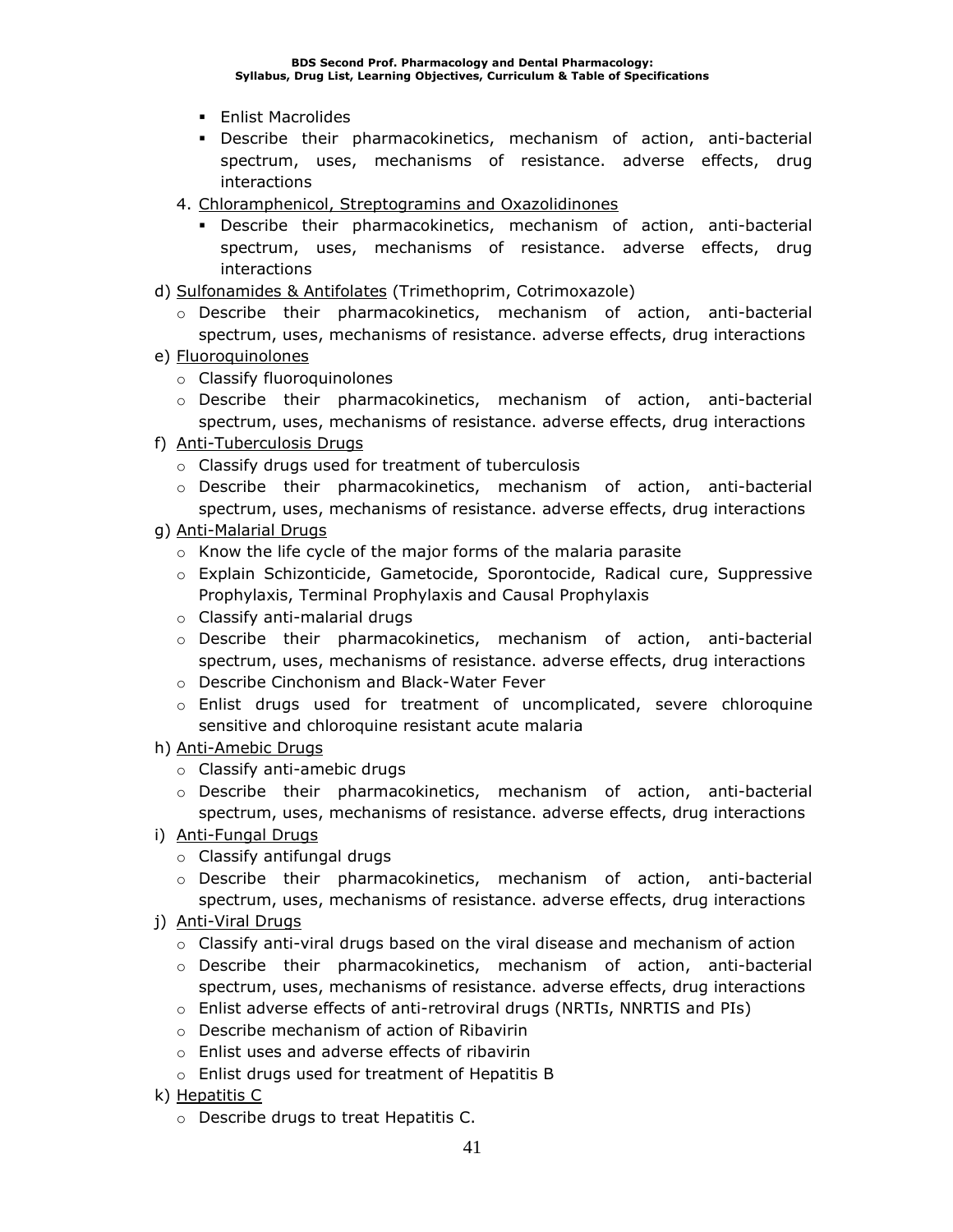- Enlist Macrolides
- Describe their pharmacokinetics, mechanism of action, anti-bacterial spectrum, uses, mechanisms of resistance. adverse effects, drug interactions
- 4. Chloramphenicol, Streptogramins and Oxazolidinones
	- Describe their pharmacokinetics, mechanism of action, anti-bacterial spectrum, uses, mechanisms of resistance. adverse effects, drug interactions
- d) Sulfonamides & Antifolates (Trimethoprim, Cotrimoxazole)
	- o Describe their pharmacokinetics, mechanism of action, anti-bacterial spectrum, uses, mechanisms of resistance. adverse effects, drug interactions
- e) Fluoroquinolones
	- o Classify fluoroquinolones
	- o Describe their pharmacokinetics, mechanism of action, anti-bacterial spectrum, uses, mechanisms of resistance. adverse effects, drug interactions
- f) Anti-Tuberculosis Drugs
	- o Classify drugs used for treatment of tuberculosis
	- o Describe their pharmacokinetics, mechanism of action, anti-bacterial spectrum, uses, mechanisms of resistance. adverse effects, drug interactions
- g) Anti-Malarial Drugs
	- $\circ$  Know the life cycle of the major forms of the malaria parasite
	- o Explain Schizonticide, Gametocide, Sporontocide, Radical cure, Suppressive Prophylaxis, Terminal Prophylaxis and Causal Prophylaxis
	- o Classify anti-malarial drugs
	- $\circ$  Describe their pharmacokinetics, mechanism of action, anti-bacterial spectrum, uses, mechanisms of resistance. adverse effects, drug interactions
	- o Describe Cinchonism and Black-Water Fever
	- $\circ$  Enlist drugs used for treatment of uncomplicated, severe chloroquine sensitive and chloroquine resistant acute malaria
- h) Anti-Amebic Drugs
	- o Classify anti-amebic drugs
	- $\circ$  Describe their pharmacokinetics, mechanism of action, anti-bacterial spectrum, uses, mechanisms of resistance. adverse effects, drug interactions
- i) Anti-Fungal Drugs
	- o Classify antifungal drugs
	- o Describe their pharmacokinetics, mechanism of action, anti-bacterial spectrum, uses, mechanisms of resistance. adverse effects, drug interactions
- j) Anti-Viral Drugs
	- $\circ$  Classify anti-viral drugs based on the viral disease and mechanism of action
	- o Describe their pharmacokinetics, mechanism of action, anti-bacterial spectrum, uses, mechanisms of resistance. adverse effects, drug interactions
	- o Enlist adverse effects of anti-retroviral drugs (NRTIs, NNRTIS and PIs)
	- o Describe mechanism of action of Ribavirin
	- o Enlist uses and adverse effects of ribavirin
	- o Enlist drugs used for treatment of Hepatitis B
- k) Hepatitis C
	- o Describe drugs to treat Hepatitis C.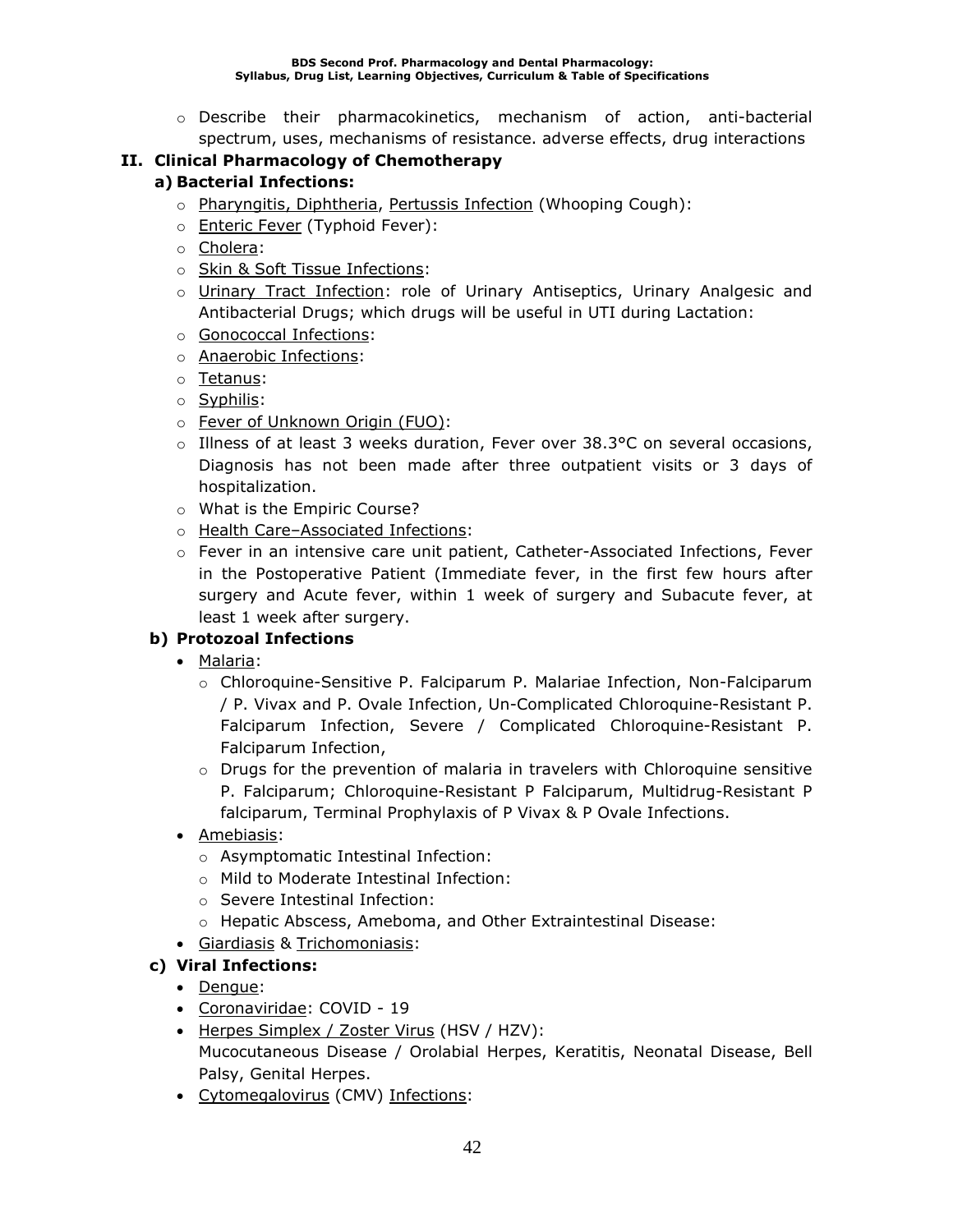$\circ$  Describe their pharmacokinetics, mechanism of action, anti-bacterial spectrum, uses, mechanisms of resistance. adverse effects, drug interactions

### **II. Clinical Pharmacology of Chemotherapy**

### **a) Bacterial Infections:**

- o Pharyngitis, Diphtheria, Pertussis Infection (Whooping Cough):
- o Enteric Fever (Typhoid Fever):
- o Cholera:
- o Skin & Soft Tissue Infections:
- o Urinary Tract Infection: role of Urinary Antiseptics, Urinary Analgesic and Antibacterial Drugs; which drugs will be useful in UTI during Lactation:
- o Gonococcal Infections:
- o Anaerobic Infections:
- o Tetanus:
- o Syphilis:
- o Fever of Unknown Origin (FUO):
- $\circ$  Illness of at least 3 weeks duration, Fever over 38.3°C on several occasions, Diagnosis has not been made after three outpatient visits or 3 days of hospitalization.
- o What is the Empiric Course?
- o Health Care–Associated Infections:
- $\circ$  Fever in an intensive care unit patient, Catheter-Associated Infections, Fever in the Postoperative Patient (Immediate fever, in the first few hours after surgery and Acute fever, within 1 week of surgery and Subacute fever, at least 1 week after surgery.

### **b) Protozoal Infections**

- Malaria:
	- o Chloroquine-Sensitive P. Falciparum P. Malariae Infection, Non-Falciparum / P. Vivax and P. Ovale Infection, Un-Complicated Chloroquine-Resistant P. Falciparum Infection, Severe / Complicated Chloroquine-Resistant P. Falciparum Infection,
	- $\circ$  Drugs for the prevention of malaria in travelers with Chloroquine sensitive P. Falciparum; Chloroquine-Resistant P Falciparum, Multidrug-Resistant P falciparum, Terminal Prophylaxis of P Vivax & P Ovale Infections.
- Amebiasis:
	- o Asymptomatic Intestinal Infection:
	- o Mild to Moderate Intestinal Infection:
	- o Severe Intestinal Infection:
	- o Hepatic Abscess, Ameboma, and Other Extraintestinal Disease:
- Giardiasis & Trichomoniasis:

### **c) Viral Infections:**

- Dengue:
- Coronaviridae: COVID 19
- Herpes Simplex / Zoster Virus (HSV / HZV): Mucocutaneous Disease / Orolabial Herpes, Keratitis, Neonatal Disease, Bell Palsy, Genital Herpes.
- Cytomegalovirus (CMV) Infections: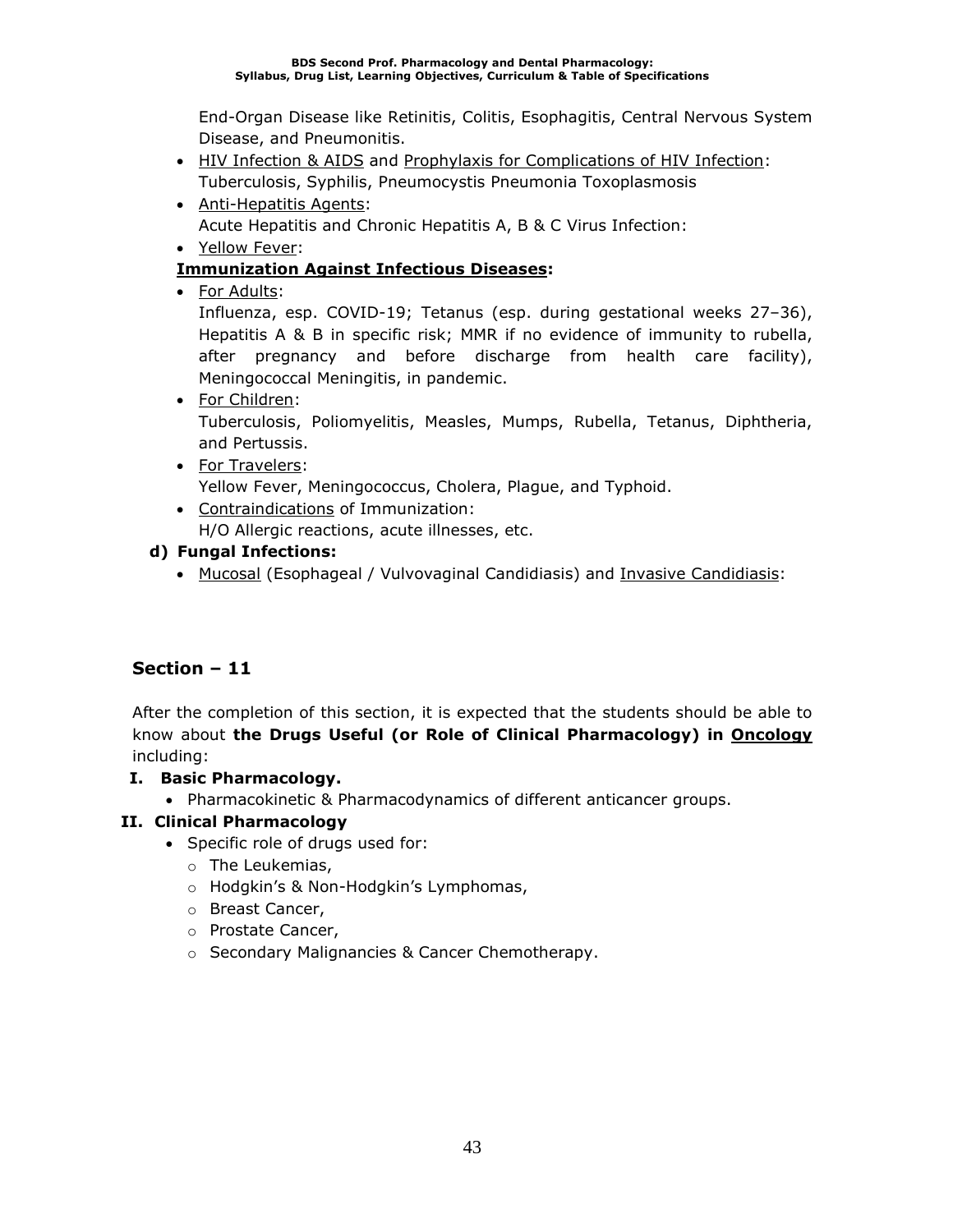End-Organ Disease like Retinitis, Colitis, Esophagitis, Central Nervous System Disease, and Pneumonitis.

- HIV Infection & AIDS and Prophylaxis for Complications of HIV Infection: Tuberculosis, Syphilis, Pneumocystis Pneumonia Toxoplasmosis
- Anti-Hepatitis Agents: Acute Hepatitis and Chronic Hepatitis A, B & C Virus Infection:
- Yellow Fever:

### **Immunization Against Infectious Diseases:**

• For Adults:

Influenza, esp. COVID-19; Tetanus (esp. during gestational weeks 27–36), Hepatitis A & B in specific risk; MMR if no evidence of immunity to rubella, after pregnancy and before discharge from health care facility), Meningococcal Meningitis, in pandemic.

• For Children:

Tuberculosis, Poliomyelitis, Measles, Mumps, Rubella, Tetanus, Diphtheria, and Pertussis.

• For Travelers:

Yellow Fever, Meningococcus, Cholera, Plague, and Typhoid.

• Contraindications of Immunization: H/O Allergic reactions, acute illnesses, etc.

### **d) Fungal Infections:**

• Mucosal (Esophageal / Vulvovaginal Candidiasis) and Invasive Candidiasis:

### **Section – 11**

After the completion of this section, it is expected that the students should be able to know about **the Drugs Useful (or Role of Clinical Pharmacology) in Oncology** including:

### **I. Basic Pharmacology.**

• Pharmacokinetic & Pharmacodynamics of different anticancer groups.

### **II. Clinical Pharmacology**

- Specific role of drugs used for:
	- o The Leukemias,
	- o Hodgkin's & Non-Hodgkin's Lymphomas,
	- o Breast Cancer,
	- o Prostate Cancer,
	- o Secondary Malignancies & Cancer Chemotherapy.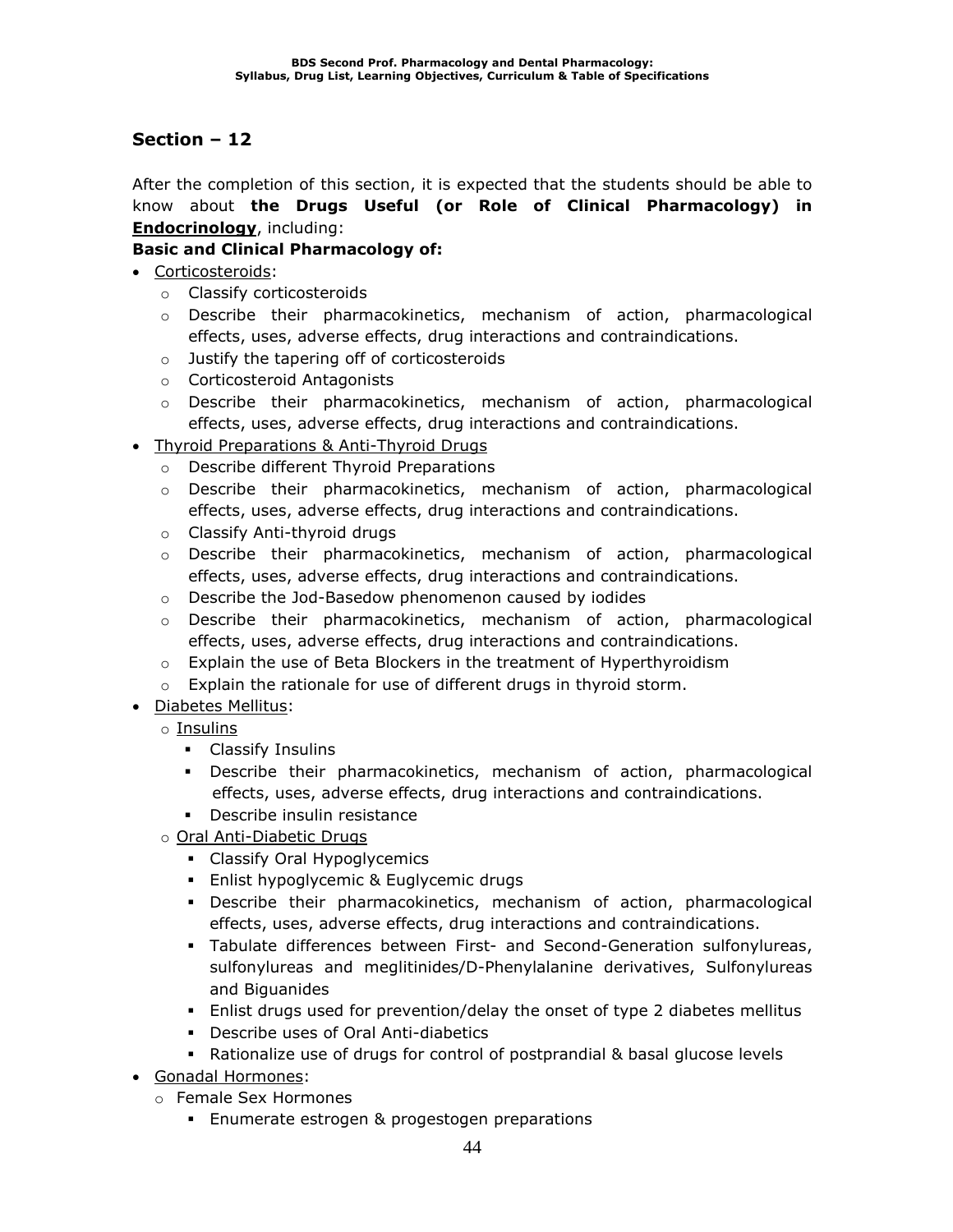After the completion of this section, it is expected that the students should be able to know about **the Drugs Useful (or Role of Clinical Pharmacology) in Endocrinology**, including:

### **Basic and Clinical Pharmacology of:**

- Corticosteroids:
	- o Classify corticosteroids
	- $\circ$  Describe their pharmacokinetics, mechanism of action, pharmacological effects, uses, adverse effects, drug interactions and contraindications.
	- o Justify the tapering off of corticosteroids
	- o Corticosteroid Antagonists
	- $\circ$  Describe their pharmacokinetics, mechanism of action, pharmacological effects, uses, adverse effects, drug interactions and contraindications.
- Thyroid Preparations & Anti-Thyroid Drugs
	- o Describe different Thyroid Preparations
	- $\circ$  Describe their pharmacokinetics, mechanism of action, pharmacological effects, uses, adverse effects, drug interactions and contraindications.
	- o Classify Anti-thyroid drugs
	- $\circ$  Describe their pharmacokinetics, mechanism of action, pharmacological effects, uses, adverse effects, drug interactions and contraindications.
	- o Describe the Jod-Basedow phenomenon caused by iodides
	- $\circ$  Describe their pharmacokinetics, mechanism of action, pharmacological effects, uses, adverse effects, drug interactions and contraindications.
	- $\circ$  Explain the use of Beta Blockers in the treatment of Hyperthyroidism
	- o Explain the rationale for use of different drugs in thyroid storm.
- Diabetes Mellitus:
	- o Insulins
		- Classify Insulins
		- Describe their pharmacokinetics, mechanism of action, pharmacological effects, uses, adverse effects, drug interactions and contraindications.
		- Describe insulin resistance
	- o Oral Anti-Diabetic Drugs
		- Classify Oral Hypoglycemics
		- **Enlist hypoglycemic & Euglycemic drugs**
		- Describe their pharmacokinetics, mechanism of action, pharmacological effects, uses, adverse effects, drug interactions and contraindications.
		- Tabulate differences between First- and Second-Generation sulfonylureas, sulfonylureas and meglitinides/D-Phenylalanine derivatives, Sulfonylureas and Biguanides
		- **E** Enlist drugs used for prevention/delay the onset of type 2 diabetes mellitus
		- Describe uses of Oral Anti-diabetics
		- Rationalize use of drugs for control of postprandial & basal glucose levels
- Gonadal Hormones:
	- o Female Sex Hormones
		- **Enumerate estrogen & progestogen preparations**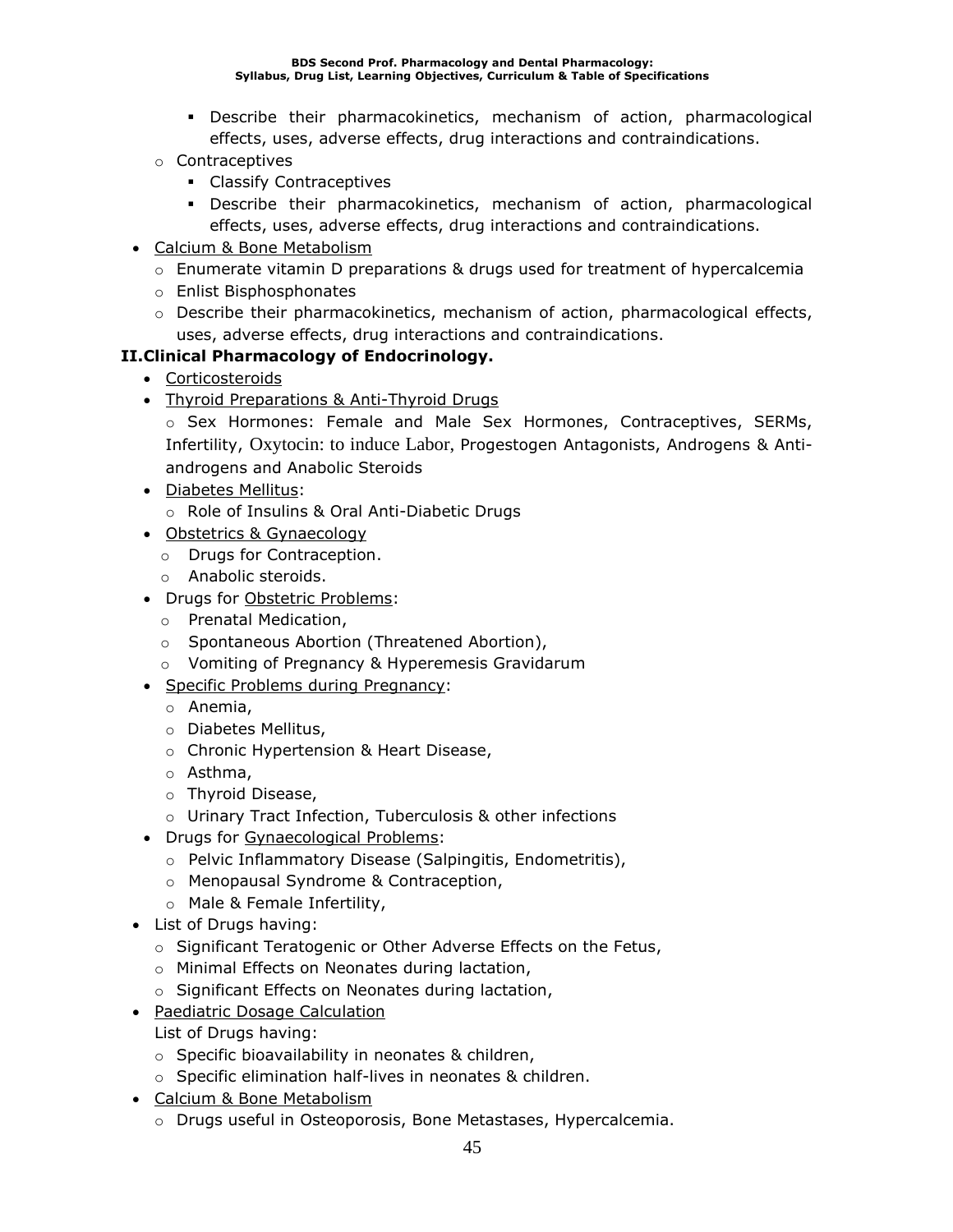- Describe their pharmacokinetics, mechanism of action, pharmacological effects, uses, adverse effects, drug interactions and contraindications.
- o Contraceptives
	- Classify Contraceptives
	- Describe their pharmacokinetics, mechanism of action, pharmacological effects, uses, adverse effects, drug interactions and contraindications.
- Calcium & Bone Metabolism
	- $\circ$  Enumerate vitamin D preparations & drugs used for treatment of hypercalcemia
	- o Enlist Bisphosphonates
	- $\circ$  Describe their pharmacokinetics, mechanism of action, pharmacological effects, uses, adverse effects, drug interactions and contraindications.

### **II.Clinical Pharmacology of Endocrinology.**

- Corticosteroids
- Thyroid Preparations & Anti-Thyroid Drugs
	- o Sex Hormones: Female and Male Sex Hormones, Contraceptives, SERMs, Infertility, Oxytocin: to induce Labor, Progestogen Antagonists, Androgens & Antiandrogens and Anabolic Steroids
- Diabetes Mellitus:
	- o Role of Insulins & Oral Anti-Diabetic Drugs
- Obstetrics & Gynaecology
	- o Drugs for Contraception.
	- o Anabolic steroids.
- Drugs for Obstetric Problems:
	- o Prenatal Medication,
	- o Spontaneous Abortion (Threatened Abortion),
	- o Vomiting of Pregnancy & Hyperemesis Gravidarum
- Specific Problems during Pregnancy:
	- o Anemia,
	- o Diabetes Mellitus,
	- o Chronic Hypertension & Heart Disease,
	- o Asthma,
	- o Thyroid Disease,
	- o Urinary Tract Infection, Tuberculosis & other infections
- Drugs for Gynaecological Problems:
	- o Pelvic Inflammatory Disease (Salpingitis, Endometritis),
	- o Menopausal Syndrome & Contraception,
	- o Male & Female Infertility,
- List of Drugs having:
	- o Significant Teratogenic or Other Adverse Effects on the Fetus,
	- o Minimal Effects on Neonates during lactation,
	- o Significant Effects on Neonates during lactation,
- Paediatric Dosage Calculation
	- List of Drugs having:
	- o Specific bioavailability in neonates & children,
	- o Specific elimination half-lives in neonates & children.
- Calcium & Bone Metabolism
	- o Drugs useful in Osteoporosis, Bone Metastases, Hypercalcemia.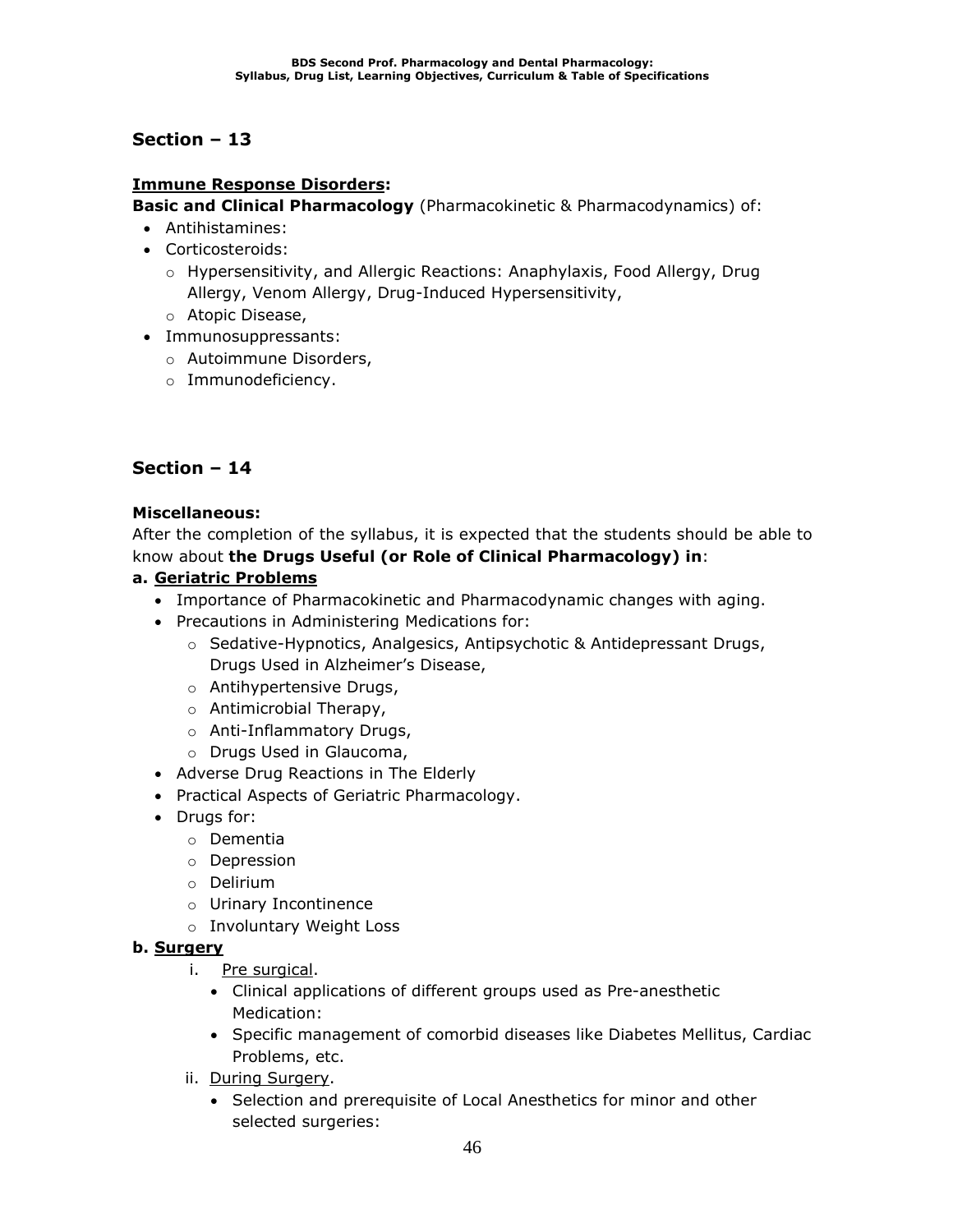### **Immune Response Disorders:**

**Basic and Clinical Pharmacology** (Pharmacokinetic & Pharmacodynamics) of:

- Antihistamines:
- Corticosteroids:
	- o Hypersensitivity, and Allergic Reactions: Anaphylaxis, Food Allergy, Drug Allergy, Venom Allergy, Drug-Induced Hypersensitivity,
	- o Atopic Disease,
- Immunosuppressants:
	- o Autoimmune Disorders,
	- o Immunodeficiency.

### **Section – 14**

### **Miscellaneous:**

After the completion of the syllabus, it is expected that the students should be able to know about **the Drugs Useful (or Role of Clinical Pharmacology) in**:

### **a. Geriatric Problems**

- Importance of Pharmacokinetic and Pharmacodynamic changes with aging.
- Precautions in Administering Medications for:
	- $\circ$  Sedative-Hypnotics, Analgesics, Antipsychotic & Antidepressant Drugs, Drugs Used in Alzheimer's Disease,
	- o Antihypertensive Drugs,
	- o Antimicrobial Therapy,
	- o Anti-Inflammatory Drugs,
	- o Drugs Used in Glaucoma,
- Adverse Drug Reactions in The Elderly
- Practical Aspects of Geriatric Pharmacology.
- Drugs for:
	- o Dementia
	- o Depression
	- o Delirium
	- o Urinary Incontinence
	- o Involuntary Weight Loss

### **b. Surgery**

- i. Pre surgical.
	- Clinical applications of different groups used as Pre-anesthetic Medication:
	- Specific management of comorbid diseases like Diabetes Mellitus, Cardiac Problems, etc.
- ii. During Surgery.
	- Selection and prerequisite of Local Anesthetics for minor and other selected surgeries: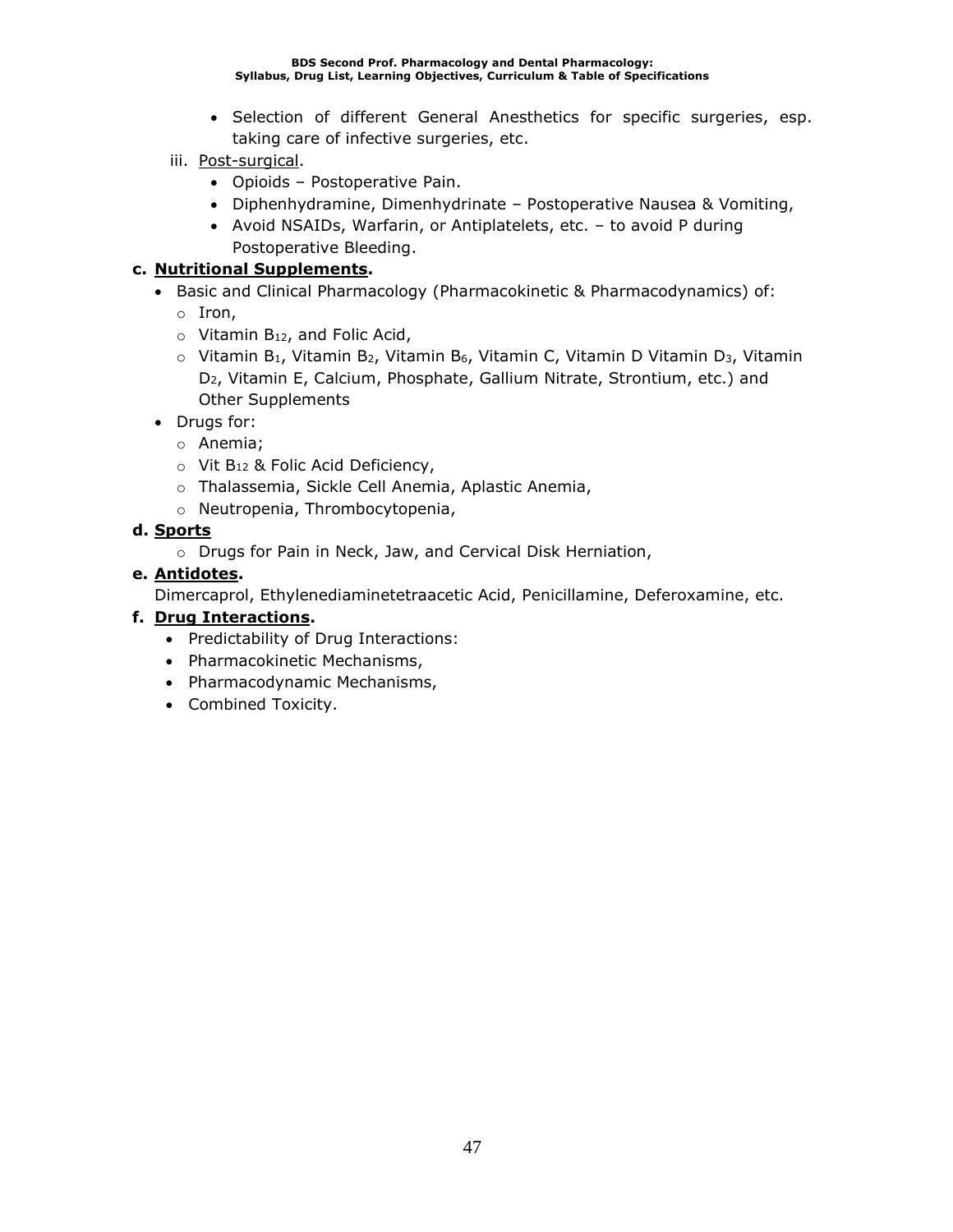- Selection of different General Anesthetics for specific surgeries, esp. taking care of infective surgeries, etc.
- iii. Post-surgical.
	- Opioids Postoperative Pain.
	- Diphenhydramine, Dimenhydrinate Postoperative Nausea & Vomiting,
	- Avoid NSAIDs, Warfarin, or Antiplatelets, etc. to avoid P during Postoperative Bleeding.

### **c. Nutritional Supplements.**

- Basic and Clinical Pharmacology (Pharmacokinetic & Pharmacodynamics) of:
	- o Iron,
	- $\circ$  Vitamin B<sub>12</sub>, and Folic Acid,
	- $\circ$  Vitamin B<sub>1</sub>, Vitamin B<sub>2</sub>, Vitamin B<sub>6</sub>, Vitamin C, Vitamin D Vitamin D<sub>3</sub>, Vitamin D2, Vitamin E, Calcium, Phosphate, Gallium Nitrate, Strontium, etc.) and Other Supplements
- Drugs for:
	- o Anemia;
	- o Vit B<sup>12</sup> & Folic Acid Deficiency,
	- o Thalassemia, Sickle Cell Anemia, Aplastic Anemia,
	- o Neutropenia, Thrombocytopenia,

### **d. Sports**

o Drugs for Pain in Neck, Jaw, and Cervical Disk Herniation,

### **e. Antidotes.**

Dimercaprol, Ethylenediaminetetraacetic Acid, Penicillamine, Deferoxamine, etc.

### **f. Drug Interactions.**

- Predictability of Drug Interactions:
- Pharmacokinetic Mechanisms,
- Pharmacodynamic Mechanisms,
- Combined Toxicity.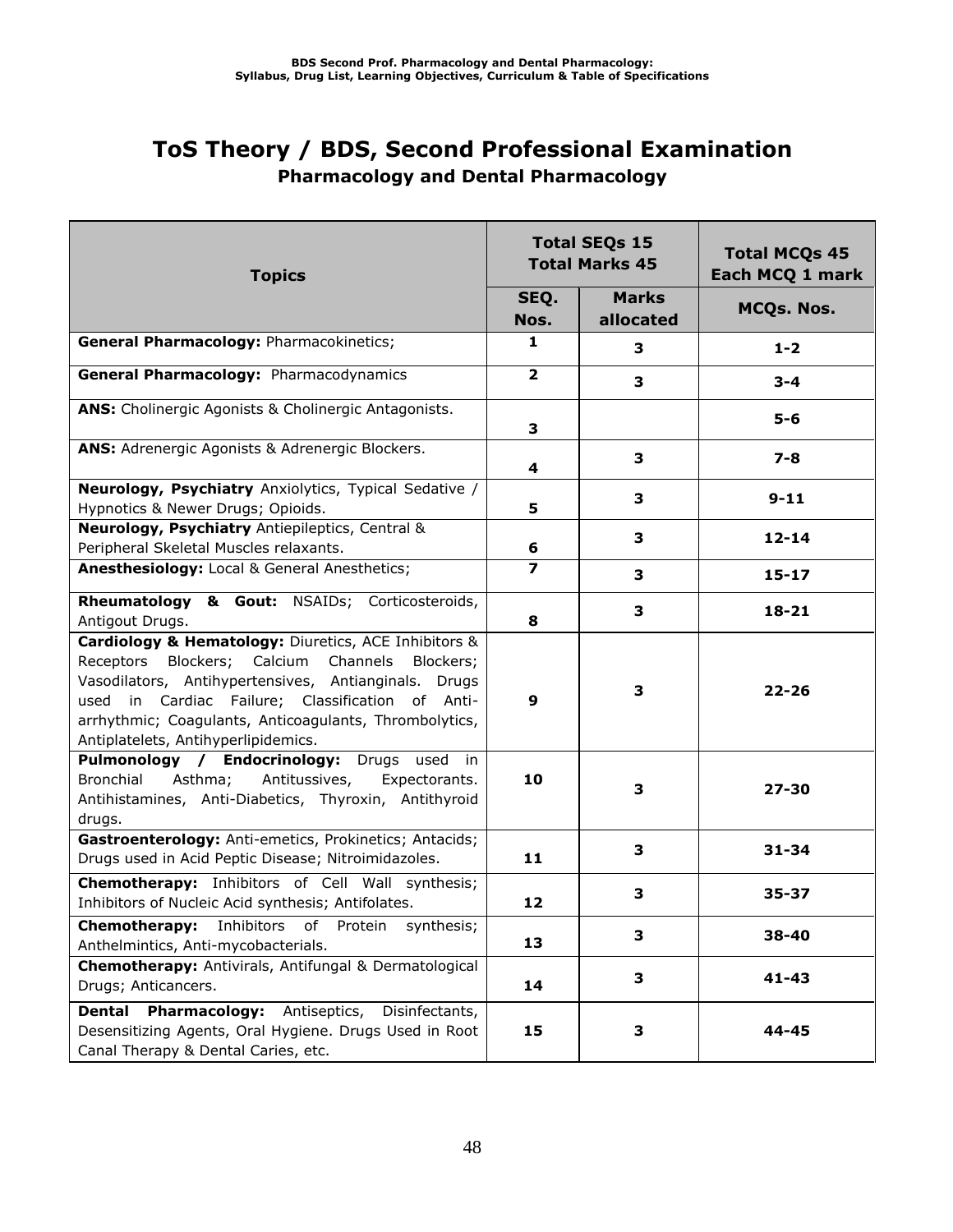## **ToS Theory / BDS, Second Professional Examination Pharmacology and Dental Pharmacology**

| <b>Topics</b>                                                                                                                                                                                                                                                                                                          | <b>Total SEQs 15</b><br><b>Total Marks 45</b> |                           | <b>Total MCQs 45</b><br>Each MCQ 1 mark |  |
|------------------------------------------------------------------------------------------------------------------------------------------------------------------------------------------------------------------------------------------------------------------------------------------------------------------------|-----------------------------------------------|---------------------------|-----------------------------------------|--|
|                                                                                                                                                                                                                                                                                                                        | SEQ.<br>Nos.                                  | <b>Marks</b><br>allocated | MCQs. Nos.                              |  |
| General Pharmacology: Pharmacokinetics;                                                                                                                                                                                                                                                                                | 1                                             | 3                         | $1 - 2$                                 |  |
| General Pharmacology: Pharmacodynamics                                                                                                                                                                                                                                                                                 | $\overline{2}$                                | 3                         | $3 - 4$                                 |  |
| ANS: Cholinergic Agonists & Cholinergic Antagonists.                                                                                                                                                                                                                                                                   | 3                                             |                           | $5 - 6$                                 |  |
| ANS: Adrenergic Agonists & Adrenergic Blockers.                                                                                                                                                                                                                                                                        | 4                                             | 3                         | $7 - 8$                                 |  |
| Neurology, Psychiatry Anxiolytics, Typical Sedative /<br>Hypnotics & Newer Drugs; Opioids.                                                                                                                                                                                                                             | 5                                             | 3                         | $9 - 11$                                |  |
| Neurology, Psychiatry Antiepileptics, Central &<br>Peripheral Skeletal Muscles relaxants.                                                                                                                                                                                                                              | 6                                             | 3                         | $12 - 14$                               |  |
| Anesthesiology: Local & General Anesthetics;                                                                                                                                                                                                                                                                           | $\overline{\mathbf{z}}$                       | 3                         | $15 - 17$                               |  |
| Rheumatology & Gout: NSAIDs; Corticosteroids,<br>Antigout Drugs.                                                                                                                                                                                                                                                       | 8                                             | 3                         | $18 - 21$                               |  |
| Cardiology & Hematology: Diuretics, ACE Inhibitors &<br>Receptors Blockers; Calcium Channels<br>Blockers;<br>Vasodilators, Antihypertensives, Antianginals. Drugs<br>used in Cardiac Failure; Classification of Anti-<br>arrhythmic; Coagulants, Anticoagulants, Thrombolytics,<br>Antiplatelets, Antihyperlipidemics. | 9                                             | 3                         | $22 - 26$                               |  |
| Pulmonology / Endocrinology: Drugs used in<br>Asthma; Antitussives,<br>Bronchial<br>Expectorants.<br>Antihistamines, Anti-Diabetics, Thyroxin, Antithyroid<br>drugs.                                                                                                                                                   | 10                                            | 3                         | $27 - 30$                               |  |
| Gastroenterology: Anti-emetics, Prokinetics; Antacids;<br>Drugs used in Acid Peptic Disease; Nitroimidazoles.                                                                                                                                                                                                          | 11                                            | 3                         | $31 - 34$                               |  |
| <b>Chemotherapy:</b> Inhibitors of Cell Wall synthesis;<br>Inhibitors of Nucleic Acid synthesis; Antifolates.                                                                                                                                                                                                          | 12                                            | 3                         | 35-37                                   |  |
| Chemotherapy:<br>Inhibitors of<br>Protein<br>synthesis;<br>Anthelmintics, Anti-mycobacterials.                                                                                                                                                                                                                         | 13                                            | 3                         | 38-40                                   |  |
| Chemotherapy: Antivirals, Antifungal & Dermatological<br>Drugs; Anticancers.                                                                                                                                                                                                                                           | 14                                            | 3                         | $41 - 43$                               |  |
| <b>Pharmacology:</b> Antiseptics,<br><b>Dental</b><br>Disinfectants,<br>Desensitizing Agents, Oral Hygiene. Drugs Used in Root<br>Canal Therapy & Dental Caries, etc.                                                                                                                                                  | 15                                            | 3                         | 44-45                                   |  |